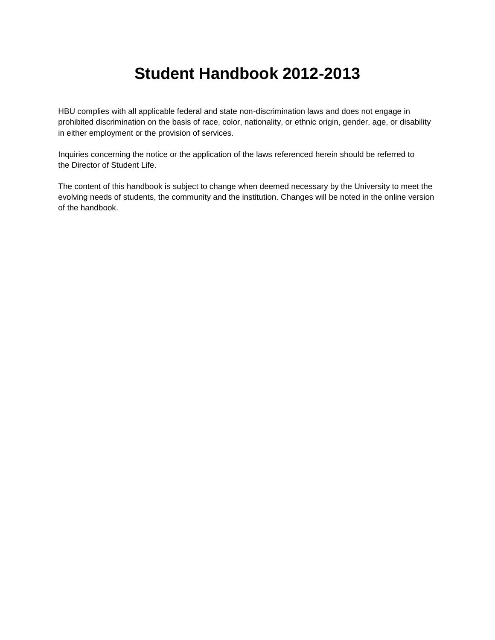# **Student Handbook 2012-2013**

HBU complies with all applicable federal and state non-discrimination laws and does not engage in prohibited discrimination on the basis of race, color, nationality, or ethnic origin, gender, age, or disability in either employment or the provision of services.

Inquiries concerning the notice or the application of the laws referenced herein should be referred to the [Director of Student Life.](http://www.hbu.edu/Students-Alumni/Student-Information/Student-Life/Student-Life-Directory.aspx)

The content of this handbook is subject to change when deemed necessary by the University to meet the evolving needs of students, the community and the institution. Changes will be noted in the online version of the handbook.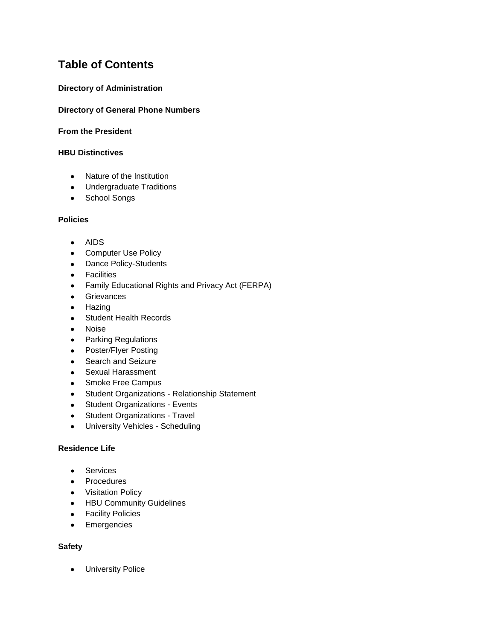## **Table of Contents**

## **[Directory of Administration](https://hbu.edu/About-HBU/General-Information/University-Leadership/University-Administrative-Team.aspx)**

## **[Directory of General Phone Numbers](https://hbu.edu/About-HBU/Resources/Directory.aspx)**

#### **[From the President](https://hbu.edu/Students-Alumni/Student-Resources/Student-Handbook/From-the-President.aspx)**

#### **[HBU Distinctives](https://hbu.edu/Students-Alumni/Student-Resources/Student-Handbook/HBU-Distinctives.aspx)**

- Nature of the Institution
- Undergraduate Traditions
- School Songs

## **[Policies](https://hbu.edu/Students-Alumni/Student-Resources/Student-Handbook/Policies.aspx)**

- AIDS
- Computer Use Policy
- Dance Policy-Students
- **•** Facilities
- Family Educational Rights and Privacy Act (FERPA)
- **•** Grievances
- Hazing  $\bullet$
- Student Health Records  $\bullet$
- Noise  $\bullet$
- Parking Regulations
- Poster/Flyer Posting
- Search and Seizure  $\bullet$
- $\bullet$ Sexual Harassment
- Smoke Free Campus
- Student Organizations Relationship Statement  $\bullet$
- Student Organizations Events
- Student Organizations Travel  $\bullet$
- University Vehicles Scheduling  $\bullet$

## **[Residence Life](https://hbu.edu/Students-Alumni/Student-Resources/Student-Handbook/Residence-Life.aspx)**

- **•** Services
- Procedures
- Visitation Policy
- HBU Community Guidelines
- **•** Facility Policies
- Emergencies  $\bullet$

## **[Safety](https://hbu.edu/Students-Alumni/Student-Resources/Student-Handbook/Safety.aspx)**

University Police $\bullet$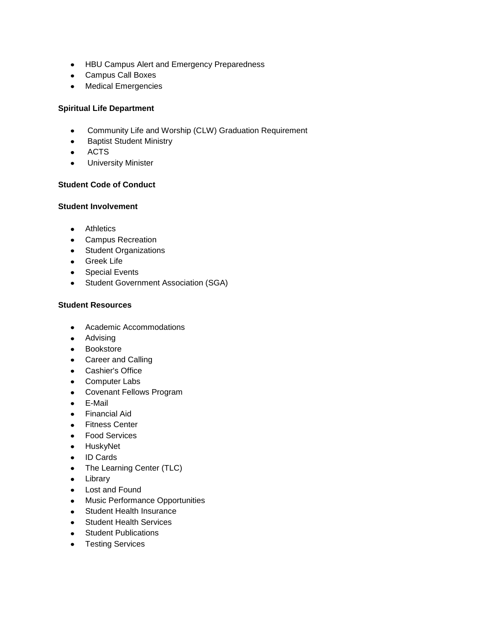- HBU Campus Alert and Emergency Preparedness
- Campus Call Boxes
- Medical Emergencies

## **[Spiritual Life Department](https://hbu.edu/Students-Alumni/Student-Resources/Student-Handbook/Spiritual-Life-Department.aspx)**

- $\bullet$ Community Life and Worship (CLW) Graduation Requirement
- $\bullet$ Baptist Student Ministry
- ACTS  $\bullet$
- University Minister  $\bullet$

## **[Student Code of Conduct](https://hbu.edu/Students-Alumni/Student-Resources/Student-Handbook/Student-Code-of-Conduct.aspx)**

#### **Student [Involvement](https://hbu.edu/Students-Alumni/Student-Resources/Student-Handbook/Student-Involvment.aspx)**

- **•** Athletics
- Campus Recreation
- Student Organizations
- Greek Life
- Special Events
- Student Government Association (SGA)  $\bullet$

## **[Student Resources](https://hbu.edu/Students-Alumni/Student-Resources/Student-Handbook/Student-Resources.aspx)**

- Academic Accommodations  $\bullet$
- **•** Advising
- Bookstore
- Career and Calling
- Cashier's Office
- Computer Labs
- Covenant Fellows Program
- E-Mail
- Financial Aid  $\bullet$
- Fitness Center
- Food Services
- HuskyNet
- ID Cards
- The Learning Center (TLC)  $\bullet$
- Library
- Lost and Found
- Music Performance Opportunities
- Student Health Insurance
- Student Health Services  $\bullet$
- Student Publications
- Testing Services $\bullet$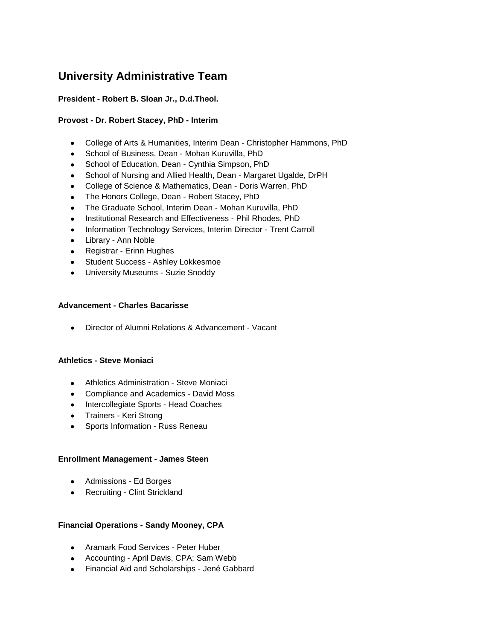## **University Administrative Team**

## **President - [Robert B. Sloan Jr., D.d.Theol.](https://hbu.edu/About-HBU/General-Information/University-Leadership/Presidents-of-HBU/Dr-Robert-B-Sloan,-Jr.aspx)**

## **Provost - [Dr. Robert Stacey,](https://hbu.edu/About-HBU/General-Information/University-Leadership/Executive-Council/Dr-Robert-Stacey.aspx) PhD - Interim**

- College of Arts & Humanities, Interim Dean [Christopher Hammons, PhD](https://hbu.edu/Choosing-HBU/Academics/Colleges-Schools/College-of-Arts-Humanities/Departments/Department-of-Government/Faculty/Christopher-Hammons.aspx)  $\bullet$
- School of Business, Dean [Mohan Kuruvilla, PhD](https://hbu.edu/Choosing-HBU/Academics/Colleges-Schools/School-of-Business/Departments/Department-of-Accounting/Faculty/Mohan-Kuruvilla.aspx)
- School of Education, Dean Cynthia Simpson, PhD
- School of Nursing and Allied Health, Dean [Margaret Ugalde, DrPH](https://hbu.edu/Choosing-HBU/Academics/Colleges-Schools/School-of-Nursing-and-Allied-Health/Departments/Department-of-Nursing/Faculty/Margaret-Ugalde.aspx)  $\bullet$
- College of Science & Mathematics, Dean [Doris Warren, PhD](https://hbu.edu/Choosing-HBU/Academics/Colleges-Schools/College-of-Science-and-Mathematics/Departments/Department-of-Chemistry/Faculty/Doris-Warren.aspx)
- The Honors College, Dean [Robert Stacey, PhD](https://hbu.edu/About-HBU/General-Information/University-Leadership/Executive-Council/Dr-Robert-Stacey.aspx)  $\bullet$
- The Graduate School, Interim Dean [Mohan Kuruvilla, PhD](https://hbu.edu/Choosing-HBU/Academics/Colleges-Schools/School-of-Business/Departments/Department-of-Accounting/Faculty/Mohan-Kuruvilla.aspx)  $\bullet$
- Institutional Research and Effectiveness [Phil Rhodes, PhD](https://hbu.edu/About-HBU/Resources/Office-of-Institutional-Research-and-Effectiveness/Contact-Information.aspx)  $\bullet$
- Information Technology Services, Interim Director Trent Carroll
- Library Ann Noble
- Registrar [Erinn Hughes](https://hbu.edu/Choosing-HBU/Academics/Registrar/Contact-the-Office-of-the-Registrar.aspx)
- Student Success [Ashley Lokkesmoe](https://hbu.edu/Choosing-HBU/Academics/Resources/The-Learning-Center.aspx)
- University Museums [Suzie Snoddy](https://hbu.edu/About-HBU/The-Campus/Museums/Museum-of-Southern-History.aspx)

## **Advancement - [Charles Bacarisse](https://hbu.edu/About-HBU/General-Information/University-Leadership/Executive-Council/Charles-Bacarisse.aspx)**

Director of Alumni Relations & Advancement - Vacant

## **Athletics - [Steve Moniaci](http://www.hbuhuskies.com/staff.aspx?staff=1)**

- Athletics Administration [Steve Moniaci](http://www.hbuhuskies.com/staff.aspx?staff=1)
- Compliance and Academics David Moss
- Intercollegiate Sports Head Coaches
- Trainers Keri Strong
- Sports Information Russ Reneau

#### **Enrollment Management - [James Steen](https://hbu.edu/About-HBU/General-Information/University-Leadership/Executive-Council/James-Steen.aspx)**

- Admissions [Ed Borges](https://hbu.edu/Choosing-HBU/Admissions/Visit-Campus/Contact-Your-HBU-Team/Meet-HBU-Admissions.aspx)
- Recruiting [Clint Strickland](https://hbu.edu/Choosing-HBU/Admissions/Visit-Campus/Contact-Your-HBU-Team/Meet-HBU-Admissions.aspx)  $\bullet$

## **Financial Operations - [Sandy Mooney,](https://hbu.edu/About-HBU/General-Information/University-Leadership/Executive-Council/Sandy-Mooney,-CPA.aspx) CPA**

- Aramark Food Services Peter Huber
- Accounting April Davis, CPA; Sam Webb
- Financial Aid and Scholarships Jené Gabbard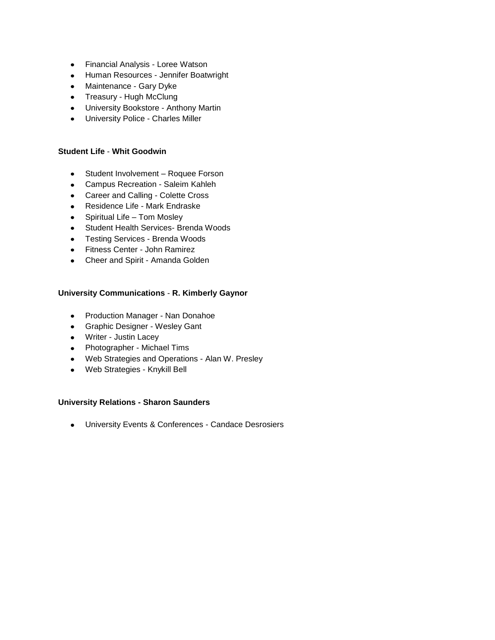- Financial Analysis Loree Watson  $\bullet$
- Human Resources Jennifer Boatwright
- Maintenance Gary Dyke
- Treasury Hugh McClung
- University Bookstore Anthony Martin
- University Police [Charles Miller](https://hbu.edu/About-HBU/The-Campus/Police-Parking/Contact-HBU-Police.aspx)

#### **Student Life** - **[Whit Goodwin](https://hbu.edu/About-HBU/General-Information/University-Leadership/Executive-Council/Whit-Goodwin.aspx)**

- Student Involvement [Roquee](https://hbu.edu/Students-Alumni/Student-Information/Student-Life/Student-Life-Directory.aspx) Forson
- Campus Recreation [Saleim Kahleh](https://hbu.edu/Students-Alumni/Student-Information/Student-Life/Campus-Recreation/Contact.aspx)
- Career and Calling [Colette Cross](https://hbu.edu/Students-Alumni/Student-Resources/The-Career-Center/Contact.aspx)
- Residence Life [Mark Endraske](https://hbu.edu/Students-Alumni/Student-Information/Residence-Life/Residence-Housing/Contact.aspx)
- Spiritual Life Tom Mosley
- Student Health Services- [Brenda Woods](https://hbu.edu/About-HBU/Resources/Health-Services/Contact-the-Health-Clinic.aspx)
- Testing Services [Brenda Woods](https://hbu.edu/Students-Alumni/Student-Resources/Testing-Services/Contact-Testing-Services.aspx)
- Fitness Center [John Ramirez](https://hbu.edu/About-HBU/The-Campus/Facilities/Bradshaw-Fitness-Center/Contact-Information.aspx)
- Cheer and Spirit Amanda Golden

## **University Communications** - **[R. Kimberly Gaynor](https://hbu.edu/About-HBU/General-Information/University-Leadership/Executive-Council/R-Kimberly-Gaynor.aspx)**

- Production Manager [Nan Donahoe](mailto:ndonahoe@hbu.edu)
- Graphic Designer [Wesley Gant](mailto:wgant@hbu.edu)
- Writer [Justin Lacey](mailto:jlacey@hbu.edu)
- Photographer [Michael Tims](mailto:mtims@hbu.edu)
- Web Strategies and Operations [Alan W. Presley](mailto:AWPresley@hbu.edu)
- Web Strategies [Knykill Bell](mailto:kbell@hbu.edu)

## **University Relations - [Sharon Saunders](https://hbu.edu/About-HBU/General-Information/University-Leadership/Executive-Council/Sharon-Saunders.aspx)**

University Events & Conferences - [Candace Desrosiers](https://hbu.edu/About-HBU/Resources/University-Events-and-Conferences.aspx)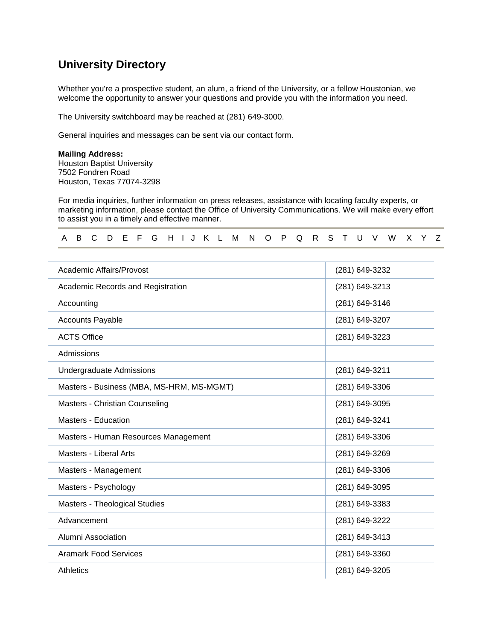## **University Directory**

Whether you're a prospective student, an alum, a friend of the University, or a fellow Houstonian, we welcome the opportunity to answer your questions and provide you with the information you need.

The University switchboard may be reached at (281) 649-3000.

General inquiries and messages can be sent via our [contact form.](https://hbu.edu/About-HBU/Resources/Directory/Contact-Form.aspx)

## **Mailing Address:**

Houston Baptist University 7502 Fondren Road Houston, Texas 77074-3298

For media inquiries, further information on press releases, assistance with locating faculty experts, or marketing information, please [contact the Office of University Communications.](https://hbu.edu/About-HBU/Resources/Directory/Contact-Form.aspx) We will make every effort to assist you in a timely and effective manner.

#### [A](https://hbu.edu/About-HBU/Resources/Directory.aspx#a) [B](https://hbu.edu/About-HBU/Resources/Directory.aspx#b) [C](https://hbu.edu/About-HBU/Resources/Directory.aspx#c) [D](https://hbu.edu/About-HBU/Resources/Directory.aspx#d) [E](https://hbu.edu/About-HBU/Resources/Directory.aspx#e) [F](https://hbu.edu/About-HBU/Resources/Directory.aspx#f) [G](https://hbu.edu/About-HBU/Resources/Directory.aspx#g) [H](https://hbu.edu/About-HBU/Resources/Directory.aspx#h) [I](https://hbu.edu/About-HBU/Resources/Directory.aspx#i) [J](https://hbu.edu/About-HBU/Resources/Directory.aspx#j) [K](https://hbu.edu/About-HBU/Resources/Directory.aspx#k) [L](https://hbu.edu/About-HBU/Resources/Directory.aspx#l) [M](https://hbu.edu/About-HBU/Resources/Directory.aspx#m) [N](https://hbu.edu/About-HBU/Resources/Directory.aspx#n) [O](https://hbu.edu/About-HBU/Resources/Directory.aspx#o) [P](https://hbu.edu/About-HBU/Resources/Directory.aspx#p) [Q](https://hbu.edu/About-HBU/Resources/Directory.aspx#p) [R](https://hbu.edu/About-HBU/Resources/Directory.aspx#r) [S](https://hbu.edu/About-HBU/Resources/Directory.aspx#s) [T](https://hbu.edu/About-HBU/Resources/Directory.aspx#t) [U](https://hbu.edu/About-HBU/Resources/Directory.aspx#u) [V](https://hbu.edu/About-HBU/Resources/Directory.aspx#v) [W](https://hbu.edu/About-HBU/Resources/Directory.aspx#wxyz) [X](https://hbu.edu/About-HBU/Resources/Directory.aspx#wxyz) [Y](https://hbu.edu/About-HBU/Resources/Directory.aspx#wxyz) [Z](https://hbu.edu/About-HBU/Resources/Directory.aspx#wxyz)

| Academic Affairs/Provost                  | (281) 649-3232 |
|-------------------------------------------|----------------|
| Academic Records and Registration         | (281) 649-3213 |
| Accounting                                | (281) 649-3146 |
| <b>Accounts Payable</b>                   | (281) 649-3207 |
| <b>ACTS Office</b>                        | (281) 649-3223 |
| Admissions                                |                |
| <b>Undergraduate Admissions</b>           | (281) 649-3211 |
| Masters - Business (MBA, MS-HRM, MS-MGMT) | (281) 649-3306 |
| Masters - Christian Counseling            | (281) 649-3095 |
| <b>Masters - Education</b>                | (281) 649-3241 |
| Masters - Human Resources Management      | (281) 649-3306 |
| <b>Masters - Liberal Arts</b>             | (281) 649-3269 |
| Masters - Management                      | (281) 649-3306 |
| Masters - Psychology                      | (281) 649-3095 |
| Masters - Theological Studies             | (281) 649-3383 |
| Advancement                               | (281) 649-3222 |
| Alumni Association                        | (281) 649-3413 |
| <b>Aramark Food Services</b>              | (281) 649-3360 |
| Athletics                                 | (281) 649-3205 |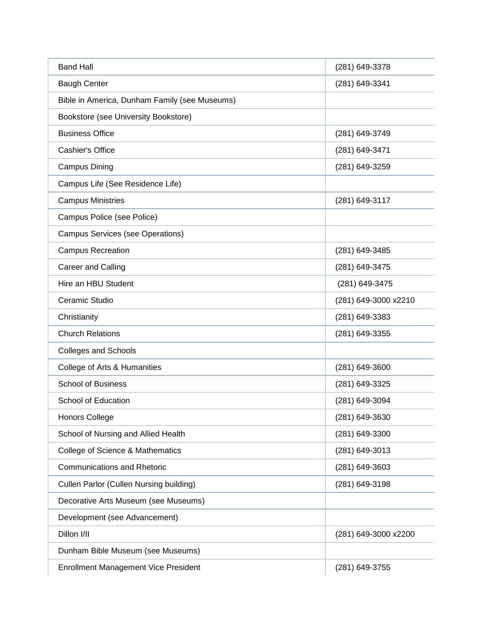| <b>Band Hall</b>                              | (281) 649-3378       |
|-----------------------------------------------|----------------------|
| <b>Baugh Center</b>                           | (281) 649-3341       |
| Bible in America, Dunham Family (see Museums) |                      |
| Bookstore (see University Bookstore)          |                      |
| <b>Business Office</b>                        | (281) 649-3749       |
| <b>Cashier's Office</b>                       | (281) 649-3471       |
| Campus Dining                                 | (281) 649-3259       |
| Campus Life (See Residence Life)              |                      |
| <b>Campus Ministries</b>                      | (281) 649-3117       |
| Campus Police (see Police)                    |                      |
| <b>Campus Services (see Operations)</b>       |                      |
| <b>Campus Recreation</b>                      | (281) 649-3485       |
| Career and Calling                            | (281) 649-3475       |
| Hire an HBU Student                           | (281) 649-3475       |
| Ceramic Studio                                | (281) 649-3000 x2210 |
| Christianity                                  | (281) 649-3383       |
| <b>Church Relations</b>                       | (281) 649-3355       |
| <b>Colleges and Schools</b>                   |                      |
| College of Arts & Humanities                  | (281) 649-3600       |
| <b>School of Business</b>                     | (281) 649-3325       |
| School of Education                           | (281) 649-3094       |
| <b>Honors College</b>                         | (281) 649-3630       |
| School of Nursing and Allied Health           | (281) 649-3300       |
| College of Science & Mathematics              | (281) 649-3013       |
| <b>Communications and Rhetoric</b>            | (281) 649-3603       |
| Cullen Parlor (Cullen Nursing building)       | (281) 649-3198       |
| Decorative Arts Museum (see Museums)          |                      |
| Development (see Advancement)                 |                      |
| Dillon I/II                                   | (281) 649-3000 x2200 |
| Dunham Bible Museum (see Museums)             |                      |
| <b>Enrollment Management Vice President</b>   | (281) 649-3755       |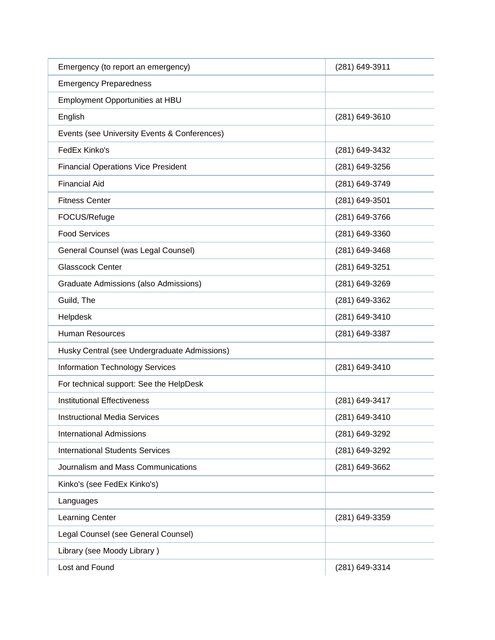| Emergency (to report an emergency)           | (281) 649-3911 |
|----------------------------------------------|----------------|
| <b>Emergency Preparedness</b>                |                |
| Employment Opportunities at HBU              |                |
| English                                      | (281) 649-3610 |
| Events (see University Events & Conferences) |                |
| FedEx Kinko's                                | (281) 649-3432 |
| <b>Financial Operations Vice President</b>   | (281) 649-3256 |
| <b>Financial Aid</b>                         | (281) 649-3749 |
| <b>Fitness Center</b>                        | (281) 649-3501 |
| FOCUS/Refuge                                 | (281) 649-3766 |
| <b>Food Services</b>                         | (281) 649-3360 |
| General Counsel (was Legal Counsel)          | (281) 649-3468 |
| <b>Glasscock Center</b>                      | (281) 649-3251 |
| Graduate Admissions (also Admissions)        | (281) 649-3269 |
| Guild, The                                   | (281) 649-3362 |
| Helpdesk                                     | (281) 649-3410 |
| <b>Human Resources</b>                       | (281) 649-3387 |
| Husky Central (see Undergraduate Admissions) |                |
| <b>Information Technology Services</b>       | (281) 649-3410 |
| For technical support: See the HelpDesk      |                |
| <b>Institutional Effectiveness</b>           | (281) 649-3417 |
| <b>Instructional Media Services</b>          | (281) 649-3410 |
| <b>International Admissions</b>              | (281) 649-3292 |
| <b>International Students Services</b>       | (281) 649-3292 |
| Journalism and Mass Communications           | (281) 649-3662 |
| Kinko's (see FedEx Kinko's)                  |                |
| Languages                                    |                |
| Learning Center                              | (281) 649-3359 |
| Legal Counsel (see General Counsel)          |                |
| Library (see Moody Library)                  |                |
| Lost and Found                               | (281) 649-3314 |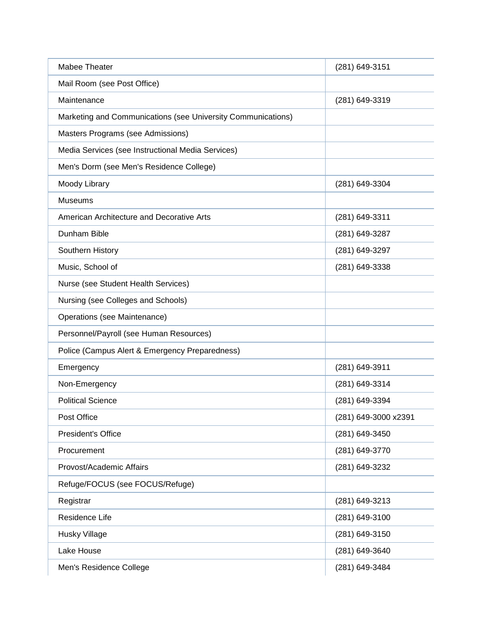| Mabee Theater                                                | (281) 649-3151       |
|--------------------------------------------------------------|----------------------|
| Mail Room (see Post Office)                                  |                      |
| Maintenance                                                  | (281) 649-3319       |
| Marketing and Communications (see University Communications) |                      |
| Masters Programs (see Admissions)                            |                      |
| Media Services (see Instructional Media Services)            |                      |
| Men's Dorm (see Men's Residence College)                     |                      |
| Moody Library                                                | (281) 649-3304       |
| <b>Museums</b>                                               |                      |
| American Architecture and Decorative Arts                    | (281) 649-3311       |
| Dunham Bible                                                 | (281) 649-3287       |
| Southern History                                             | (281) 649-3297       |
| Music, School of                                             | (281) 649-3338       |
| Nurse (see Student Health Services)                          |                      |
| Nursing (see Colleges and Schools)                           |                      |
| Operations (see Maintenance)                                 |                      |
| Personnel/Payroll (see Human Resources)                      |                      |
| Police (Campus Alert & Emergency Preparedness)               |                      |
| Emergency                                                    | (281) 649-3911       |
| Non-Emergency                                                | (281) 649-3314       |
| <b>Political Science</b>                                     | (281) 649-3394       |
| Post Office                                                  | (281) 649-3000 x2391 |
| President's Office                                           | (281) 649-3450       |
| Procurement                                                  | (281) 649-3770       |
| Provost/Academic Affairs                                     | (281) 649-3232       |
| Refuge/FOCUS (see FOCUS/Refuge)                              |                      |
| Registrar                                                    | (281) 649-3213       |
| Residence Life                                               | (281) 649-3100       |
| Husky Village                                                | (281) 649-3150       |
| Lake House                                                   | (281) 649-3640       |
| Men's Residence College                                      | (281) 649-3484       |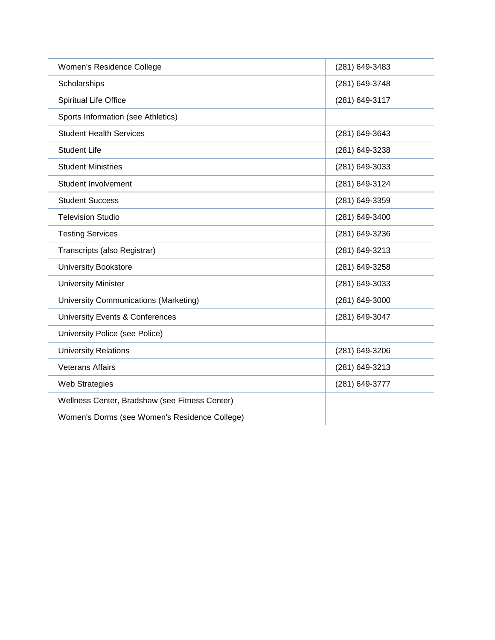| Women's Residence College                      | (281) 649-3483 |
|------------------------------------------------|----------------|
| Scholarships                                   | (281) 649-3748 |
| Spiritual Life Office                          | (281) 649-3117 |
| Sports Information (see Athletics)             |                |
| <b>Student Health Services</b>                 | (281) 649-3643 |
| <b>Student Life</b>                            | (281) 649-3238 |
| <b>Student Ministries</b>                      | (281) 649-3033 |
| Student Involvement                            | (281) 649-3124 |
| <b>Student Success</b>                         | (281) 649-3359 |
| <b>Television Studio</b>                       | (281) 649-3400 |
| <b>Testing Services</b>                        | (281) 649-3236 |
| Transcripts (also Registrar)                   | (281) 649-3213 |
| <b>University Bookstore</b>                    | (281) 649-3258 |
| <b>University Minister</b>                     | (281) 649-3033 |
| University Communications (Marketing)          | (281) 649-3000 |
| University Events & Conferences                | (281) 649-3047 |
| University Police (see Police)                 |                |
| <b>University Relations</b>                    | (281) 649-3206 |
| <b>Veterans Affairs</b>                        | (281) 649-3213 |
| <b>Web Strategies</b>                          | (281) 649-3777 |
| Wellness Center, Bradshaw (see Fitness Center) |                |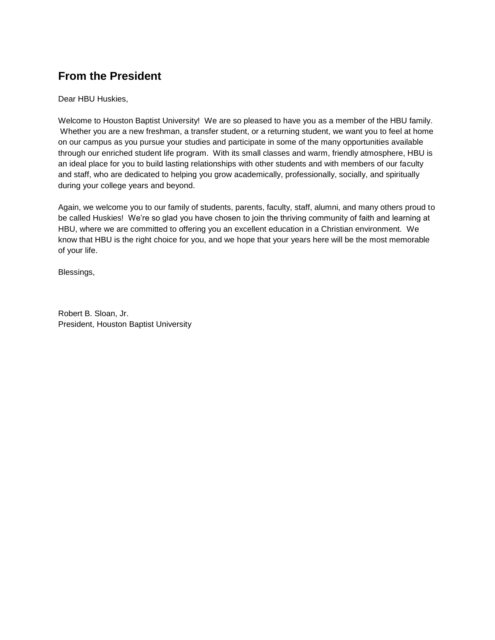## **From the President**

Dear HBU Huskies,

Welcome to Houston Baptist University! We are so pleased to have you as a member of the HBU family. Whether you are a new freshman, a transfer student, or a returning student, we want you to feel at home on our campus as you pursue your studies and participate in some of the many opportunities available through our enriched student life program. With its small classes and warm, friendly atmosphere, HBU is an ideal place for you to build lasting relationships with other students and with members of our faculty and staff, who are dedicated to helping you grow academically, professionally, socially, and spiritually during your college years and beyond.

Again, we welcome you to our family of students, parents, faculty, staff, alumni, and many others proud to be called Huskies! We're so glad you have chosen to join the thriving community of faith and learning at HBU, where we are committed to offering you an excellent education in a Christian environment. We know that HBU is the right choice for you, and we hope that your years here will be the most memorable of your life.

Blessings,

Robert B. Sloan, Jr. President, Houston Baptist University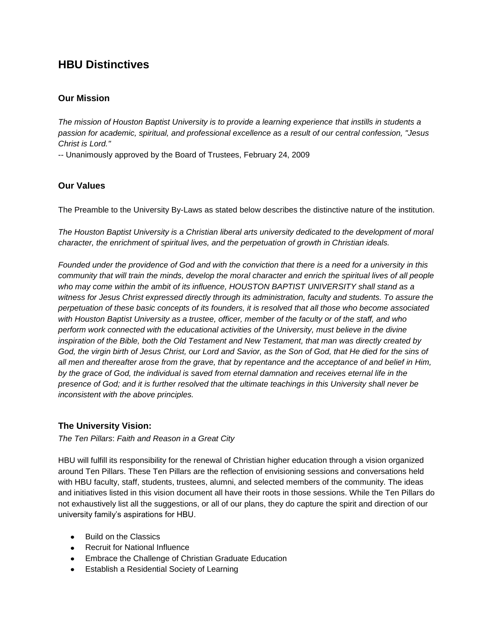## **HBU Distinctives**

## **Our Mission**

*The mission of Houston Baptist University is to provide a learning experience that instills in students a passion for academic, spiritual, and professional excellence as a result of our central confession, "Jesus Christ is Lord."*

-- Unanimously approved by the Board of Trustees, February 24, 2009

## **Our Values**

The Preamble to the University By-Laws as stated below describes the distinctive nature of the institution.

*The Houston Baptist University is a Christian liberal arts university dedicated to the development of moral character, the enrichment of spiritual lives, and the perpetuation of growth in Christian ideals.*

*Founded under the providence of God and with the conviction that there is a need for a university in this community that will train the minds, develop the moral character and enrich the spiritual lives of all people who may come within the ambit of its influence, HOUSTON BAPTIST UNIVERSITY shall stand as a witness for Jesus Christ expressed directly through its administration, faculty and students. To assure the perpetuation of these basic concepts of its founders, it is resolved that all those who become associated with Houston Baptist University as a trustee, officer, member of the faculty or of the staff, and who perform work connected with the educational activities of the University, must believe in the divine inspiration of the Bible, both the Old Testament and New Testament, that man was directly created by God, the virgin birth of Jesus Christ, our Lord and Savior, as the Son of God, that He died for the sins of all men and thereafter arose from the grave, that by repentance and the acceptance of and belief in Him, by the grace of God, the individual is saved from eternal damnation and receives eternal life in the presence of God; and it is further resolved that the ultimate teachings in this University shall never be inconsistent with the above principles.*

## **The University Vision:**

*The Ten Pillars*: *Faith and Reason in a Great City* 

HBU will fulfill its responsibility for the renewal of Christian higher education through a vision organized around Ten Pillars. These Ten Pillars are the reflection of envisioning sessions and conversations held with HBU faculty, staff, students, trustees, alumni, and selected members of the community. The ideas and initiatives listed in this vision document all have their roots in those sessions. While the Ten Pillars do not exhaustively list all the suggestions, or all of our plans, they do capture the spirit and direction of our university family's aspirations for HBU.

- Build on the Classics
- Recruit for National Influence
- Embrace the Challenge of Christian Graduate Education
- Establish a Residential Society of Learning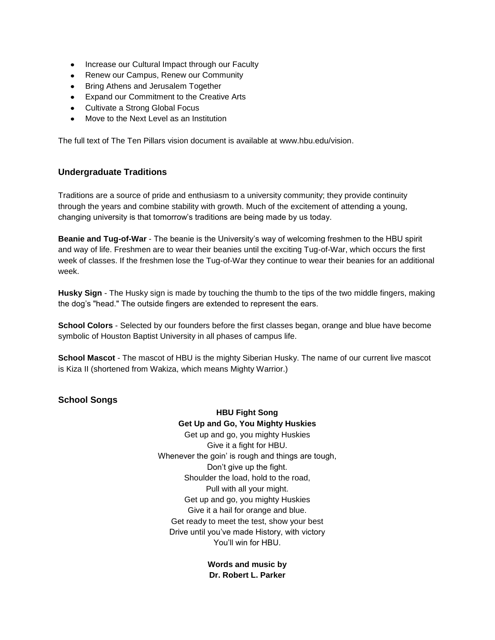- Increase our Cultural Impact through our Faculty
- Renew our Campus, Renew our Community
- Bring Athens and Jerusalem Together
- Expand our Commitment to the Creative Arts
- Cultivate a Strong Global Focus
- Move to the Next Level as an Institution

The full text of The Ten Pillars vision document is available at [www.hbu.edu/vision.](http://www.hbu.edu/vision)

## **Undergraduate Traditions**

Traditions are a source of pride and enthusiasm to a university community; they provide continuity through the years and combine stability with growth. Much of the excitement of attending a young, changing university is that tomorrow's traditions are being made by us today.

**Beanie and Tug-of-War** - The beanie is the University's way of welcoming freshmen to the HBU spirit and way of life. Freshmen are to wear their beanies until the exciting Tug-of-War, which occurs the first week of classes. If the freshmen lose the Tug-of-War they continue to wear their beanies for an additional week.

**Husky Sign** - The Husky sign is made by touching the thumb to the tips of the two middle fingers, making the dog's "head." The outside fingers are extended to represent the ears.

**School Colors** - Selected by our founders before the first classes began, orange and blue have become symbolic of Houston Baptist University in all phases of campus life.

**School Mascot** - The mascot of HBU is the mighty Siberian Husky. The name of our current live mascot is Kiza II (shortened from Wakiza, which means Mighty Warrior.)

## **School Songs**

**HBU Fight Song Get Up and Go, You Mighty Huskies**  Get up and go, you mighty Huskies Give it a fight for HBU. Whenever the goin' is rough and things are tough, Don't give up the fight. Shoulder the load, hold to the road, Pull with all your might. Get up and go, you mighty Huskies Give it a hail for orange and blue. Get ready to meet the test, show your best Drive until you've made History, with victory You'll win for HBU.

> **Words and music by Dr. Robert L. Parker**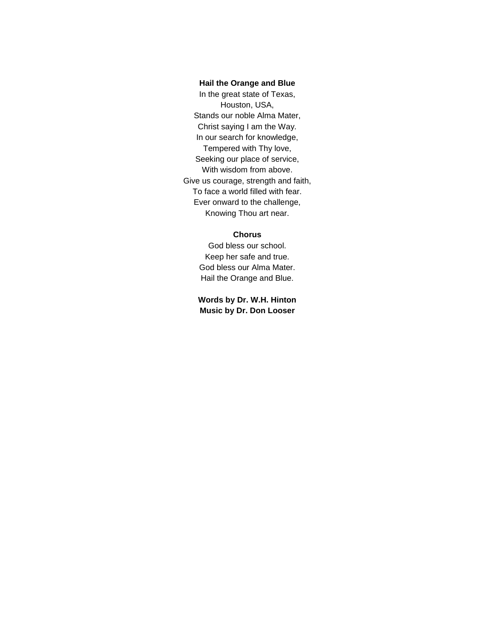#### **Hail the Orange and Blue**

In the great state of Texas, Houston, USA, Stands our noble Alma Mater, Christ saying I am the Way. In our search for knowledge, Tempered with Thy love, Seeking our place of service, With wisdom from above. Give us courage, strength and faith, To face a world filled with fear. Ever onward to the challenge, Knowing Thou art near.

#### **Chorus**

God bless our school. Keep her safe and true. God bless our Alma Mater. Hail the Orange and Blue.

**Words by [Dr. W.H. Hinton](https://hbu.edu/About-HBU/General-Information/University-Leadership/Presidents-of-HBU/Dr-William-H-Hinton.aspx) Music by Dr. Don Looser**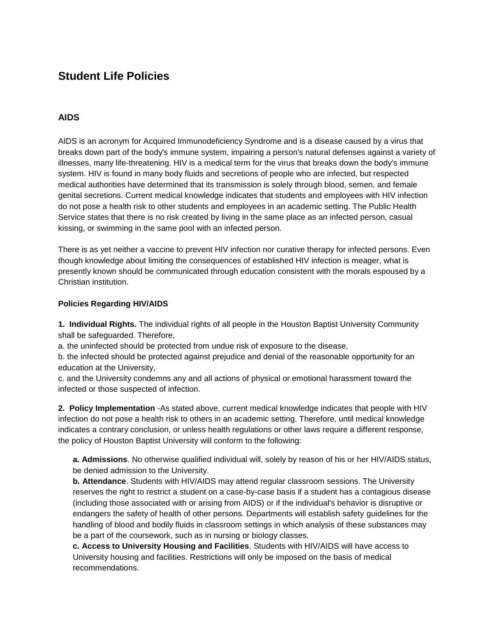## **Student Life Policies**

## **AIDS**

AIDS is an acronym for Acquired Immunodeficiency Syndrome and is a disease caused by a virus that breaks down part of the body's immune system, impairing a person's natural defenses against a variety of illnesses, many life-threatening. HIV is a medical term for the virus that breaks down the body's immune system. HIV is found in many body fluids and secretions of people who are infected, but respected medical authorities have determined that its transmission is solely through blood, semen, and female genital secretions. Current medical knowledge indicates that students and employees with HIV infection do not pose a health risk to other students and employees in an academic setting. The Public Health Service states that there is no risk created by living in the same place as an infected person, casual kissing, or swimming in the same pool with an infected person.

There is as yet neither a vaccine to prevent HIV infection nor curative therapy for infected persons. Even though knowledge about limiting the consequences of established HIV infection is meager, what is presently known should be communicated through education consistent with the morals espoused by a Christian institution.

#### **Policies Regarding HIV/AIDS**

**1. Individual Rights.** The individual rights of all people in the Houston Baptist University Community shall be safeguarded. Therefore,

a. the uninfected should be protected from undue risk of exposure to the disease,

b. the infected should be protected against prejudice and denial of the reasonable opportunity for an education at the University,

c. and the University condemns any and all actions of physical or emotional harassment toward the infected or those suspected of infection.

**2. Policy Implementation** -As stated above, current medical knowledge indicates that people with HIV infection do not pose a health risk to others in an academic setting. Therefore, until medical knowledge indicates a contrary conclusion, or unless health regulations or other laws require a different response, the policy of Houston Baptist University will conform to the following:

**a. Admissions**. No otherwise qualified individual will, solely by reason of his or her HIV/AIDS status, be denied admission to the University.

**b. Attendance**. Students with HIV/AIDS may attend regular classroom sessions. The University reserves the right to restrict a student on a case-by-case basis if a student has a contagious disease (including those associated with or arising from AIDS) or if the individual's behavior is disruptive or endangers the safety of health of other persons. Departments will establish safety guidelines for the handling of blood and bodily fluids in classroom settings in which analysis of these substances may be a part of the coursework, such as in nursing or biology classes.

**c. Access to University Housing and Facilities**. Students with HIV/AIDS will have access to University housing and facilities. Restrictions will only be imposed on the basis of medical recommendations.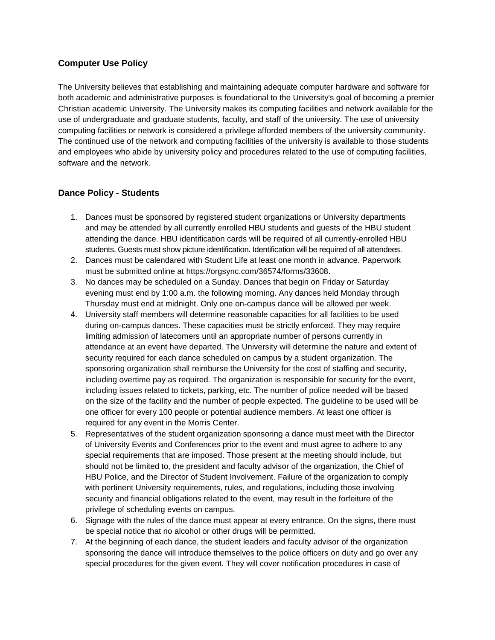## **Computer Use Policy**

The University believes that establishing and maintaining adequate computer hardware and software for both academic and administrative purposes is foundational to the University's goal of becoming a premier Christian academic University. The University makes its computing facilities and network available for the use of undergraduate and graduate students, faculty, and staff of the university. The use of university computing facilities or network is considered a privilege afforded members of the university community. The continued use of the network and computing facilities of the university is available to those students and employees who abide by university policy and procedures related to the use of computing facilities, software and the network.

## **Dance Policy - Students**

- 1. Dances must be sponsored by registered student organizations or University departments and may be attended by all currently enrolled HBU students and guests of the HBU student attending the dance. HBU identification cards will be required of all currently-enrolled HBU students. Guests must show picture identification. Identification will be required of all attendees.
- 2. Dances must be calendared with Student Life at least one month in advance. Paperwork must be submitted online at [https://orgsync.com/36574/forms/33608.](https://orgsync.com/36574/forms/33608)
- 3. No dances may be scheduled on a Sunday. Dances that begin on Friday or Saturday evening must end by 1:00 a.m. the following morning. Any dances held Monday through Thursday must end at midnight. Only one on-campus dance will be allowed per week.
- 4. University staff members will determine reasonable capacities for all facilities to be used during on-campus dances. These capacities must be strictly enforced. They may require limiting admission of latecomers until an appropriate number of persons currently in attendance at an event have departed. The University will determine the nature and extent of security required for each dance scheduled on campus by a student organization. The sponsoring organization shall reimburse the University for the cost of staffing and security, including overtime pay as required. The organization is responsible for security for the event, including issues related to tickets, parking, etc. The number of police needed will be based on the size of the facility and the number of people expected. The guideline to be used will be one officer for every 100 people or potential audience members. At least one officer is required for any event in the Morris Center.
- 5. Representatives of the student organization sponsoring a dance must meet with the Director of University Events and Conferences prior to the event and must agree to adhere to any special requirements that are imposed. Those present at the meeting should include, but should not be limited to, the president and faculty advisor of the organization, the Chief of HBU Police, and the Director of Student Involvement. Failure of the organization to comply with pertinent University requirements, rules, and regulations, including those involving security and financial obligations related to the event, may result in the forfeiture of the privilege of scheduling events on campus.
- 6. Signage with the rules of the dance must appear at every entrance. On the signs, there must be special notice that no alcohol or other drugs will be permitted.
- 7. At the beginning of each dance, the student leaders and faculty advisor of the organization sponsoring the dance will introduce themselves to the police officers on duty and go over any special procedures for the given event. They will cover notification procedures in case of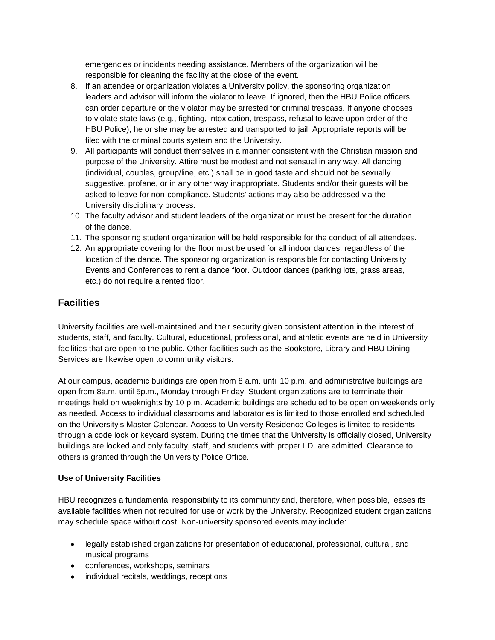emergencies or incidents needing assistance. Members of the organization will be responsible for cleaning the facility at the close of the event.

- 8. If an attendee or organization violates a University policy, the sponsoring organization leaders and advisor will inform the violator to leave. If ignored, then the HBU Police officers can order departure or the violator may be arrested for criminal trespass. If anyone chooses to violate state laws (e.g., fighting, intoxication, trespass, refusal to leave upon order of the HBU Police), he or she may be arrested and transported to jail. Appropriate reports will be filed with the criminal courts system and the University.
- 9. All participants will conduct themselves in a manner consistent with the Christian mission and purpose of the University. Attire must be modest and not sensual in any way. All dancing (individual, couples, group/line, etc.) shall be in good taste and should not be sexually suggestive, profane, or in any other way inappropriate. Students and/or their guests will be asked to leave for non-compliance. Students' actions may also be addressed via the University disciplinary process.
- 10. The faculty advisor and student leaders of the organization must be present for the duration of the dance.
- 11. The sponsoring student organization will be held responsible for the conduct of all attendees.
- 12. An appropriate covering for the floor must be used for all indoor dances, regardless of the location of the dance. The sponsoring organization is responsible for contacting University Events and Conferences to rent a dance floor. Outdoor dances (parking lots, grass areas, etc.) do not require a rented floor.

## **Facilities**

University facilities are well-maintained and their security given consistent attention in the interest of students, staff, and faculty. Cultural, educational, professional, and athletic events are held in University facilities that are open to the public. Other facilities such as the [Bookstore,](http://www.hbubookstore.com/) Library and [HBU Dining](http://www.campusdish.com/en-US/CSSW/HoustonBaptist)  [Services](http://www.campusdish.com/en-US/CSSW/HoustonBaptist) are likewise open to community visitors.

At our campus, academic buildings are open from 8 a.m. until 10 p.m. and administrative buildings are open from 8a.m. until 5p.m., Monday through Friday. Student organizations are to terminate their meetings held on weeknights by 10 p.m. Academic buildings are scheduled to be open on weekends only as needed. Access to individual classrooms and laboratories is limited to those enrolled and scheduled on the University's Master Calendar. Access to University Residence Colleges is limited to residents through a code lock or keycard system. During the times that the University is officially closed, University buildings are locked and only faculty, staff, and students with proper I.D. are admitted. Clearance to others is granted through the University Police Office.

## **Use of University Facilities**

HBU recognizes a fundamental responsibility to its community and, therefore, when possible, leases its available facilities when not required for use or work by the University. Recognized student organizations may schedule space without cost. Non-university sponsored events may include:

- legally established organizations for presentation of educational, professional, cultural, and musical programs
- conferences, workshops, seminars
- individual recitals, weddings, receptions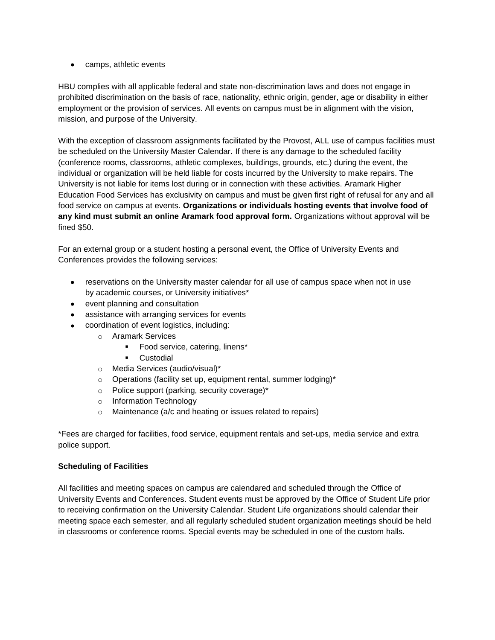• camps, athletic events

HBU complies with all applicable federal and state non-discrimination laws and does not engage in prohibited discrimination on the basis of race, nationality, ethnic origin, gender, age or disability in either employment or the provision of services. All events on campus must be in alignment with the vision, mission, and purpose of the University.

With the exception of classroom assignments facilitated by the Provost, ALL use of campus facilities must be scheduled on the University Master Calendar. If there is any damage to the scheduled facility (conference rooms, classrooms, athletic complexes, buildings, grounds, etc.) during the event, the individual or organization will be held liable for costs incurred by the University to make repairs. The University is not liable for items lost during or in connection with these activities. Aramark Higher Education Food Services has exclusivity on campus and must be given first right of refusal for any and all food service on campus at events. **Organizations or individuals hosting events that involve food of any kind must submit an online Aramark food approval form.** Organizations without approval will be fined \$50.

For an external group or a student hosting a personal event, the Office of University Events and Conferences provides the following services:

- reservations on the University master calendar for all use of campus space when not in use  $\bullet$ by academic courses, or University initiatives\*
- event planning and consultation
- assistance with arranging services for events
- coordination of event logistics, including:
	- o Aramark Services
		- **Food service, catering, linens\***
		- **Custodial**
	- o Media Services (audio/visual)\*
	- o Operations (facility set up, equipment rental, summer lodging)\*
	- o Police support (parking, security coverage)\*
	- o Information Technology
	- o Maintenance (a/c and heating or issues related to repairs)

\*Fees are charged for facilities, food service, equipment rentals and set-ups, media service and extra police support.

## **Scheduling of Facilities**

All facilities and meeting spaces on campus are calendared and scheduled through the [Office of](https://hbu.edu/About-HBU/Resources/University-Events-and-Conferences.aspx)  [University Events and Conferences.](https://hbu.edu/About-HBU/Resources/University-Events-and-Conferences.aspx) Student events must be approved by the Office of Student Life prior to receiving confirmation on the University Calendar. Student Life organizations should calendar their meeting space each semester, and all regularly scheduled student organization meetings should be held in classrooms or conference rooms. Special events may be scheduled in one of the custom halls.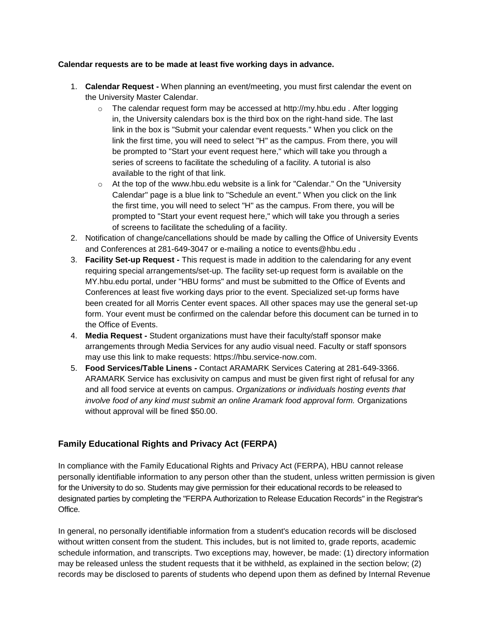#### **Calendar requests are to be made at least five working days in advance.**

- 1. **Calendar Request -** When planning an event/meeting, you must first calendar the event on the University Master Calendar.
	- o The calendar request form may be accessed at [http://my.hbu.edu](http://my.hbu.edu/) *.* After logging in, the University calendars box is the third box on the right-hand side. The last link in the box is "Submit your calendar event requests." When you click on the link the first time, you will need to select "H" as the campus. From there, you will be prompted to "Start your event request here," which will take you through a series of screens to facilitate the scheduling of a facility. A tutorial is also available to the right of that link*.*
	- $\circ$  At the top of the [www.hbu.edu](http://www.hbu.edu/) website is a link for "Calendar." On the "University Calendar" page is a blue link to "Schedule an event." When you click on the link the first time, you will need to select "H" as the campus. From there, you will be prompted to "Start your event request here," which will take you through a series of screens to facilitate the scheduling of a facility.
- 2. Notification of change/cancellations should be made by calling the Office of University Events and Conferences at 281-649-3047 or e-mailing a notice to [events@hbu.edu](mailto:events@hbu.edu) .
- 3. **Facility Set-up Request -** This request is made in addition to the calendaring for any event requiring special arrangements/set-up. The facility set-up request form is available on the [MY.hbu.edu](http://my.hbu.edu/) portal, under "HBU forms" and must be submitted to the Office of Events and Conferences at least five working days prior to the event. Specialized set-up forms have been created for all Morris Center event spaces. All other spaces may use the general set-up form. Your event must be confirmed on the calendar before this document can be turned in to the Office of Events.
- 4. **Media Request -** Student organizations must have their faculty/staff sponsor make arrangements through Media Services for any audio visual need. Faculty or staff sponsors may use this link to make requests: [https://hbu.service-now.com.](https://hbu.service-now.com/)
- 5. **Food Services/Table Linens -** Contact ARAMARK Services Catering at 281-649-3366. ARAMARK Service has exclusivity on campus and must be given first right of refusal for any and all food service at events on campus. *Organizations or individuals hosting events that involve food of any kind must submit an online Aramark food approval form.* Organizations without approval will be fined \$50.00.

## **Family Educational Rights and Privacy Act (FERPA)**

In compliance with the Family Educational Rights and Privacy Act (FERPA), HBU cannot release personally identifiable information to any person other than the student, unless written permission is given for the University to do so. Students may give permission for their educational records to be released to designated parties by completing the "FERPA Authorization to Release Education Records" in the Registrar's Office.

In general, no personally identifiable information from a student's education records will be disclosed without written consent from the student. This includes, but is not limited to, grade reports, academic schedule information, and transcripts. Two exceptions may, however, be made: (1) directory information may be released unless the student requests that it be withheld, as explained in the section below; (2) records may be disclosed to parents of students who depend upon them as defined by Internal Revenue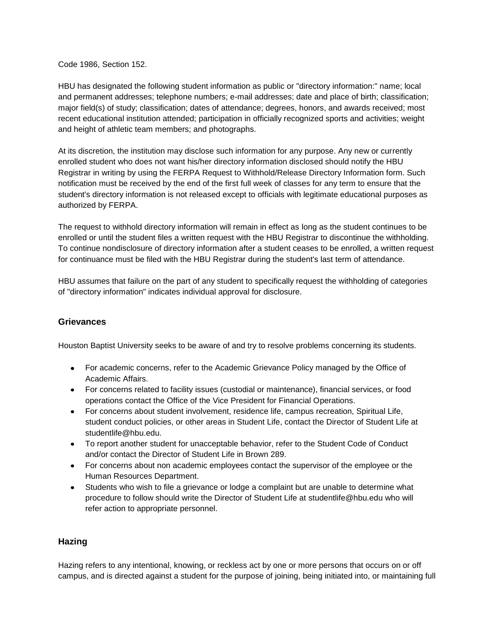Code 1986, Section 152.

HBU has designated the following student information as public or "directory information:" name; local and permanent addresses; telephone numbers; e-mail addresses; date and place of birth; classification; major field(s) of study; classification; dates of attendance; degrees, honors, and awards received; most recent educational institution attended; participation in officially recognized sports and activities; weight and height of athletic team members; and photographs.

At its discretion, the institution may disclose such information for any purpose. Any new or currently enrolled student who does not want his/her directory information disclosed should notify the HBU Registrar in writing by using the FERPA Request to Withhold/Release Directory Information form. Such notification must be received by the end of the first full week of classes for any term to ensure that the student's directory information is not released except to officials with legitimate educational purposes as authorized by FERPA.

The request to withhold directory information will remain in effect as long as the student continues to be enrolled or until the student files a written request with the HBU Registrar to discontinue the withholding. To continue nondisclosure of directory information after a student ceases to be enrolled, a written request for continuance must be filed with the HBU Registrar during the student's last term of attendance.

HBU assumes that failure on the part of any student to specifically request the withholding of categories of "directory information" indicates individual approval for disclosure.

## **Grievances**

Houston Baptist University seeks to be aware of and try to resolve problems concerning its students.

- For academic concerns, refer to the Academic [Grievance Policy](https://hbu.edu/HBU/media/HBU/publications/academics/AcademicGrievanceProcess.pdf) managed by the Office of Academic Affairs.
- For concerns related to facility issues (custodial or maintenance), financial services, or food operations contact the Office of the Vice President for Financial Operations.
- For concerns about student involvement, residence life, campus recreation, Spiritual Life, student conduct policies, or other areas in Student Life, contact the Director of Student Life at [studentlife@hbu.edu.](mailto:studentlife@hbu.edu)
- To report another student for unacceptable behavior, refer to the Student Code of Conduct and/or contact the Director of Student Life in Brown 289.
- For concerns about non academic employees contact the supervisor of the employee or the [Human Resources Department.](mailto:humanresources@hbu.edu)
- Students who wish to file a grievance or lodge a complaint but are unable to determine what procedure to follow should write the Director of Student Life at [studentlife@hbu.edu](mailto:studentlife@hbu.edu) who will refer action to appropriate personnel.

## **Hazing**

Hazing refers to any intentional, knowing, or reckless act by one or more persons that occurs on or off campus, and is directed against a student for the purpose of joining, being initiated into, or maintaining full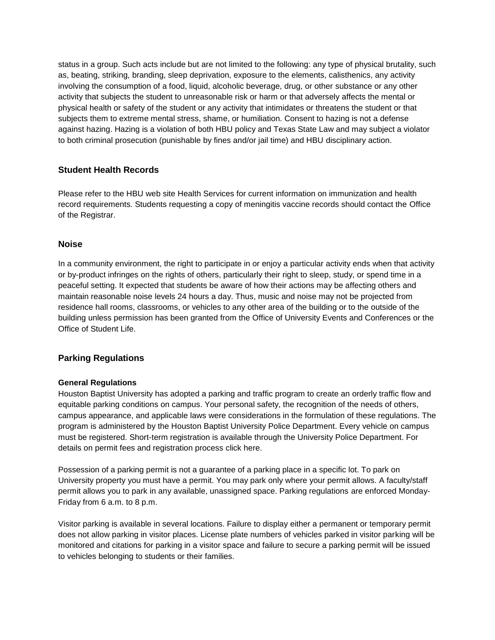status in a group. Such acts include but are not limited to the following: any type of physical brutality, such as, beating, striking, branding, sleep deprivation, exposure to the elements, calisthenics, any activity involving the consumption of a food, liquid, alcoholic beverage, drug, or other substance or any other activity that subjects the student to unreasonable risk or harm or that adversely affects the mental or physical health or safety of the student or any activity that intimidates or threatens the student or that subjects them to extreme mental stress, shame, or humiliation. Consent to hazing is not a defense against hazing. Hazing is a violation of both HBU policy and Texas State Law and may subject a violator to both criminal prosecution (punishable by fines and/or jail time) and HBU disciplinary action.

## **Student Health Records**

Please refer to the HBU web site [Health Services](https://hbu.edu/About-HBU/Resources/Health-Services/New-Student-Requirements.aspx) for current information on immunization and health record requirements. Students requesting a copy of meningitis vaccine records should contact the [Office](mailto:registrar@hbu.edu)  [of the Registrar.](mailto:registrar@hbu.edu)

## **Noise**

In a community environment, the right to participate in or enjoy a particular activity ends when that activity or by-product infringes on the rights of others, particularly their right to sleep, study, or spend time in a peaceful setting. It expected that students be aware of how their actions may be affecting others and maintain reasonable noise levels 24 hours a day. Thus, music and noise may not be projected from residence hall rooms, classrooms, or vehicles to any other area of the building or to the outside of the building unless permission has been granted from the [Office of University Events and Conferences](https://hbu.edu/About-HBU/Resources/University-Events-and-Conferences.aspx) or the [Office of Student Life.](https://hbu.edu/Students-Alumni/Student-Information/Student-Life/Student-Life-Directory.aspx)

## **Parking Regulations**

#### **General Regulations**

Houston Baptist University has adopted a parking and traffic program to create an orderly traffic flow and equitable parking conditions on campus. Your personal safety, the recognition of the needs of others, campus appearance, and applicable laws were considerations in the formulation of these regulations. The program is administered by the [Houston Baptist University Police Department.](https://hbu.edu/About-HBU/Resources/HBU-Alert-System/University-Police.aspx) Every vehicle on campus must be registered. Short-term registration is available through the University Police Department. For details on permit fees and registration process [click here.](https://hbu.edu/About-HBU/The-Campus/Police-Parking.aspx)

Possession of a parking permit is not a guarantee of a parking place in a specific lot. To park on University property you must have a permit. You may park only where your permit allows. A faculty/staff permit allows you to park in any available, unassigned space. Parking regulations are enforced Monday-Friday from 6 a.m. to 8 p.m.

Visitor parking is available in several locations. Failure to display either a permanent or temporary permit does not allow parking in visitor places. License plate numbers of vehicles parked in visitor parking will be monitored and citations for parking in a visitor space and failure to secure a parking permit will be issued to vehicles belonging to students or their families.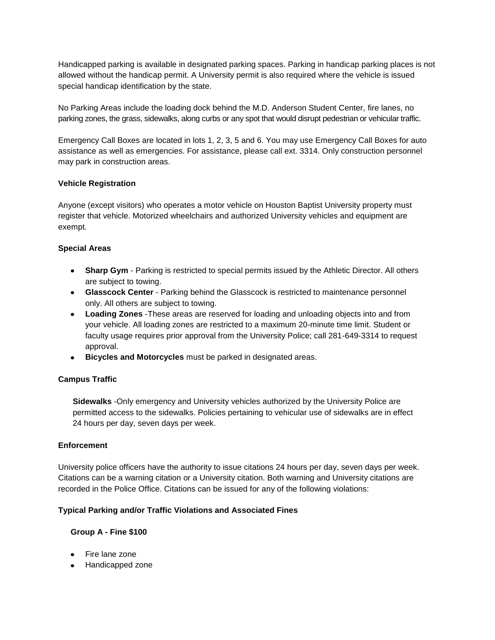Handicapped parking is available in designated parking spaces. Parking in handicap parking places is not allowed without the handicap permit. A University permit is also required where the vehicle is issued special handicap identification by the state.

No Parking Areas include the loading dock behind the M.D. Anderson Student Center, fire lanes, no parking zones, the grass, sidewalks, along curbs or any spot that would disrupt pedestrian or vehicular traffic.

Emergency Call Boxes are located in lots 1, 2, 3, 5 and 6. You may use Emergency Call Boxes for auto assistance as well as emergencies. For assistance, please call ext. 3314. Only construction personnel may park in construction areas.

#### **Vehicle Registration**

Anyone (except visitors) who operates a motor vehicle on Houston Baptist University property must register that vehicle. Motorized wheelchairs and authorized University vehicles and equipment are exempt.

#### **Special Areas**

- **Sharp Gym**  Parking is restricted to special permits issued by the Athletic Director. All others are subject to towing.
- **Glasscock Center**  Parking behind the Glasscock is restricted to maintenance personnel only. All others are subject to towing.
- **Loading Zones** -These areas are reserved for loading and unloading objects into and from your vehicle. All loading zones are restricted to a maximum 20-minute time limit. Student or faculty usage requires prior approval from the University Police; call 281-649-3314 to request approval.
- **Bicycles and Motorcycles** must be parked in designated areas.

## **Campus Traffic**

**Sidewalks** -Only emergency and University vehicles authorized by the University Police are permitted access to the sidewalks. Policies pertaining to vehicular use of sidewalks are in effect 24 hours per day, seven days per week.

#### **Enforcement**

University police officers have the authority to issue citations 24 hours per day, seven days per week. Citations can be a warning citation or a University citation. Both warning and University citations are recorded in the Police Office. Citations can be issued for any of the following violations:

#### **Typical Parking and/or Traffic Violations and Associated Fines**

## **Group A - Fine \$100**

- Fire lane zone
- Handicapped zone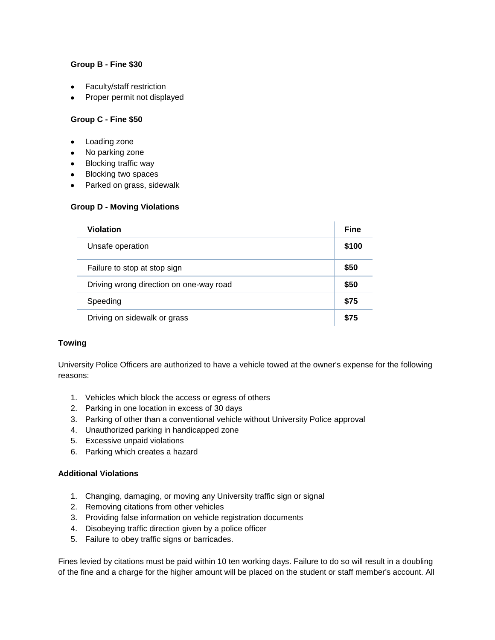## **Group B - Fine \$30**

- Faculty/staff restriction
- Proper permit not displayed

#### **Group C - Fine \$50**

- Loading zone  $\bullet$
- No parking zone
- Blocking traffic way
- Blocking two spaces
- Parked on grass, sidewalk

#### **Group D - Moving Violations**

| <b>Violation</b>                        | <b>Fine</b> |
|-----------------------------------------|-------------|
| Unsafe operation                        | \$100       |
| Failure to stop at stop sign            | \$50        |
| Driving wrong direction on one-way road | \$50        |
| Speeding                                | \$75        |
| Driving on sidewalk or grass            | \$75        |

## **Towing**

University Police Officers are authorized to have a vehicle towed at the owner's expense for the following reasons:

- 1. Vehicles which block the access or egress of others
- 2. Parking in one location in excess of 30 days
- 3. Parking of other than a conventional vehicle without University Police approval
- 4. Unauthorized parking in handicapped zone
- 5. Excessive unpaid violations
- 6. Parking which creates a hazard

## **Additional Violations**

- 1. Changing, damaging, or moving any University traffic sign or signal
- 2. Removing citations from other vehicles
- 3. Providing false information on vehicle registration documents
- 4. Disobeying traffic direction given by a police officer
- 5. Failure to obey traffic signs or barricades.

Fines levied by citations must be paid within 10 ten working days. Failure to do so will result in a doubling of the fine and a charge for the higher amount will be placed on the student or staff member's account. All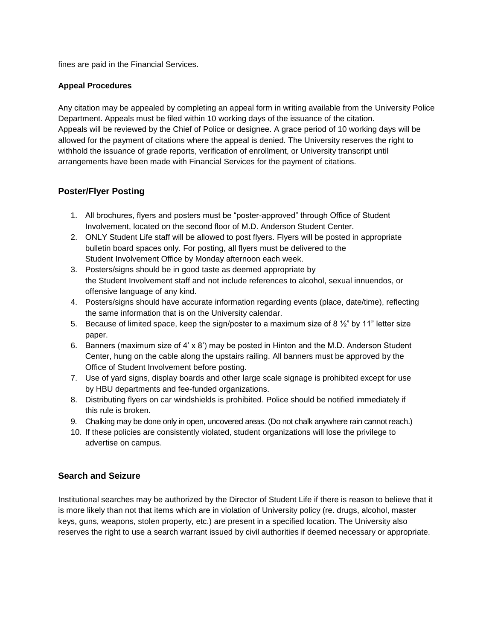fines are paid in the Financial Services.

#### **Appeal Procedures**

Any citation may be appealed by completing an appeal form in writing available from the University Police Department. Appeals must be filed within 10 working days of the issuance of the citation. Appeals will be reviewed by the Chief of Police or designee. A grace period of 10 working days will be allowed for the payment of citations where the appeal is denied. The University reserves the right to withhold the issuance of grade reports, verification of enrollment, or University transcript until arrangements have been made with Financial Services for the payment of citations.

## **Poster/Flyer Posting**

- 1. All brochures, flyers and posters must be "poster-approved" through Office of Student Involvement, located on the second floor of M.D. Anderson Student Center.
- 2. ONLY Student Life staff will be allowed to post flyers. Flyers will be posted in appropriate bulletin board spaces only. For posting, all flyers must be delivered to the Student Involvement Office by Monday afternoon each week.
- 3. Posters/signs should be in good taste as deemed appropriate by the Student Involvement staff and not include references to alcohol, sexual innuendos, or offensive language of any kind.
- 4. Posters/signs should have accurate information regarding events (place, date/time), reflecting the same information that is on the University calendar.
- 5. Because of limited space, keep the sign/poster to a maximum size of 8  $\frac{1}{2}$  by 11" letter size paper.
- 6. Banners (maximum size of 4' x 8') may be posted in Hinton and the M.D. Anderson Student Center, hung on the cable along the upstairs railing. All banners must be approved by the Office of Student Involvement before posting.
- 7. Use of yard signs, display boards and other large scale signage is prohibited except for use by HBU departments and fee-funded organizations.
- 8. Distributing flyers on car windshields is prohibited. Police should be notified immediately if this rule is broken.
- 9. Chalking may be done only in open, uncovered areas. (Do not chalk anywhere rain cannot reach.)
- 10. If these policies are consistently violated, student organizations will lose the privilege to advertise on campus.

## **Search and Seizure**

Institutional searches may be authorized by the Director of Student Life if there is reason to believe that it is more likely than not that items which are in violation of University policy (re. drugs, alcohol, master keys, guns, weapons, stolen property, etc.) are present in a specified location. The University also reserves the right to use a search warrant issued by civil authorities if deemed necessary or appropriate.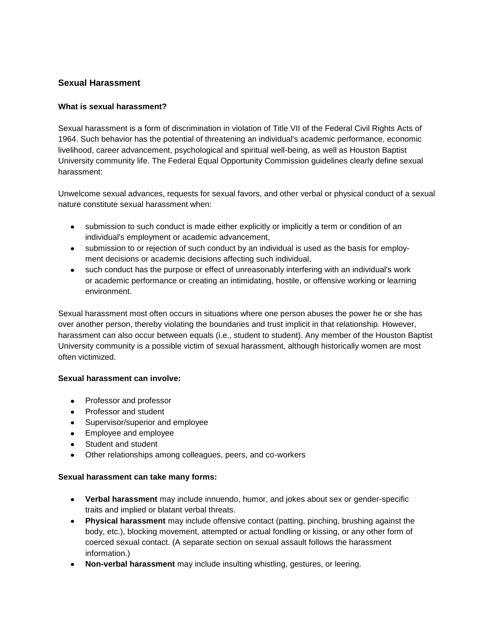## **Sexual Harassment**

## **What is sexual harassment?**

Sexual harassment is a form of discrimination in violation of Title VII of the Federal Civil Rights Acts of 1964. Such behavior has the potential of threatening an individual's academic performance, economic livelihood, career advancement, psychological and spiritual well-being, as well as Houston Baptist University community life. The Federal Equal Opportunity Commission guidelines clearly define sexual harassment:

Unwelcome sexual advances, requests for sexual favors, and other verbal or physical conduct of a sexual nature constitute sexual harassment when:

- submission to such conduct is made either explicitly or implicitly a term or condition of an  $\bullet$ individual's employment or academic advancement,
- submission to or rejection of such conduct by an individual is used as the basis for employment decisions or academic decisions affecting such individual,
- $\bullet$ such conduct has the purpose or effect of unreasonably interfering with an individual's work or academic performance or creating an intimidating, hostile, or offensive working or learning environment.

Sexual harassment most often occurs in situations where one person abuses the power he or she has over another person, thereby violating the boundaries and trust implicit in that relationship. However, harassment can also occur between equals (i.e., student to student). Any member of the Houston Baptist University community is a possible victim of sexual harassment, although historically women are most often victimized.

## **Sexual harassment can involve:**

- Professor and professor
- Professor and student
- Supervisor/superior and employee
- Employee and employee
- Student and student
- Other relationships among colleagues, peers, and co-workers

## **Sexual harassment can take many forms:**

- **Verbal harassment** may include innuendo, humor, and jokes about sex or gender-specific traits and implied or blatant verbal threats.
- **Physical harassment** may include offensive contact (patting, pinching, brushing against the  $\bullet$ body, etc.), blocking movement, attempted or actual fondling or kissing, or any other form of coerced sexual contact. (A separate section on sexual assault follows the harassment information.)
- **Non-verbal harassment** may include insulting whistling, gestures, or leering.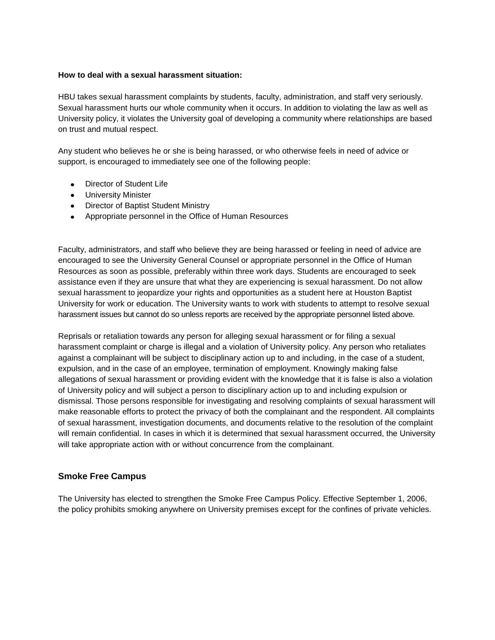#### **How to deal with a sexual harassment situation:**

HBU takes sexual harassment complaints by students, faculty, administration, and staff very seriously. Sexual harassment hurts our whole community when it occurs. In addition to violating the law as well as University policy, it violates the University goal of developing a community where relationships are based on trust and mutual respect.

Any student who believes he or she is being harassed, or who otherwise feels in need of advice or support, is encouraged to immediately see one of the following people:

- [Director of Student Life](http://www.hbu.edu/Students-Alumni/Student-Information/Student-Life/Student-Life-Directory.aspx)
- **•** [University Minister](http://www.hbu.edu/Students-Alumni/Student-Information/Spiritual-Life/Spiritual-Life-Department/Contact-Us.aspx)
- [Director of Baptist Student Ministry](https://hbu.edu/Students-Alumni/Student-Information/Spiritual-Life/Spiritual-Life-Department/Meet-Our-Staff/Danny-Miller.aspx)
- Appropriate personnel in the [Office of Human Resources](mailto:humanresources@hbu.edu)

Faculty, administrators, and staff who believe they are being harassed or feeling in need of advice are encouraged to see the University General Counsel or appropriate personnel in the Office of Human Resources as soon as possible, preferably within three work days. Students are encouraged to seek assistance even if they are unsure that what they are experiencing is sexual harassment. Do not allow sexual harassment to jeopardize your rights and opportunities as a student here at Houston Baptist University for work or education. The University wants to work with students to attempt to resolve sexual harassment issues but cannot do so unless reports are received by the appropriate personnel listed above.

Reprisals or retaliation towards any person for alleging sexual harassment or for filing a sexual harassment complaint or charge is illegal and a violation of University policy. Any person who retaliates against a complainant will be subject to disciplinary action up to and including, in the case of a student, expulsion, and in the case of an employee, termination of employment. Knowingly making false allegations of sexual harassment or providing evident with the knowledge that it is false is also a violation of University policy and will subject a person to disciplinary action up to and including expulsion or dismissal. Those persons responsible for investigating and resolving complaints of sexual harassment will make reasonable efforts to protect the privacy of both the complainant and the respondent. All complaints of sexual harassment, investigation documents, and documents relative to the resolution of the complaint will remain confidential. In cases in which it is determined that sexual harassment occurred, the University will take appropriate action with or without concurrence from the complainant.

## **Smoke Free Campus**

The University has elected to strengthen the Smoke Free Campus Policy. Effective September 1, 2006, the policy prohibits smoking anywhere on University premises except for the confines of private vehicles.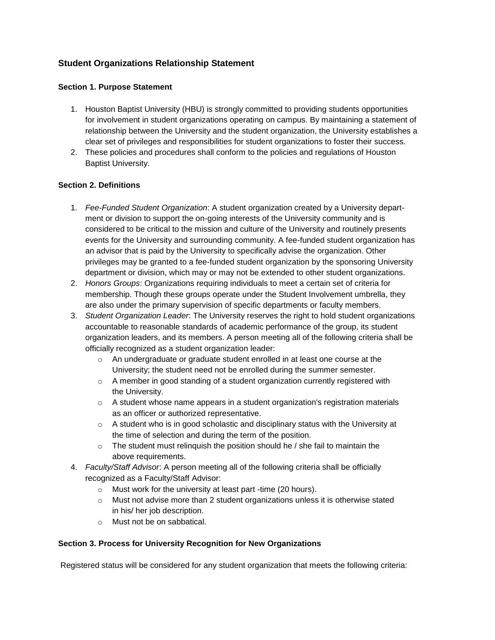## **Student Organizations Relationship Statement**

## **Section 1. Purpose Statement**

- 1. Houston Baptist University (HBU) is strongly committed to providing students opportunities for involvement in student organizations operating on campus. By maintaining a statement of relationship between the University and the student organization, the University establishes a clear set of privileges and responsibilities for student organizations to foster their success.
- 2. These policies and procedures shall conform to the policies and regulations of Houston Baptist University.

## **Section 2. Definitions**

- 1. *Fee-Funded Student Organization*: A student organization created by a University department or division to support the on-going interests of the University community and is considered to be critical to the mission and culture of the University and routinely presents events for the University and surrounding community. A fee-funded student organization has an advisor that is paid by the University to specifically advise the organization. Other privileges may be granted to a fee-funded student organization by the sponsoring University department or division, which may or may not be extended to other student organizations.
- 2. *Honors Groups*: Organizations requiring individuals to meet a certain set of criteria for membership. Though these groups operate under the Student Involvement umbrella, they are also under the primary supervision of specific departments or faculty members.
- 3. *Student Organization Leader*: The University reserves the right to hold student organizations accountable to reasonable standards of academic performance of the group, its student organization leaders, and its members. A person meeting all of the following criteria shall be officially recognized as a student organization leader:
	- o An undergraduate or graduate student enrolled in at least one course at the University; the student need not be enrolled during the summer semester.
	- o A member in good standing of a student organization currently registered with the University.
	- $\circ$  A student whose name appears in a student organization's registration materials as an officer or authorized representative.
	- o A student who is in good scholastic and disciplinary status with the University at the time of selection and during the term of the position.
	- $\circ$  The student must relinguish the position should he / she fail to maintain the above requirements.
- 4. *Faculty/Staff Advisor*: A person meeting all of the following criteria shall be officially recognized as a Faculty/Staff Advisor:
	- o Must work for the university at least part -time (20 hours).
	- $\circ$  Must not advise more than 2 student organizations unless it is otherwise stated in his/ her job description.
	- o Must not be on sabbatical.

## **Section 3. Process for University Recognition for New Organizations**

Registered status will be considered for any student organization that meets the following criteria: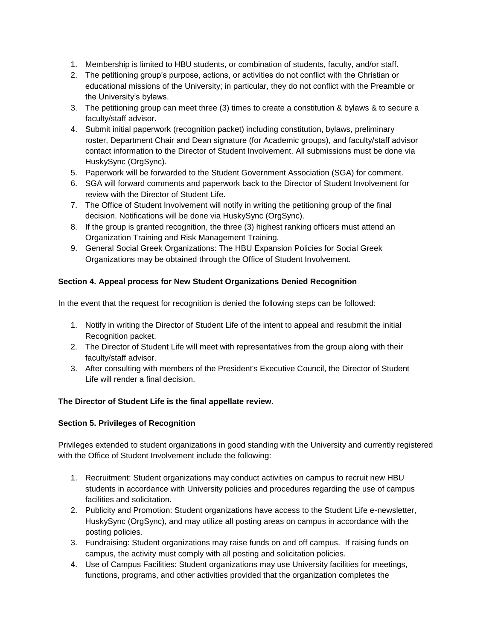- 1. Membership is limited to HBU students, or combination of students, faculty, and/or staff.
- 2. The petitioning group's purpose, actions, or activities do not conflict with the Christian or educational missions of the University; in particular, they do not conflict with the Preamble or the University's bylaws.
- 3. The petitioning group can meet three (3) times to create a constitution & bylaws & to secure a faculty/staff advisor.
- 4. Submit initial paperwork (recognition packet) including constitution, bylaws, preliminary roster, Department Chair and Dean signature (for Academic groups), and faculty/staff advisor contact information to the Director of Student Involvement. All submissions must be done via HuskySync (OrgSync).
- 5. Paperwork will be forwarded to the Student Government Association (SGA) for comment.
- 6. SGA will forward comments and paperwork back to the Director of Student Involvement for review with the Director of Student Life.
- 7. The Office of Student Involvement will notify in writing the petitioning group of the final decision. Notifications will be done via HuskySync (OrgSync).
- 8. If the group is granted recognition, the three (3) highest ranking officers must attend an Organization Training and Risk Management Training.
- 9. General Social Greek Organizations: The HBU Expansion Policies for Social Greek Organizations may be obtained through the Office of Student Involvement.

## **Section 4. Appeal process for New Student Organizations Denied Recognition**

In the event that the request for recognition is denied the following steps can be followed:

- 1. Notify in writing the [Director of Student Life](http://www.hbu.edu/Students-Alumni/Student-Information/Student-Life/Student-Life-Directory.aspx) of the intent to appeal and resubmit the initial Recognition packet.
- 2. The Director of Student Life will meet with representatives from the group along with their faculty/staff advisor.
- 3. After consulting with members of the President's Executive Council, the Director of Student Life will render a final decision.

## **The Director of Student Life is the final appellate review.**

## **Section 5. Privileges of Recognition**

Privileges extended to student organizations in good standing with the University and currently registered with the Office of Student Involvement include the following:

- 1. Recruitment: Student organizations may conduct activities on campus to recruit new HBU students in accordance with University policies and procedures regarding the use of campus facilities and solicitation.
- 2. Publicity and Promotion: Student organizations have access to the Student Life e-newsletter, HuskySync (OrgSync), and may utilize all posting areas on campus in accordance with the posting policies.
- 3. Fundraising: Student organizations may raise funds on and off campus. If raising funds on campus, the activity must comply with all posting and solicitation policies.
- 4. Use of Campus Facilities: Student organizations may use University facilities for meetings, functions, programs, and other activities provided that the organization completes the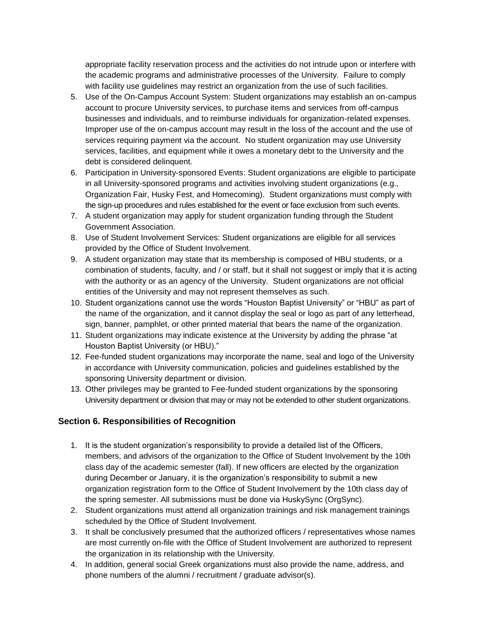appropriate facility reservation process and the activities do not intrude upon or interfere with the academic programs and administrative processes of the University. Failure to comply with facility use guidelines may restrict an organization from the use of such facilities.

- 5. Use of the On-Campus Account System: Student organizations may establish an on-campus account to procure University services, to purchase items and services from off-campus businesses and individuals, and to reimburse individuals for organization-related expenses. Improper use of the on-campus account may result in the loss of the account and the use of services requiring payment via the account. No student organization may use University services, facilities, and equipment while it owes a monetary debt to the University and the debt is considered delinquent.
- 6. Participation in University-sponsored Events: Student organizations are eligible to participate in all University-sponsored programs and activities involving student organizations (e.g., Organization Fair, Husky Fest, and Homecoming). Student organizations must comply with the sign-up procedures and rules established for the event or face exclusion from such events.
- 7. A student organization may apply for student organization funding through the Student Government Association.
- 8. Use of Student Involvement Services: Student organizations are eligible for all services provided by the Office of Student Involvement.
- 9. A student organization may state that its membership is composed of HBU students, or a combination of students, faculty, and / or staff, but it shall not suggest or imply that it is acting with the authority or as an agency of the University. Student organizations are not official entities of the University and may not represent themselves as such.
- 10. Student organizations cannot use the words "Houston Baptist University" or "HBU" as part of the name of the organization, and it cannot display the seal or logo as part of any letterhead, sign, banner, pamphlet, or other printed material that bears the name of the organization.
- 11. Student organizations may indicate existence at the University by adding the phrase "at Houston Baptist University (or HBU)."
- 12. Fee-funded student organizations may incorporate the name, seal and logo of the University in accordance with University communication, policies and guidelines established by the sponsoring University department or division.
- 13. Other privileges may be granted to Fee-funded student organizations by the sponsoring University department or division that may or may not be extended to other student organizations.

## **Section 6. Responsibilities of Recognition**

- 1. It is the student organization's responsibility to provide a detailed list of the Officers, members, and advisors of the organization to the Office of Student Involvement by the 10th class day of the academic semester (fall). If new officers are elected by the organization during December or January, it is the organization's responsibility to submit a new organization registration form to the Office of Student Involvement by the 10th class day of the spring semester. All submissions must be done via HuskySync (OrgSync).
- 2. Student organizations must attend all organization trainings and risk management trainings scheduled by the Office of Student Involvement.
- 3. It shall be conclusively presumed that the authorized officers / representatives whose names are most currently on-file with the Office of Student Involvement are authorized to represent the organization in its relationship with the University.
- 4. In addition, general social Greek organizations must also provide the name, address, and phone numbers of the alumni / recruitment / graduate advisor(s).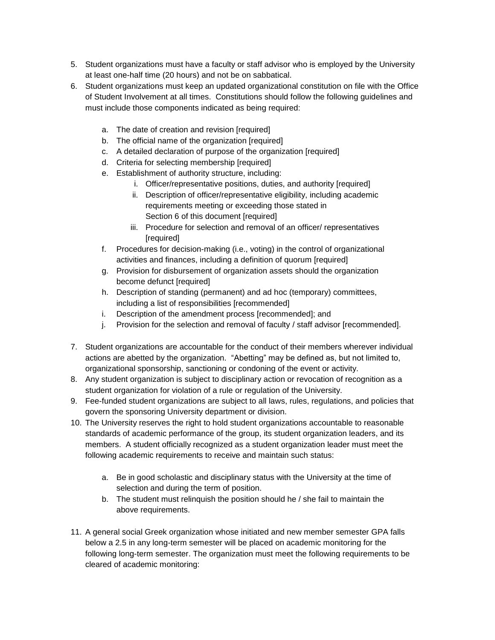- 5. Student organizations must have a faculty or staff advisor who is employed by the University at least one-half time (20 hours) and not be on sabbatical.
- 6. Student organizations must keep an updated organizational constitution on file with the Office of Student Involvement at all times. Constitutions should follow the following guidelines and must include those components indicated as being required:
	- a. The date of creation and revision [required]
	- b. The official name of the organization [required]
	- c. A detailed declaration of purpose of the organization [required]
	- d. Criteria for selecting membership [required]
	- e. Establishment of authority structure, including:
		- i. Officer/representative positions, duties, and authority [required]
		- ii. Description of officer/representative eligibility, including academic requirements meeting or exceeding those stated in Section 6 of this document [required]
		- iii. Procedure for selection and removal of an officer/ representatives [required]
	- f. Procedures for decision-making (i.e., voting) in the control of organizational activities and finances, including a definition of quorum [required]
	- g. Provision for disbursement of organization assets should the organization become defunct [required]
	- h. Description of standing (permanent) and ad hoc (temporary) committees, including a list of responsibilities [recommended]
	- i. Description of the amendment process [recommended]; and
	- j. Provision for the selection and removal of faculty / staff advisor [recommended].
- 7. Student organizations are accountable for the conduct of their members wherever individual actions are abetted by the organization. "Abetting" may be defined as, but not limited to, organizational sponsorship, sanctioning or condoning of the event or activity.
- 8. Any student organization is subject to disciplinary action or revocation of recognition as a student organization for violation of a rule or regulation of the University.
- 9. Fee-funded student organizations are subject to all laws, rules, regulations, and policies that govern the sponsoring University department or division.
- 10. The University reserves the right to hold student organizations accountable to reasonable standards of academic performance of the group, its student organization leaders, and its members. A student officially recognized as a student organization leader must meet the following academic requirements to receive and maintain such status:
	- a. Be in good scholastic and disciplinary status with the University at the time of selection and during the term of position.
	- b. The student must relinquish the position should he / she fail to maintain the above requirements.
- 11. A general social Greek organization whose initiated and new member semester GPA falls below a 2.5 in any long-term semester will be placed on academic monitoring for the following long-term semester. The organization must meet the following requirements to be cleared of academic monitoring: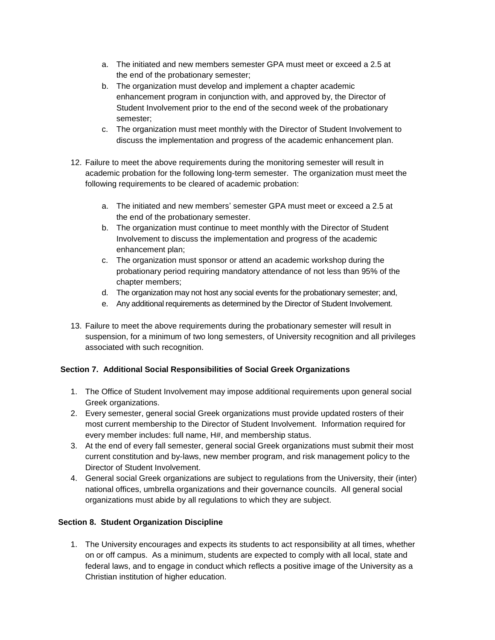- a. The initiated and new members semester GPA must meet or exceed a 2.5 at the end of the probationary semester;
- b. The organization must develop and implement a chapter academic enhancement program in conjunction with, and approved by, the Director of Student Involvement prior to the end of the second week of the probationary semester;
- c. The organization must meet monthly with the Director of Student Involvement to discuss the implementation and progress of the academic enhancement plan.
- 12. Failure to meet the above requirements during the monitoring semester will result in academic probation for the following long-term semester. The organization must meet the following requirements to be cleared of academic probation:
	- a. The initiated and new members' semester GPA must meet or exceed a 2.5 at the end of the probationary semester.
	- b. The organization must continue to meet monthly with the Director of Student Involvement to discuss the implementation and progress of the academic enhancement plan;
	- c. The organization must sponsor or attend an academic workshop during the probationary period requiring mandatory attendance of not less than 95% of the chapter members;
	- d. The organization may not host any social events for the probationary semester; and,
	- e. Any additional requirements as determined by the Director of Student Involvement.
- 13. Failure to meet the above requirements during the probationary semester will result in suspension, for a minimum of two long semesters, of University recognition and all privileges associated with such recognition.

## **Section 7. Additional Social Responsibilities of Social Greek Organizations**

- 1. The Office of Student Involvement may impose additional requirements upon general social Greek organizations.
- 2. Every semester, general social Greek organizations must provide updated rosters of their most current membership to the Director of Student Involvement. Information required for every member includes: full name, H#, and membership status.
- 3. At the end of every fall semester, general social Greek organizations must submit their most current constitution and by-laws, new member program, and risk management policy to the Director of Student Involvement.
- 4. General social Greek organizations are subject to regulations from the University, their (inter) national offices, umbrella organizations and their governance councils. All general social organizations must abide by all regulations to which they are subject.

## **Section 8. Student Organization Discipline**

1. The University encourages and expects its students to act responsibility at all times, whether on or off campus. As a minimum, students are expected to comply with all local, state and federal laws, and to engage in conduct which reflects a positive image of the University as a Christian institution of higher education.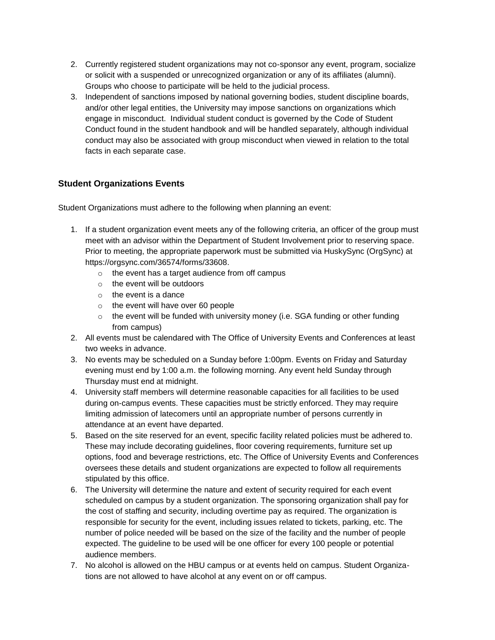- 2. Currently registered student organizations may not co-sponsor any event, program, socialize or solicit with a suspended or unrecognized organization or any of its affiliates (alumni). Groups who choose to participate will be held to the judicial process.
- 3. Independent of sanctions imposed by national governing bodies, student discipline boards, and/or other legal entities, the University may impose sanctions on organizations which engage in misconduct. Individual student conduct is governed by the Code of Student Conduct found in the student handbook and will be handled separately, although individual conduct may also be associated with group misconduct when viewed in relation to the total facts in each separate case.

## **Student Organizations Events**

Student Organizations must adhere to the following when planning an event:

- 1. If a student organization event meets any of the following criteria, an officer of the group must meet with an advisor within the Department of Student Involvement prior to reserving space. Prior to meeting, the appropriate paperwork must be submitted via HuskySync (OrgSync) at [https://orgsync.com/36574/forms/33608.](https://orgsync.com/36574/forms/33608)
	- o the event has a target audience from off campus
	- o the event will be outdoors
	- $\circ$  the event is a dance
	- o the event will have over 60 people
	- $\circ$  the event will be funded with university money (i.e. SGA funding or other funding from campus)
- 2. All events must be calendared with The Office of University Events and Conferences at least two weeks in advance.
- 3. No events may be scheduled on a Sunday before 1:00pm. Events on Friday and Saturday evening must end by 1:00 a.m. the following morning. Any event held Sunday through Thursday must end at midnight.
- 4. University staff members will determine reasonable capacities for all facilities to be used during on-campus events. These capacities must be strictly enforced. They may require limiting admission of latecomers until an appropriate number of persons currently in attendance at an event have departed.
- 5. Based on the site reserved for an event, specific facility related policies must be adhered to. These may include decorating guidelines, floor covering requirements, furniture set up options, food and beverage restrictions, etc. The Office of University Events and Conferences oversees these details and student organizations are expected to follow all requirements stipulated by this office.
- 6. The University will determine the nature and extent of security required for each event scheduled on campus by a student organization. The sponsoring organization shall pay for the cost of staffing and security, including overtime pay as required. The organization is responsible for security for the event, including issues related to tickets, parking, etc. The number of police needed will be based on the size of the facility and the number of people expected. The guideline to be used will be one officer for every 100 people or potential audience members.
- 7. No alcohol is allowed on the HBU campus or at events held on campus. Student Organizations are not allowed to have alcohol at any event on or off campus.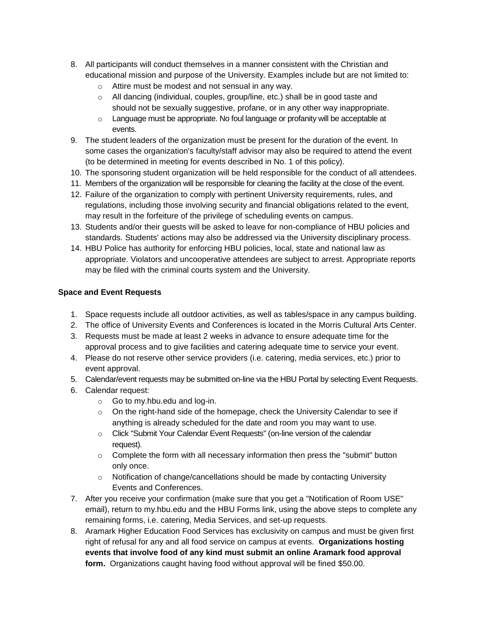- 8. All participants will conduct themselves in a manner consistent with the Christian and educational mission and purpose of the University. Examples include but are not limited to:
	- o Attire must be modest and not sensual in any way.
	- o All dancing (individual, couples, group/line, etc.) shall be in good taste and should not be sexually suggestive, profane, or in any other way inappropriate.
	- o Language must be appropriate. No foul language or profanity will be acceptable at events.
- 9. The student leaders of the organization must be present for the duration of the event. In some cases the organization's faculty/staff advisor may also be required to attend the event (to be determined in meeting for events described in No. 1 of this policy).
- 10. The sponsoring student organization will be held responsible for the conduct of all attendees.
- 11. Members of the organization will be responsible for cleaning the facility at the close of the event.
- 12. Failure of the organization to comply with pertinent University requirements, rules, and regulations, including those involving security and financial obligations related to the event, may result in the forfeiture of the privilege of scheduling events on campus.
- 13. Students and/or their guests will be asked to leave for non-compliance of HBU policies and standards. Students' actions may also be addressed via the University disciplinary process.
- 14. HBU Police has authority for enforcing HBU policies, local, state and national law as appropriate. Violators and uncooperative attendees are subject to arrest. Appropriate reports may be filed with the criminal courts system and the University.

## **Space and Event Requests**

- 1. Space requests include all outdoor activities, as well as tables/space in any campus building.
- 2. The office of University Events and Conferences is located in the Morris Cultural Arts Center.
- 3. Requests must be made at least 2 weeks in advance to ensure adequate time for the approval process and to give facilities and catering adequate time to service your event.
- 4. Please do not reserve other service providers (i.e. catering, media services, etc.) prior to event approval.
- 5. Calendar/event requests may be submitted on-line via the HBU Portal by selecting Event Requests.
- 6. Calendar request:
	- o Go to [my.hbu.edu](http://my.hbu.edu/) and log-in.
	- $\circ$  On the right-hand side of the homepage, check the University Calendar to see if anything is already scheduled for the date and room you may want to use.
	- o Click "Submit Your Calendar Event Requests" (on-line version of the calendar request).
	- $\circ$  Complete the form with all necessary information then press the "submit" button only once.
	- $\circ$  Notification of change/cancellations should be made by contacting University Events and Conferences.
- 7. After you receive your confirmation (make sure that you get a "Notification of Room USE" email), return to [my.hbu.edu](http://my.hbu.edu/) and the HBU Forms link, using the above steps to complete any remaining forms, i.e. catering, Media Services, and set-up requests.
- 8. Aramark Higher Education Food Services has exclusivity on campus and must be given first right of refusal for any and all food service on campus at events. **Organizations hosting events that involve food of any kind must submit an online Aramark food approval form.** Organizations caught having food without approval will be fined \$50.00.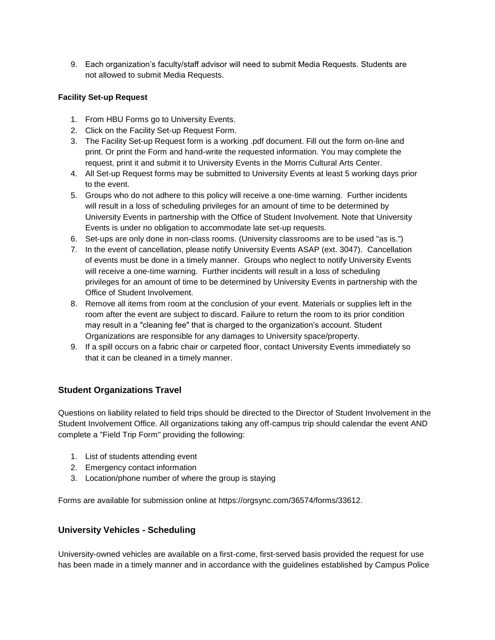9. Each organization's faculty/staff advisor will need to submit Media Requests. Students are not allowed to submit Media Requests.

## **Facility Set-up Request**

- 1. From HBU Forms go to University Events.
- 2. Click on the Facility Set-up Request Form.
- 3. The Facility Set-up Request form is a working .pdf document. Fill out the form on-line and print. Or print the Form and hand-write the requested information. You may complete the request, print it and submit it to University Events in the Morris Cultural Arts Center.
- 4. All Set-up Request forms may be submitted to University Events at least 5 working days prior to the event.
- 5. Groups who do not adhere to this policy will receive a one-time warning. Further incidents will result in a loss of scheduling privileges for an amount of time to be determined by University Events in partnership with the Office of Student Involvement. Note that University Events is under no obligation to accommodate late set-up requests.
- 6. Set-ups are only done in non-class rooms. (University classrooms are to be used "as is.")
- 7. In the event of cancellation, please notify University Events ASAP (ext. 3047). Cancellation of events must be done in a timely manner. Groups who neglect to notify University Events will receive a one-time warning. Further incidents will result in a loss of scheduling privileges for an amount of time to be determined by University Events in partnership with the Office of Student Involvement.
- 8. Remove all items from room at the conclusion of your event. Materials or supplies left in the room after the event are subject to discard. Failure to return the room to its prior condition may result in a "cleaning fee" that is charged to the organization's account. Student Organizations are responsible for any damages to University space/property.
- 9. If a spill occurs on a fabric chair or carpeted floor, contact University Events immediately so that it can be cleaned in a timely manner.

## **Student Organizations Travel**

Questions on liability related to field trips should be directed to the Director of Student Involvement in the Student Involvement Office. All organizations taking any off-campus trip should calendar the event AND complete a "Field Trip Form" providing the following:

- 1. List of students attending event
- 2. Emergency contact information
- 3. Location/phone number of where the group is staying

Forms are available for submission online at [https://orgsync.com/36574/forms/33612.](https://orgsync.com/36574/forms/33612)

## **University Vehicles - Scheduling**

University-owned vehicles are available on a first-come, first-served basis provided the request for use has been made in a timely manner and in accordance with the guidelines established by Campus Police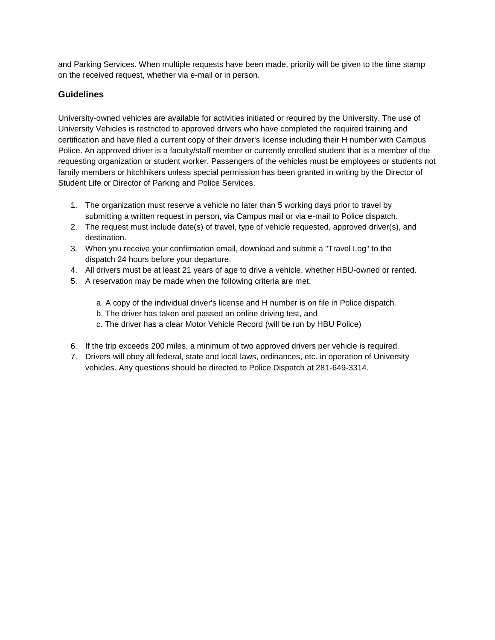and Parking Services. When multiple requests have been made, priority will be given to the time stamp on the received request, whether via e-mail or in person.

## **Guidelines**

University-owned vehicles are available for activities initiated or required by the University. The use of University Vehicles is restricted to approved drivers who have completed the required training and certification and have filed a current copy of their driver's license including their H number with Campus Police. An approved driver is a faculty/staff member or currently enrolled student that is a member of the requesting organization or student worker. Passengers of the vehicles must be employees or students not family members or hitchhikers unless special permission has been granted in writing by the Director of Student Life or Director of Parking and Police Services.

- 1. The organization must reserve a vehicle no later than 5 working days prior to travel by submitting a written request in person, via Campus mail or via e-mail to Police dispatch.
- 2. The request must include date(s) of travel, type of vehicle requested, approved driver(s), and destination.
- 3. When you receive your confirmation email, download and submit a "Travel Log" to the dispatch 24 hours before your departure.
- 4. All drivers must be at least 21 years of age to drive a vehicle, whether HBU-owned or rented.
- 5. A reservation may be made when the following criteria are met:
	- a. A copy of the individual driver's license and H number is on file in Police dispatch.
	- b. The driver has taken and passed an online driving test, and
	- c. The driver has a clear Motor Vehicle Record (will be run by HBU Police)
- 6. If the trip exceeds 200 miles, a minimum of two approved drivers per vehicle is required.
- 7. Drivers will obey all federal, state and local laws, ordinances, etc. in operation of University vehicles. Any questions should be directed to Police Dispatch at 281-649-3314.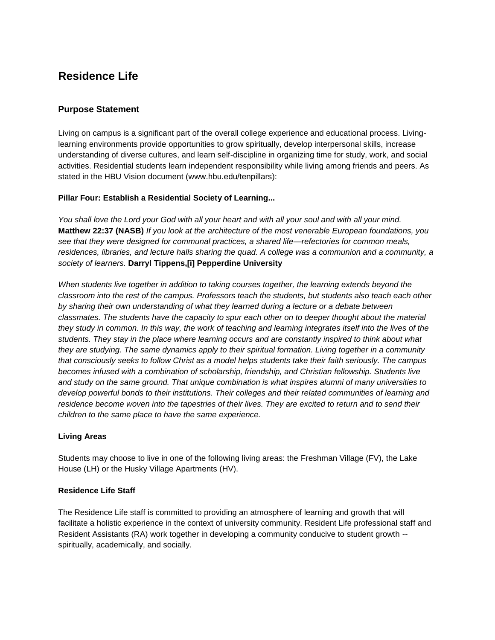## **Residence Life**

## **Purpose Statement**

Living on campus is a significant part of the overall college experience and educational process. Livinglearning environments provide opportunities to grow spiritually, develop interpersonal skills, increase understanding of diverse cultures, and learn self-discipline in organizing time for study, work, and social activities. Residential students learn independent responsibility while living among friends and peers. As stated in the HBU Vision document [\(www.hbu.edu/tenpillars\)](https://hbu.edu/About-HBU/General-Information/The-Ten-Pillars.aspx):

## **[Pillar Four: Establish a Residential Society of Learning...](https://hbu.edu/About-HBU/General-Information/The-Ten-Pillars/A-Residential-Society.aspx)**

*You shall love the Lord your God with all your heart and with all your soul and with all your mind.*  **Matthew 22:37 (NASB)** *If you look at the architecture of the most venerable European foundations, you see that they were designed for communal practices, a shared life—refectories for common meals, residences, libraries, and lecture halls sharing the quad. A college was a communion and a community, a society of learners.* **Darryl Tippens,[i] Pepperdine University** 

When students live together in addition to taking courses together, the learning extends beyond the *classroom into the rest of the campus. Professors teach the students, but students also teach each other by sharing their own understanding of what they learned during a lecture or a debate between classmates. The students have the capacity to spur each other on to deeper thought about the material they study in common. In this way, the work of teaching and learning integrates itself into the lives of the students. They stay in the place where learning occurs and are constantly inspired to think about what they are studying. The same dynamics apply to their spiritual formation. Living together in a community that consciously seeks to follow Christ as a model helps students take their faith seriously. The campus becomes infused with a combination of scholarship, friendship, and Christian fellowship. Students live and study on the same ground. That unique combination is what inspires alumni of many universities to develop powerful bonds to their institutions. Their colleges and their related communities of learning and residence become woven into the tapestries of their lives. They are excited to return and to send their children to the same place to have the same experience.* 

## **Living Areas**

Students may choose to live in one of the following living areas: the [Freshman Village](https://hbu.edu/Students-Alumni/Student-Information/Residence-Life/Residence-Housing/Residence-Colleges.aspx) (FV), the [Lake](https://hbu.edu/Students-Alumni/Student-Information/Residence-Life/Residence-Housing/The-Lake-House.aspx)  [House](https://hbu.edu/Students-Alumni/Student-Information/Residence-Life/Residence-Housing/The-Lake-House.aspx) (LH) or the [Husky Village Apartments \(](https://hbu.edu/Students-Alumni/Student-Information/Residence-Life/Residence-Housing/Husky-Village.aspx)HV).

## **Residence Life Staff**

The Residence Life staff is committed to providing an atmosphere of learning and growth that will facilitate a holistic experience in the context of university community. Resident Life professional staff and Resident Assistants (RA) work together in developing a community conducive to student growth - spiritually, academically, and socially.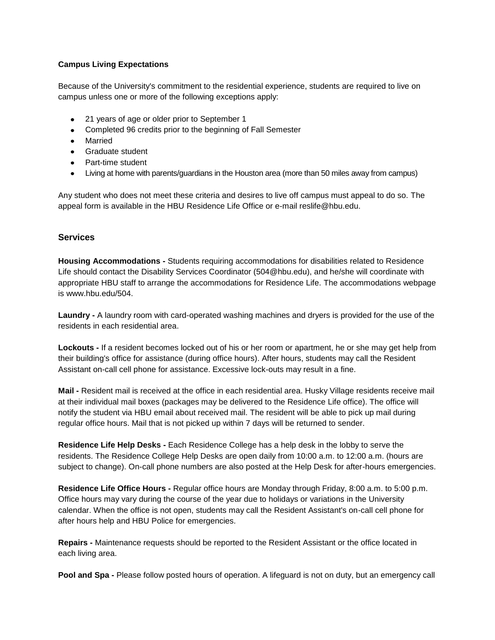## **Campus Living Expectations**

Because of the University's commitment to the residential experience, students are required to live on campus unless one or more of the following exceptions apply:

- 21 years of age or older prior to September 1
- Completed 96 credits prior to the beginning of Fall Semester
- Married
- Graduate student
- Part-time student
- Living at home with parents/guardians in the Houston area (more than 50 miles away from campus)

Any student who does not meet these criteria and desires to live off campus must appeal to do so. The appeal form is available in the HBU Residence Life Office or e-mail [reslife@hbu.edu.](mailto:reslife@hbu.edu)

## **Services**

**Housing Accommodations -** Students requiring accommodations for disabilities related to Residence Life should contact the Disability Services Coordinator (504@hbu.edu), and he/she will coordinate with appropriate HBU staff to arrange the accommodations for Residence Life. The accommodations webpage is [www.hbu.edu/504.](http://www.hbu.edu/504)

**Laundry -** A laundry room with card-operated washing machines and dryers is provided for the use of the residents in each residential area.

**Lockouts -** If a resident becomes locked out of his or her room or apartment, he or she may get help from their building's office for assistance (during office hours). After hours, students may call the Resident Assistant on-call cell phone for assistance. Excessive lock-outs may result in a fine.

**Mail -** Resident mail is received at the office in each residential area. Husky Village residents receive mail at their individual mail boxes (packages may be delivered to the Residence Life office). The office will notify the student via HBU email about received mail. The resident will be able to pick up mail during regular office hours. Mail that is not picked up within 7 days will be returned to sender.

**Residence Life Help Desks -** Each Residence College has a help desk in the lobby to serve the residents. The Residence College Help Desks are open daily from 10:00 a.m. to 12:00 a.m. (hours are subject to change). On-call phone numbers are also posted at the Help Desk for after-hours emergencies.

**Residence Life Office Hours -** Regular office hours are Monday through Friday, 8:00 a.m. to 5:00 p.m. Office hours may vary during the course of the year due to holidays or variations in the University calendar. When the office is not open, students may call the Resident Assistant's on-call cell phone for after hours help and HBU Police for emergencies.

**Repairs -** Maintenance requests should be reported to the Resident Assistant or the office located in each living area.

**Pool and Spa -** Please follow posted hours of operation. A lifeguard is not on duty, but an emergency call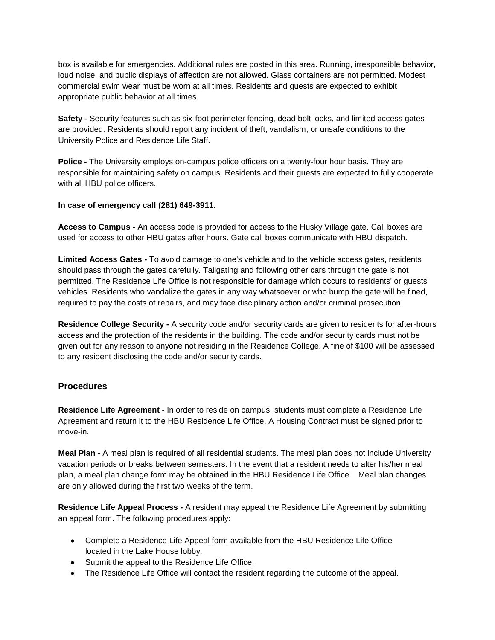box is available for emergencies. Additional rules are posted in this area. Running, irresponsible behavior, loud noise, and public displays of affection are not allowed. Glass containers are not permitted. Modest commercial swim wear must be worn at all times. Residents and guests are expected to exhibit appropriate public behavior at all times.

**Safety -** Security features such as six-foot perimeter fencing, dead bolt locks, and limited access gates are provided. Residents should report any incident of theft, vandalism, or unsafe conditions to the University Police and Residence Life Staff.

**Police -** The University employs on-campus police officers on a twenty-four hour basis. They are responsible for maintaining safety on campus. Residents and their guests are expected to fully cooperate with all HBU police officers.

#### **In case of emergency call (281) 649-3911.**

**Access to Campus -** An access code is provided for access to the Husky Village gate. Call boxes are used for access to other HBU gates after hours. Gate call boxes communicate with HBU dispatch.

**Limited Access Gates -** To avoid damage to one's vehicle and to the vehicle access gates, residents should pass through the gates carefully. Tailgating and following other cars through the gate is not permitted. The Residence Life Office is not responsible for damage which occurs to residents' or guests' vehicles. Residents who vandalize the gates in any way whatsoever or who bump the gate will be fined, required to pay the costs of repairs, and may face disciplinary action and/or criminal prosecution.

**Residence College Security -** A security code and/or security cards are given to residents for after-hours access and the protection of the residents in the building. The code and/or security cards must not be given out for any reason to anyone not residing in the Residence College. A fine of \$100 will be assessed to any resident disclosing the code and/or security cards.

#### **Procedures**

**Residence Life Agreement -** In order to reside on campus, students must complete a [Residence Life](https://hbu.edu/Students-Alumni/Student-Information/Residence-Life/Residence-Housing/Housing-Details/Housing-Agreement.aspx)  [Agreement](https://hbu.edu/Students-Alumni/Student-Information/Residence-Life/Residence-Housing/Housing-Details/Housing-Agreement.aspx) and return it to the [HBU Residence Life Office.](https://hbu.edu/Students-Alumni/Student-Information/Residence-Life/Residence-Housing/Contact.aspx) A Housing Contract must be signed prior to move-in.

**Meal Plan -** A [meal plan](https://hbu.edu/Students-Alumni/Student-Information/Residence-Life/Residence-Housing/Housing-Details/Dining-Memberships.aspx) is required of all residential students. The meal plan does not include University vacation periods or breaks between semesters. In the event that a resident needs to alter his/her meal plan, a meal plan change form may be obtained in the HBU Residence Life Office. Meal plan changes are only allowed during the first two weeks of the term.

**Residence Life Appeal Process -** A resident may appeal the Residence Life Agreement by submitting an appeal form. The following procedures apply:

- Complete a Residence Life Appeal form available from the HBU Residence Life Office located in the Lake House lobby.
- Submit the appeal to the Residence Life Office.
- The Residence Life Office will contact the resident regarding the outcome of the appeal.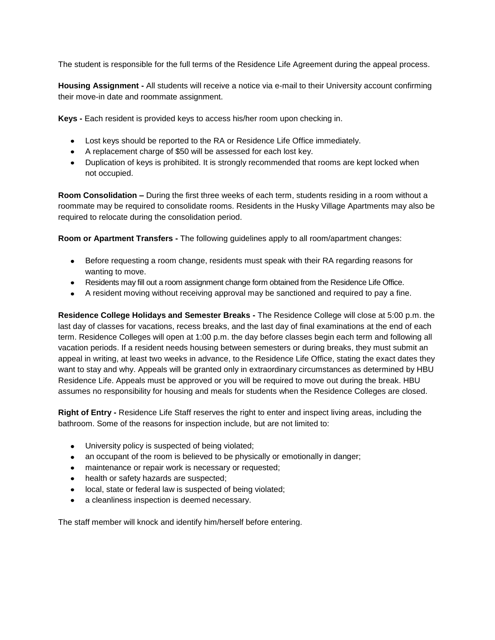The student is responsible for the full terms of the Residence Life Agreement during the appeal process.

**Housing Assignment -** All students will receive a notice via e-mail to their University account confirming their move-in date and roommate assignment.

**Keys -** Each resident is provided keys to access his/her room upon checking in.

- Lost keys should be reported to the RA or Residence Life Office immediately.
- A replacement charge of \$50 will be assessed for each lost key.
- Duplication of keys is prohibited. It is strongly recommended that rooms are kept locked when not occupied.

**Room Consolidation –** During the first three weeks of each term, students residing in a room without a roommate may be required to consolidate rooms. Residents in the Husky Village Apartments may also be required to relocate during the consolidation period.

**Room or Apartment Transfers -** The following guidelines apply to all room/apartment changes:

- Before requesting a room change, residents must speak with their RA regarding reasons for wanting to move.
- Residents may fill out a room assignment change form obtained from the Residence Life Office.
- A resident moving without receiving approval may be sanctioned and required to pay a fine.

**Residence College Holidays and Semester Breaks -** The Residence College will close at 5:00 p.m. the last day of classes for vacations, recess breaks, and the last day of final examinations at the end of each term. Residence Colleges will open at 1:00 p.m. the day before classes begin each term and following all vacation periods. If a resident needs housing between semesters or during breaks, they must submit an appeal in writing, at least two weeks in advance, to the Residence Life Office, stating the exact dates they want to stay and why. Appeals will be granted only in extraordinary circumstances as determined by HBU Residence Life. Appeals must be approved or you will be required to move out during the break. HBU assumes no responsibility for housing and meals for students when the Residence Colleges are closed.

**Right of Entry -** Residence Life Staff reserves the right to enter and inspect living areas, including the bathroom. Some of the reasons for inspection include, but are not limited to:

- University policy is suspected of being violated;
- an occupant of the room is believed to be physically or emotionally in danger;  $\bullet$
- maintenance or repair work is necessary or requested;
- health or safety hazards are suspected;
- local, state or federal law is suspected of being violated;
- $\bullet$ a cleanliness inspection is deemed necessary.

The staff member will knock and identify him/herself before entering.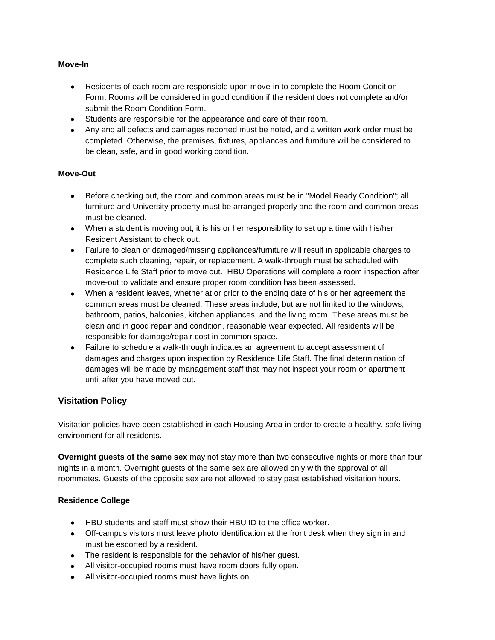#### **Move-In**

- Residents of each room are responsible upon move-in to complete the Room Condition  $\bullet$ Form. Rooms will be considered in good condition if the resident does not complete and/or submit the Room Condition Form.
- Students are responsible for the appearance and care of their room.
- Any and all defects and damages reported must be noted, and a written work order must be completed. Otherwise, the premises, fixtures, appliances and furniture will be considered to be clean, safe, and in good working condition.

#### **Move-Out**

- Before checking out, the room and common areas must be in "Model Ready Condition"; all furniture and University property must be arranged properly and the room and common areas must be cleaned.
- When a student is moving out, it is his or her responsibility to set up a time with his/her Resident Assistant to check out.
- Failure to clean or damaged/missing appliances/furniture will result in applicable charges to complete such cleaning, repair, or replacement. A walk-through must be scheduled with Residence Life Staff prior to move out. HBU Operations will complete a room inspection after move-out to validate and ensure proper room condition has been assessed.
- When a resident leaves, whether at or prior to the ending date of his or her agreement the  $\bullet$ common areas must be cleaned. These areas include, but are not limited to the windows, bathroom, patios, balconies, kitchen appliances, and the living room. These areas must be clean and in good repair and condition, reasonable wear expected. All residents will be responsible for damage/repair cost in common space.
- Failure to schedule a walk-through indicates an agreement to accept assessment of damages and charges upon inspection by Residence Life Staff. The final determination of damages will be made by management staff that may not inspect your room or apartment until after you have moved out.

## **Visitation Policy**

Visitation policies have been established in each Housing Area in order to create a healthy, safe living environment for all residents.

**Overnight guests of the same sex** may not stay more than two consecutive nights or more than four nights in a month. Overnight guests of the same sex are allowed only with the approval of all roommates. Guests of the opposite sex are not allowed to stay past established visitation hours.

#### **Residence College**

- HBU students and staff must show their HBU ID to the office worker.
- Off-campus visitors must leave photo identification at the front desk when they sign in and must be escorted by a resident.
- The resident is responsible for the behavior of his/her guest.
- All visitor-occupied rooms must have room doors fully open.
- $\bullet$ All visitor-occupied rooms must have lights on.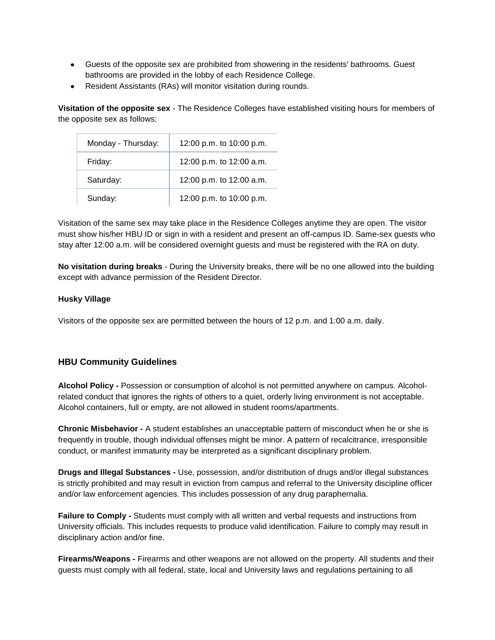- Guests of the opposite sex are prohibited from showering in the residents' bathrooms. Guest bathrooms are provided in the lobby of each Residence College.
- Resident Assistants (RAs) will monitor visitation during rounds.  $\bullet$

**Visitation of the opposite sex** - The Residence Colleges have established visiting hours for members of the opposite sex as follows:

| Monday - Thursday: | 12:00 p.m. to 10:00 p.m. |
|--------------------|--------------------------|
| Friday:            | 12:00 p.m. to 12:00 a.m. |
| Saturday:          | 12:00 p.m. to 12:00 a.m. |
| Sunday:            | 12:00 p.m. to 10:00 p.m. |

Visitation of the same sex may take place in the Residence Colleges anytime they are open. The visitor must show his/her HBU ID or sign in with a resident and present an off-campus ID. Same-sex guests who stay after 12:00 a.m. will be considered overnight guests and must be registered with the RA on duty.

**No visitation during breaks** - During the University breaks, there will be no one allowed into the building except with advance permission of the Resident Director.

#### **Husky Village**

Visitors of the opposite sex are permitted between the hours of 12 p.m. and 1:00 a.m. daily.

# **HBU Community Guidelines**

**Alcohol Policy -** Possession or consumption of alcohol is not permitted anywhere on campus. Alcoholrelated conduct that ignores the rights of others to a quiet, orderly living environment is not acceptable. Alcohol containers, full or empty, are not allowed in student rooms/apartments.

**Chronic Misbehavior -** A student establishes an unacceptable pattern of misconduct when he or she is frequently in trouble, though individual offenses might be minor. A pattern of recalcitrance, irresponsible conduct, or manifest immaturity may be interpreted as a significant disciplinary problem.

**Drugs and Illegal Substances -** Use, possession, and/or distribution of drugs and/or illegal substances is strictly prohibited and may result in eviction from campus and referral to the University discipline officer and/or law enforcement agencies. This includes possession of any drug paraphernalia.

**Failure to Comply -** Students must comply with all written and verbal requests and instructions from University officials. This includes requests to produce valid identification. Failure to comply may result in disciplinary action and/or fine.

**Firearms/Weapons -** Firearms and other weapons are not allowed on the property. All students and their guests must comply with all federal, state, local and University laws and regulations pertaining to all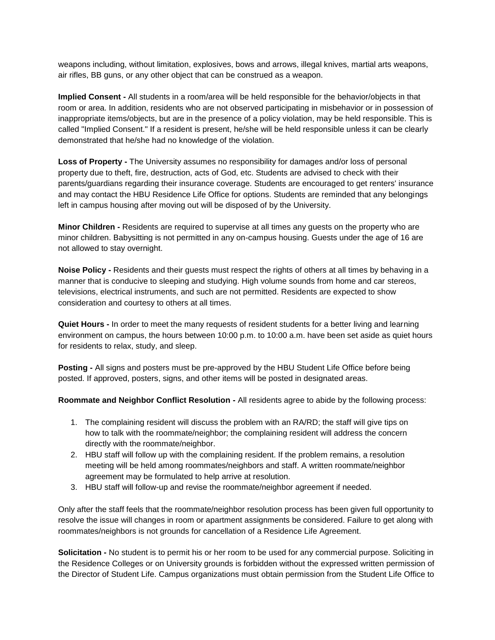weapons including, without limitation, explosives, bows and arrows, illegal knives, martial arts weapons, air rifles, BB guns, or any other object that can be construed as a weapon.

**Implied Consent -** All students in a room/area will be held responsible for the behavior/objects in that room or area. In addition, residents who are not observed participating in misbehavior or in possession of inappropriate items/objects, but are in the presence of a policy violation, may be held responsible. This is called "Implied Consent." If a resident is present, he/she will be held responsible unless it can be clearly demonstrated that he/she had no knowledge of the violation.

**Loss of Property -** The University assumes no responsibility for damages and/or loss of personal property due to theft, fire, destruction, acts of God, etc. Students are advised to check with their parents/guardians regarding their insurance coverage. Students are encouraged to get renters' insurance and may contact the HBU Residence Life Office for options. Students are reminded that any belongings left in campus housing after moving out will be disposed of by the University.

**Minor Children -** Residents are required to supervise at all times any guests on the property who are minor children. Babysitting is not permitted in any on-campus housing. Guests under the age of 16 are not allowed to stay overnight.

**Noise Policy -** Residents and their guests must respect the rights of others at all times by behaving in a manner that is conducive to sleeping and studying. High volume sounds from home and car stereos, televisions, electrical instruments, and such are not permitted. Residents are expected to show consideration and courtesy to others at all times.

**Quiet Hours -** In order to meet the many requests of resident students for a better living and learning environment on campus, the hours between 10:00 p.m. to 10:00 a.m. have been set aside as quiet hours for residents to relax, study, and sleep.

**Posting -** All signs and posters must be pre-approved by the HBU Student Life Office before being posted. If approved, posters, signs, and other items will be posted in designated areas.

**Roommate and Neighbor Conflict Resolution -** All residents agree to abide by the following process:

- 1. The complaining resident will discuss the problem with an RA/RD; the staff will give tips on how to talk with the roommate/neighbor; the complaining resident will address the concern directly with the roommate/neighbor.
- 2. HBU staff will follow up with the complaining resident. If the problem remains, a resolution meeting will be held among roommates/neighbors and staff. A written roommate/neighbor agreement may be formulated to help arrive at resolution.
- 3. HBU staff will follow-up and revise the roommate/neighbor agreement if needed.

Only after the staff feels that the roommate/neighbor resolution process has been given full opportunity to resolve the issue will changes in room or apartment assignments be considered. Failure to get along with roommates/neighbors is not grounds for cancellation of a Residence Life Agreement.

**Solicitation -** No student is to permit his or her room to be used for any commercial purpose. Soliciting in the Residence Colleges or on University grounds is forbidden without the expressed written permission of the Director of Student Life. Campus organizations must obtain permission from the Student Life Office to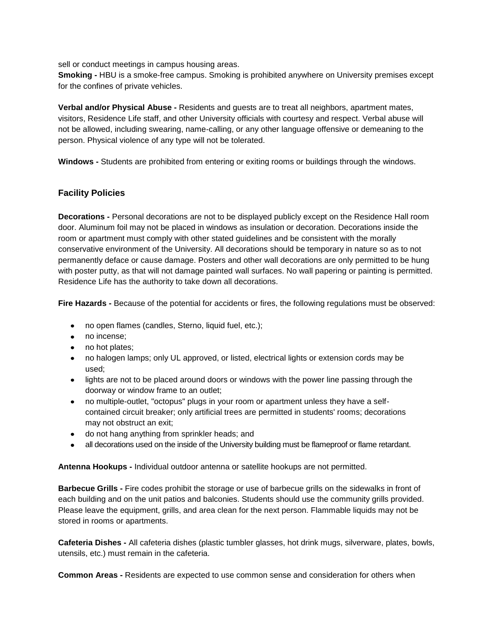sell or conduct meetings in campus housing areas.

**Smoking -** HBU is a smoke-free campus. Smoking is prohibited anywhere on University premises except for the confines of private vehicles.

**Verbal and/or Physical Abuse -** Residents and guests are to treat all neighbors, apartment mates, visitors, Residence Life staff, and other University officials with courtesy and respect. Verbal abuse will not be allowed, including swearing, name-calling, or any other language offensive or demeaning to the person. Physical violence of any type will not be tolerated.

**Windows -** Students are prohibited from entering or exiting rooms or buildings through the windows.

## **Facility Policies**

**Decorations -** Personal decorations are not to be displayed publicly except on the Residence Hall room door. Aluminum foil may not be placed in windows as insulation or decoration. Decorations inside the room or apartment must comply with other stated guidelines and be consistent with the morally conservative environment of the University. All decorations should be temporary in nature so as to not permanently deface or cause damage. Posters and other wall decorations are only permitted to be hung with poster putty, as that will not damage painted wall surfaces. No wall papering or painting is permitted. Residence Life has the authority to take down all decorations.

**Fire Hazards -** Because of the potential for accidents or fires, the following regulations must be observed:

- no open flames (candles, Sterno, liquid fuel, etc.);
- no incense;
- no hot plates;
- no halogen lamps; only UL approved, or listed, electrical lights or extension cords may be used;
- lights are not to be placed around doors or windows with the power line passing through the doorway or window frame to an outlet;
- no multiple-outlet, "octopus" plugs in your room or apartment unless they have a self- $\bullet$ contained circuit breaker; only artificial trees are permitted in students' rooms; decorations may not obstruct an exit;
- do not hang anything from sprinkler heads; and
- all decorations used on the inside of the University building must be flameproof or flame retardant.  $\bullet$

**Antenna Hookups -** Individual outdoor antenna or satellite hookups are not permitted.

**Barbecue Grills -** Fire codes prohibit the storage or use of barbecue grills on the sidewalks in front of each building and on the unit patios and balconies. Students should use the community grills provided. Please leave the equipment, grills, and area clean for the next person. Flammable liquids may not be stored in rooms or apartments.

**Cafeteria Dishes -** All cafeteria dishes (plastic tumbler glasses, hot drink mugs, silverware, plates, bowls, utensils, etc.) must remain in the cafeteria.

**Common Areas -** Residents are expected to use common sense and consideration for others when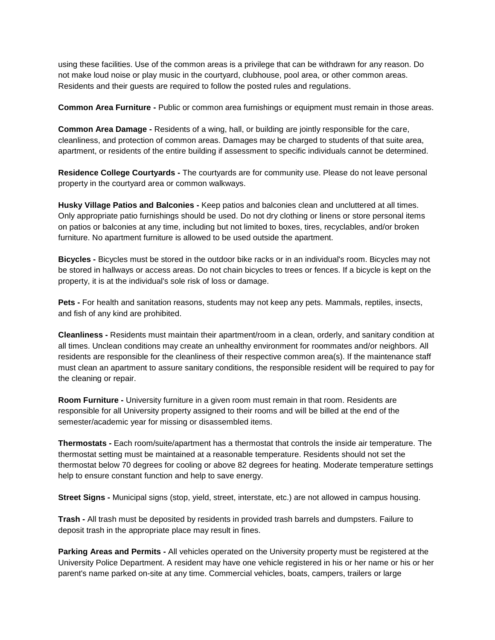using these facilities. Use of the common areas is a privilege that can be withdrawn for any reason. Do not make loud noise or play music in the courtyard, clubhouse, pool area, or other common areas. Residents and their guests are required to follow the posted rules and regulations.

**Common Area Furniture -** Public or common area furnishings or equipment must remain in those areas.

**Common Area Damage -** Residents of a wing, hall, or building are jointly responsible for the care, cleanliness, and protection of common areas. Damages may be charged to students of that suite area, apartment, or residents of the entire building if assessment to specific individuals cannot be determined.

**Residence College Courtyards -** The courtyards are for community use. Please do not leave personal property in the courtyard area or common walkways.

**Husky Village Patios and Balconies -** Keep patios and balconies clean and uncluttered at all times. Only appropriate patio furnishings should be used. Do not dry clothing or linens or store personal items on patios or balconies at any time, including but not limited to boxes, tires, recyclables, and/or broken furniture. No apartment furniture is allowed to be used outside the apartment.

**Bicycles -** Bicycles must be stored in the outdoor bike racks or in an individual's room. Bicycles may not be stored in hallways or access areas. Do not chain bicycles to trees or fences. If a bicycle is kept on the property, it is at the individual's sole risk of loss or damage.

**Pets -** For health and sanitation reasons, students may not keep any pets. Mammals, reptiles, insects, and fish of any kind are prohibited.

**Cleanliness -** Residents must maintain their apartment/room in a clean, orderly, and sanitary condition at all times. Unclean conditions may create an unhealthy environment for roommates and/or neighbors. All residents are responsible for the cleanliness of their respective common area(s). If the maintenance staff must clean an apartment to assure sanitary conditions, the responsible resident will be required to pay for the cleaning or repair.

**Room Furniture -** University furniture in a given room must remain in that room. Residents are responsible for all University property assigned to their rooms and will be billed at the end of the semester/academic year for missing or disassembled items.

**Thermostats -** Each room/suite/apartment has a thermostat that controls the inside air temperature. The thermostat setting must be maintained at a reasonable temperature. Residents should not set the thermostat below 70 degrees for cooling or above 82 degrees for heating. Moderate temperature settings help to ensure constant function and help to save energy.

**Street Signs -** Municipal signs (stop, yield, street, interstate, etc.) are not allowed in campus housing.

**Trash -** All trash must be deposited by residents in provided trash barrels and dumpsters. Failure to deposit trash in the appropriate place may result in fines.

**Parking Areas and Permits -** All vehicles operated on the University property must be registered at the University Police Department. A resident may have one vehicle registered in his or her name or his or her parent's name parked on-site at any time. Commercial vehicles, boats, campers, trailers or large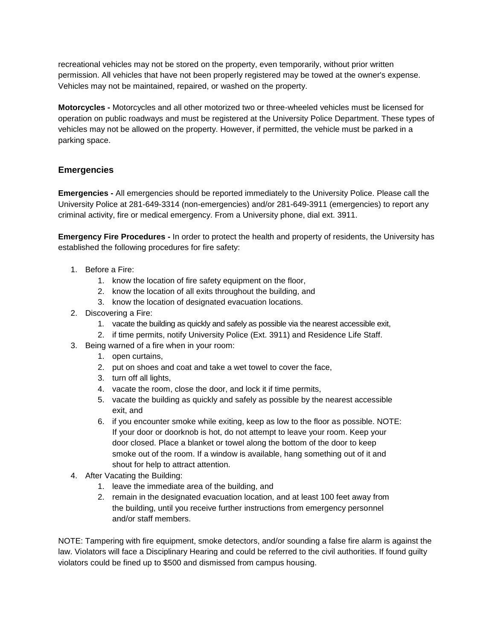recreational vehicles may not be stored on the property, even temporarily, without prior written permission. All vehicles that have not been properly registered may be towed at the owner's expense. Vehicles may not be maintained, repaired, or washed on the property.

**Motorcycles -** Motorcycles and all other motorized two or three-wheeled vehicles must be licensed for operation on public roadways and must be registered at the University Police Department. These types of vehicles may not be allowed on the property. However, if permitted, the vehicle must be parked in a parking space.

## **Emergencies**

**Emergencies -** All emergencies should be reported immediately to the University Police. Please call the University Police at 281-649-3314 (non-emergencies) and/or 281-649-3911 (emergencies) to report any criminal activity, fire or medical emergency. From a University phone, dial ext. 3911.

**Emergency Fire Procedures -** In order to protect the health and property of residents, the University has established the following procedures for fire safety:

- 1. Before a Fire:
	- 1. know the location of fire safety equipment on the floor,
	- 2. know the location of all exits throughout the building, and
	- 3. know the location of designated evacuation locations.
- 2. Discovering a Fire:
	- 1. vacate the building as quickly and safely as possible via the nearest accessible exit,
	- 2. if time permits, notify University Police (Ext. 3911) and Residence Life Staff.
- 3. Being warned of a fire when in your room:
	- 1. open curtains,
	- 2. put on shoes and coat and take a wet towel to cover the face,
	- 3. turn off all lights,
	- 4. vacate the room, close the door, and lock it if time permits,
	- 5. vacate the building as quickly and safely as possible by the nearest accessible exit, and
	- 6. if you encounter smoke while exiting, keep as low to the floor as possible. NOTE: If your door or doorknob is hot, do not attempt to leave your room. Keep your door closed. Place a blanket or towel along the bottom of the door to keep smoke out of the room. If a window is available, hang something out of it and shout for help to attract attention.
- 4. After Vacating the Building:
	- 1. leave the immediate area of the building, and
	- 2. remain in the designated evacuation location, and at least 100 feet away from the building, until you receive further instructions from emergency personnel and/or staff members.

NOTE: Tampering with fire equipment, smoke detectors, and/or sounding a false fire alarm is against the law. Violators will face a Disciplinary Hearing and could be referred to the civil authorities. If found guilty violators could be fined up to \$500 and dismissed from campus housing.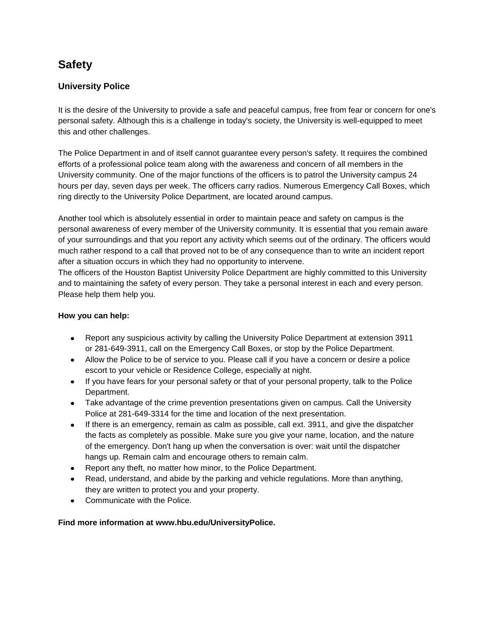# **Safety**

# **University Police**

It is the desire of the University to provide a safe and peaceful campus, free from fear or concern for one's personal safety. Although this is a challenge in today's society, the University is well-equipped to meet this and other challenges.

The Police Department in and of itself cannot guarantee every person's safety. It requires the combined efforts of a professional police team along with the awareness and concern of all members in the University community. One of the major functions of the officers is to patrol the University campus 24 hours per day, seven days per week. The officers carry radios. Numerous Emergency Call Boxes, which ring directly to the University Police Department, are located around campus.

Another tool which is absolutely essential in order to maintain peace and safety on campus is the personal awareness of every member of the University community. It is essential that you remain aware of your surroundings and that you report any activity which seems out of the ordinary. The officers would much rather respond to a call that proved not to be of any consequence than to write an incident report after a situation occurs in which they had no opportunity to intervene.

The officers of the Houston Baptist University Police Department are highly committed to this University and to maintaining the safety of every person. They take a personal interest in each and every person. Please help them help you.

#### **How you can help:**

- Report any suspicious activity by calling the University Police Department at extension 3911 or 281-649-3911, call on the Emergency Call Boxes, or stop by the Police Department.
- Allow the Police to be of service to you. Please call if you have a concern or desire a police escort to your vehicle or Residence College, especially at night.
- If you have fears for your personal safety or that of your personal property, talk to the Police Department.
- Take advantage of the crime prevention presentations given on campus. Call the University Police at 281-649-3314 for the time and location of the next presentation.
- If there is an emergency, remain as calm as possible, call ext. 3911, and give the dispatcher the facts as completely as possible. Make sure you give your name, location, and the nature of the emergency. Don't hang up when the conversation is over: wait until the dispatcher hangs up. Remain calm and encourage others to remain calm.
- Report any theft, no matter how minor, to the Police Department.
- Read, understand, and abide by the parking and vehicle regulations. More than anything, they are written to protect you and your property.
- Communicate with the Police.  $\bullet$

**Find more information at [www.hbu.edu/UniversityPolice.](http://www.hbu.edu/UniversityPolice)**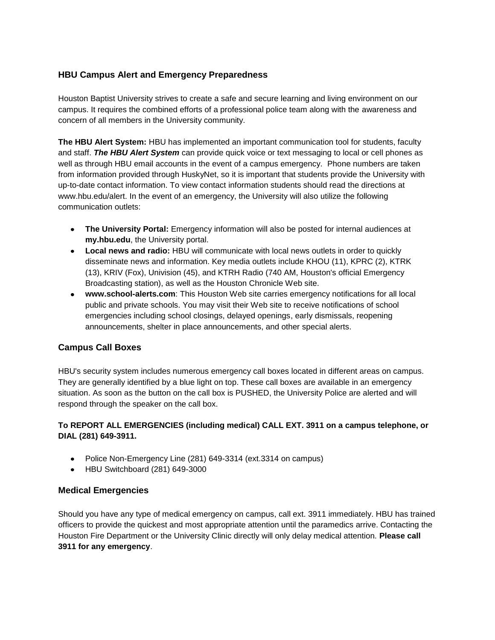## **HBU Campus Alert and Emergency Preparedness**

Houston Baptist University strives to create a safe and secure learning and living environment on our campus. It requires the combined efforts of a professional police team along with the awareness and concern of all members in the University community.

**The HBU Alert System:** HBU has implemented an important communication tool for students, faculty and staff. *The HBU Alert System* can provide quick voice or text messaging to local or cell phones as well as through HBU email accounts in the event of a campus emergency. Phone numbers are taken from information provided through HuskyNet, so it is important that students provide the University with up-to-date contact information. To view contact information students should read the directions at [www.hbu.edu/alert.](http://www.hbu.edu/alert) In the event of an emergency, the University will also utilize the following communication outlets:

- **The University Portal:** Emergency information will also be posted for internal audiences at  $\bullet$ **[my.hbu.edu](http://my.hbu.edu/)**, the University portal.
- **Local news and radio:** HBU will communicate with local news outlets in order to quickly disseminate news and information. Key media outlets include KHOU (11), KPRC (2), KTRK (13), KRIV (Fox), Univision (45), and KTRH Radio (740 AM, Houston's official Emergency Broadcasting station), as well as the Houston Chronicle Web site.
- **[www.school-alerts.com](http://www.school-alerts.com/)**: This Houston Web site carries emergency notifications for all local public and private schools. You may visit their Web site to receive notifications of school emergencies including school closings, delayed openings, early dismissals, reopening announcements, shelter in place announcements, and other special alerts.

## **Campus Call Boxes**

HBU's security system includes numerous emergency call boxes located in different areas on campus. They are generally identified by a blue light on top. These call boxes are available in an emergency situation. As soon as the button on the call box is PUSHED, the University Police are alerted and will respond through the speaker on the call box.

## **To REPORT ALL EMERGENCIES (including medical) CALL EXT. 3911 on a campus telephone, or DIAL (281) 649-3911.**

- Police Non-Emergency Line (281) 649-3314 (ext.3314 on campus)
- HBU Switchboard (281) 649-3000

## **Medical Emergencies**

Should you have any type of medical emergency on campus, call ext. 3911 immediately. HBU has trained officers to provide the quickest and most appropriate attention until the paramedics arrive. Contacting the Houston Fire Department or the University Clinic directly will only delay medical attention. **Please call 3911 for any emergency**.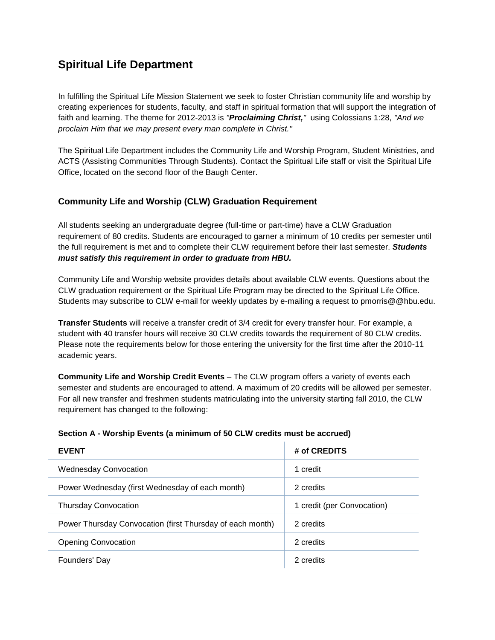# **Spiritual Life Department**

In fulfilling the Spiritual Life Mission Statement we seek to foster Christian community life and worship by creating experiences for students, faculty, and staff in spiritual formation that will support the integration of faith and learning. The theme for 2012-2013 is *"Proclaiming Christ,"* using Colossians 1:28, *"And we proclaim Him that we may present every man complete in Christ."*

The Spiritual Life Department includes the Community Life and Worship Program, Student Ministries, and ACTS (Assisting Communities Through Students). [Contact the Spiritual Life staff](https://www.hbu.edu/Students-Alumni/Student-Information/Spiritual-Life/Spiritual-Life-Department/Contact-Us.aspx) or visit the Spiritual Life Office, located on the second floor of the Baugh Center.

# **Community Life and Worship (CLW) Graduation Requirement**

All students seeking an undergraduate degree (full-time or part-time) have a CLW Graduation requirement of 80 credits. Students are encouraged to garner a minimum of 10 credits per semester until the full requirement is met and to complete their CLW requirement before their last semester. *Students must satisfy this requirement in order to graduate from HBU.*

[Community Life and Worship website](https://hbu.edu/Students-Alumni/Student-Information/Spiritual-Life/Community-Life-and-Worship.aspx) provides details about available CLW events. Questions about the CLW graduation requirement or the Spiritual Life Program may be directed to the [Spiritual Life Office.](https://www.hbu.edu/Students-Alumni/Student-Information/Spiritual-Life/Spiritual-Life-Department/Contact-Us.aspx) Students may subscribe to CLW e-mail for weekly updates by e-mailing a request to [pmorris@@hbu.edu.](mailto:pmorris@@hbu.edu)

**Transfer Students** will receive a transfer credit of 3/4 credit for every transfer hour. For example, a student with 40 transfer hours will receive 30 CLW credits towards the requirement of 80 CLW credits. Please note the requirements below for those entering the university for the first time after the 2010-11 academic years.

**Community Life and Worship Credit Events** – The CLW program offers a variety of events each semester and students are encouraged to attend. A maximum of 20 credits will be allowed per semester. For all new transfer and freshmen students matriculating into the university starting fall 2010, the CLW requirement has changed to the following:

#### **Section A - Worship Events (a minimum of 50 CLW credits must be accrued)**

| <b>EVENT</b>                                              | # of CREDITS               |
|-----------------------------------------------------------|----------------------------|
| <b>Wednesday Convocation</b>                              | 1 credit                   |
| Power Wednesday (first Wednesday of each month)           | 2 credits                  |
| <b>Thursday Convocation</b>                               | 1 credit (per Convocation) |
| Power Thursday Convocation (first Thursday of each month) | 2 credits                  |
| <b>Opening Convocation</b>                                | 2 credits                  |
| Founders' Day                                             | 2 credits                  |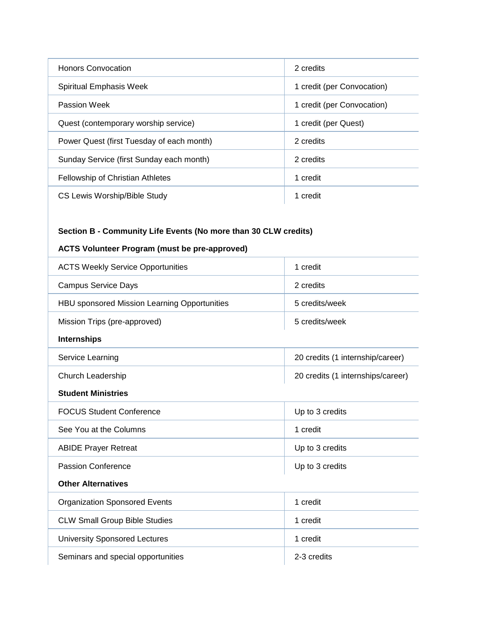| Honors Convocation                        | 2 credits                  |
|-------------------------------------------|----------------------------|
| Spiritual Emphasis Week                   | 1 credit (per Convocation) |
| Passion Week                              | 1 credit (per Convocation) |
| Quest (contemporary worship service)      | 1 credit (per Quest)       |
| Power Quest (first Tuesday of each month) | 2 credits                  |
| Sunday Service (first Sunday each month)  | 2 credits                  |
| <b>Fellowship of Christian Athletes</b>   | 1 credit                   |
| CS Lewis Worship/Bible Study              | 1 credit                   |

# **Section B - Community Life Events (No more than 30 CLW credits)**

# **ACTS Volunteer Program (must be pre-approved)**

| <b>ACTS Weekly Service Opportunities</b>     | 1 credit                          |
|----------------------------------------------|-----------------------------------|
| <b>Campus Service Days</b>                   | 2 credits                         |
| HBU sponsored Mission Learning Opportunities | 5 credits/week                    |
| Mission Trips (pre-approved)                 | 5 credits/week                    |
| <b>Internships</b>                           |                                   |
| Service Learning                             | 20 credits (1 internship/career)  |
| Church Leadership                            | 20 credits (1 internships/career) |
| <b>Student Ministries</b>                    |                                   |
| <b>FOCUS Student Conference</b>              | Up to 3 credits                   |
| See You at the Columns                       | 1 credit                          |
| <b>ABIDE Prayer Retreat</b>                  | Up to 3 credits                   |
| <b>Passion Conference</b>                    | Up to 3 credits                   |
| <b>Other Alternatives</b>                    |                                   |
| <b>Organization Sponsored Events</b>         | 1 credit                          |
| <b>CLW Small Group Bible Studies</b>         | 1 credit                          |
| <b>University Sponsored Lectures</b>         | 1 credit                          |
| Seminars and special opportunities           | 2-3 credits                       |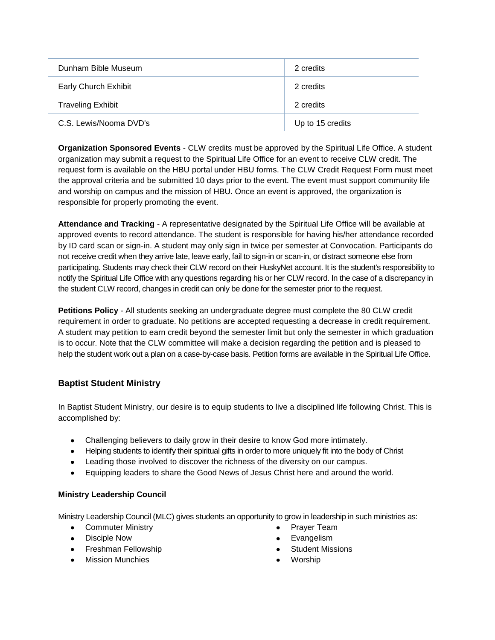| Dunham Bible Museum      | 2 credits        |
|--------------------------|------------------|
| Early Church Exhibit     | 2 credits        |
| <b>Traveling Exhibit</b> | 2 credits        |
| C.S. Lewis/Nooma DVD's   | Up to 15 credits |

**Organization Sponsored Events** - CLW credits must be approved by the Spiritual Life Office. A student organization may submit a request to the Spiritual Life Office for an event to receive CLW credit. The request form is available on the HBU portal under HBU forms. The CLW Credit Request Form must meet the approval criteria and be submitted 10 days prior to the event. The event must support community life and worship on campus and the mission of HBU. Once an event is approved, the organization is responsible for properly promoting the event.

**Attendance and Tracking** - A representative designated by the Spiritual Life Office will be available at approved events to record attendance. The student is responsible for having his/her attendance recorded by ID card scan or sign-in. A student may only sign in twice per semester at Convocation. Participants do not receive credit when they arrive late, leave early, fail to sign-in or scan-in, or distract someone else from participating. Students may check their CLW record on their HuskyNet account. It is the student's responsibility to notify the Spiritual Life Office with any questions regarding his or her CLW record. In the case of a discrepancy in the student CLW record, changes in credit can only be done for the semester prior to the request.

**Petitions Policy** - All students seeking an undergraduate degree must complete the 80 CLW credit requirement in order to graduate. No petitions are accepted requesting a decrease in credit requirement. A student may petition to earn credit beyond the semester limit but only the semester in which graduation is to occur. Note that the CLW committee will make a decision regarding the petition and is pleased to help the student work out a plan on a case-by-case basis. Petition forms are available in the Spiritual Life Office.

## **Baptist Student Ministry**

In [Baptist Student Ministry,](https://hbu.edu/Students-Alumni/Student-Information/Spiritual-Life/Community-Life-and-Worship/Ministry-Opportunities/Baptist-Student-Ministries.aspx) our desire is to equip students to live a disciplined life following Christ. This is accomplished by:

- Challenging believers to daily grow in their desire to know God more intimately.
- Helping students to identify their spiritual gifts in order to more uniquely fit into the body of Christ
- Leading those involved to discover the richness of the diversity on our campus.
- Equipping leaders to share the Good News of Jesus Christ here and around the world.

#### **Ministry Leadership Council**

[Ministry Leadership Council](https://hbu.edu/Students-Alumni/Student-Information/Spiritual-Life/Community-Life-and-Worship/Ministry-Opportunities/Ministry-Leadership-Council.aspx) (MLC) gives students an opportunity to grow in leadership in such ministries as:

- Commuter Ministry
- Disciple Now
- Freshman Fellowship
- Mission Munchies
- Prayer Team
- Evangelism
- Student Missions
- Worship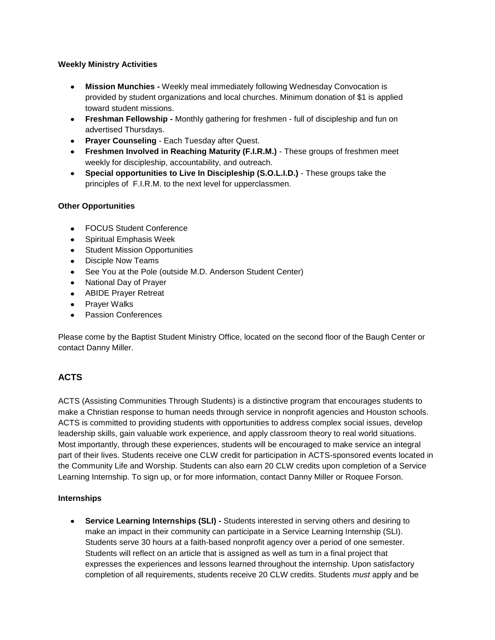#### **Weekly Ministry Activities**

- **Mission Munchies -** Weekly meal immediately following Wednesday Convocation is  $\bullet$ provided by student organizations and local churches. Minimum donation of \$1 is applied toward student missions.
- **Freshman Fellowship -** Monthly gathering for freshmen full of discipleship and fun on advertised Thursdays.
- **Prayer Counseling**  Each Tuesday after Quest.
- **Freshmen Involved in Reaching Maturity (F.I.R.M.)**  These groups of freshmen meet weekly for discipleship, accountability, and outreach.
- **Special opportunities to Live In Discipleship (S.O.L.I.D.)**  These groups take the principles of F.I.R.M. to the next level for upperclassmen.

## **Other Opportunities**

- FOCUS Student Conference
- Spiritual Emphasis Week
- Student Mission Opportunities
- Disciple Now Teams
- See You at the Pole (outside M.D. Anderson Student Center)
- National Day of Prayer
- ABIDE Prayer Retreat
- Prayer Walks
- Passion Conferences

Please come by the Baptist Student Ministry Office, located on the second floor of the Baugh Center or [contact Danny Miller.](https://hbu.edu/Students-Alumni/Student-Information/Spiritual-Life/Spiritual-Life-Department/Meet-Our-Staff/Danny-Miller.aspx)

# **ACTS**

[ACTS](https://hbu.edu/Students-Alumni/Student-Information/Spiritual-Life/Community-Life-and-Worship/Ministry-Opportunities/ACTS-(Assisting-Communities-Through-Students).aspx) (Assisting Communities Through Students) is a distinctive program that encourages students to make a Christian response to human needs through service in nonprofit agencies and Houston schools. ACTS is committed to providing students with opportunities to address complex social issues, develop leadership skills, gain valuable work experience, and apply classroom theory to real world situations. Most importantly, through these experiences, students will be encouraged to make service an integral part of their lives. Students receive one CLW credit for participation in ACTS-sponsored events located in the Community Life and Worship. Students can also earn 20 CLW credits upon completion of a Service Learning Internship. To sign up, or for more information, contact [Danny Miller](mailto:dmiller@hbu.edu) or [Roquee Forson.](mailto:rforson@hbu.edu)

#### **Internships**

 $\bullet$ **Service Learning Internships (SLI) -** Students interested in serving others and desiring to make an impact in their community can participate in a [Service Learning Internship](https://hbu.edu/Students-Alumni/Student-Information/Spiritual-Life/Community-Life-and-Worship/Ministry-Opportunities/Service-Learning-Internship.aspx) (SLI). Students serve 30 hours at a faith-based nonprofit agency over a period of one semester. Students will reflect on an article that is assigned as well as turn in a final project that expresses the experiences and lessons learned throughout the internship. Upon satisfactory completion of all requirements, students receive 20 CLW credits. Students *must* apply and be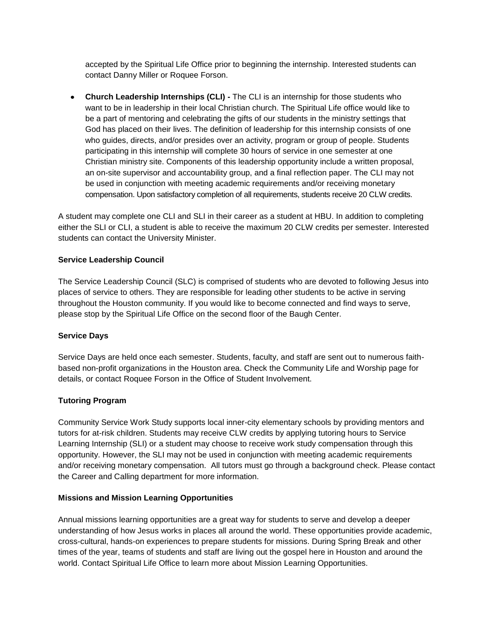accepted by the Spiritual Life Office prior to beginning the internship. Interested students can contact [Danny Miller](mailto:dmiller@hbu.edu) or [Roquee Forson.](mailto:rforson@hbu.edu)

**Church Leadership Internships (CLI) -** The [CLI](https://hbu.edu/Students-Alumni/Student-Information/Spiritual-Life/Community-Life-and-Worship/Ministry-Opportunities/Church-Leadership-Internships.aspx) is an internship for those students who want to be in leadership in their local Christian church. The Spiritual Life office would like to be a part of mentoring and celebrating the gifts of our students in the ministry settings that God has placed on their lives. The definition of leadership for this internship consists of one who guides, directs, and/or presides over an activity, program or group of people. Students participating in this internship will complete 30 hours of service in one semester at one Christian ministry site. Components of this leadership opportunity include a written proposal, an on-site supervisor and accountability group, and a final reflection paper. The CLI may not be used in conjunction with meeting academic requirements and/or receiving monetary compensation. Upon satisfactory completion of all requirements, students receive 20 CLW credits.

A student may complete one CLI and SLI in their career as a student at HBU. In addition to completing either the SLI or CLI, a student is able to receive the maximum 20 CLW credits per semester. Interested students can contact the [University Minister.](mailto:tkmosley@hbu.edu)

#### **Service Leadership Council**

The [Service Leadership Council](https://hbu.edu/Students-Alumni/Student-Information/Spiritual-Life/Community-Life-and-Worship/Ministry-Opportunities/Service-Leadership-Council.aspx) (SLC) is comprised of students who are devoted to following Jesus into places of service to others. They are responsible for leading other students to be active in serving throughout the Houston community. If you would like to become connected and find ways to serve, please stop by the Spiritual Life Office on the second floor of the Baugh Center.

#### **Service Days**

Service Days are held once each semester. Students, faculty, and staff are sent out to numerous faithbased non-profit organizations in the Houston area. Check [the Community Life and Worship page](https://hbu.edu/Students-Alumni/Student-Information/Spiritual-Life/Community-Life-and-Worship.aspx) for details, or contact [Roquee Forson](mailto:rforson@hbu.edu) in the Office of Student Involvement.

#### **Tutoring Program**

Community Service Work Study supports local inner-city elementary schools by providing mentors and tutors for at-risk children. Students may receive CLW credits by applying tutoring hours to Service Learning Internship (SLI) or a student may choose to receive work study compensation through this opportunity. However, the SLI may not be used in conjunction with meeting academic requirements and/or receiving monetary compensation. All tutors must go through a background check. Please [contact](https://hbu.edu/Students-Alumni/Student-Resources/The-Career-Center/Contact.aspx)  [the Career and Calling department](https://hbu.edu/Students-Alumni/Student-Resources/The-Career-Center/Contact.aspx) for more information.

#### **Missions and Mission Learning Opportunities**

Annual missions learning opportunities are a great way for students to serve and develop a deeper understanding of how Jesus works in places all around the world. These opportunities provide academic, cross-cultural, hands-on experiences to prepare students for missions. During Spring Break and other times of the year, teams of students and staff are living out the gospel here in Houston and around the world. Contact [Spiritual Life Office](https://www.hbu.edu/Students-Alumni/Student-Information/Spiritual-Life/Spiritual-Life-Department/Contact-Us.aspx) to learn more about Mission Learning Opportunities.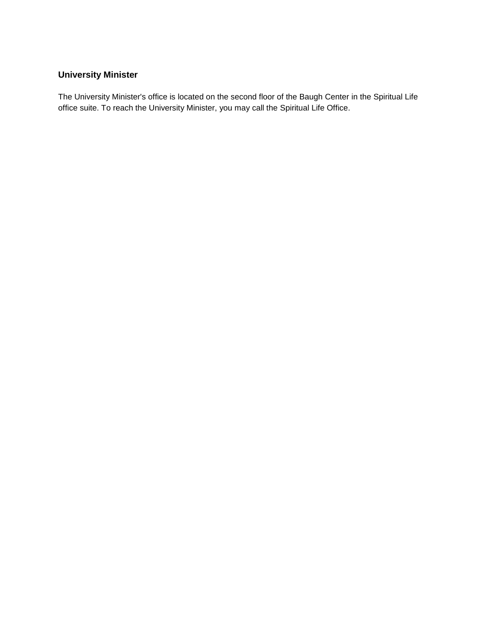# **University Minister**

The University Minister's office is located on the second floor of the Baugh Center in the Spiritual Life office suite. To reach the University Minister, you may call the [Spiritual Life Office.](https://hbu.edu/Students-Alumni/Student-Information/Spiritual-Life/Spiritual-Life-Department/Meet-Our-Staff.aspx)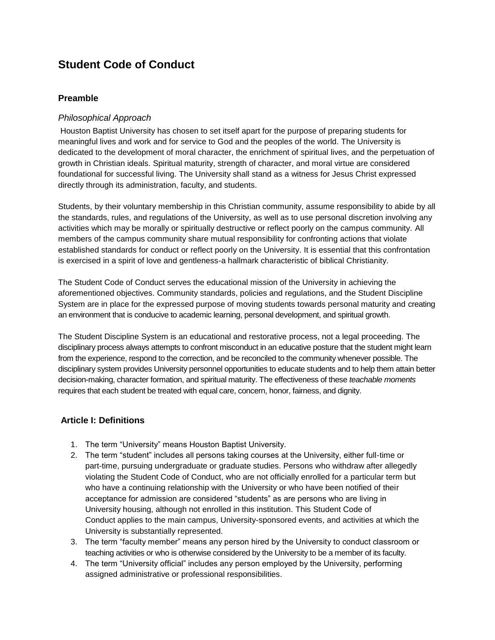# **Student Code of Conduct**

## **Preamble**

#### *Philosophical Approach*

Houston Baptist University has chosen to set itself apart for the purpose of preparing students for meaningful lives and work and for service to God and the peoples of the world. The University is dedicated to the development of moral character, the enrichment of spiritual lives, and the perpetuation of growth in Christian ideals. Spiritual maturity, strength of character, and moral virtue are considered foundational for successful living. The University shall stand as a witness for Jesus Christ expressed directly through its administration, faculty, and students.

Students, by their voluntary membership in this Christian community, assume responsibility to abide by all the standards, rules, and regulations of the University, as well as to use personal discretion involving any activities which may be morally or spiritually destructive or reflect poorly on the campus community. All members of the campus community share mutual responsibility for confronting actions that violate established standards for conduct or reflect poorly on the University. It is essential that this confrontation is exercised in a spirit of love and gentleness-a hallmark characteristic of biblical Christianity.

The Student Code of Conduct serves the educational mission of the University in achieving the aforementioned objectives. Community standards, policies and regulations, and the Student Discipline System are in place for the expressed purpose of moving students towards personal maturity and creating an environment that is conducive to academic learning, personal development, and spiritual growth.

The Student Discipline System is an educational and restorative process, not a legal proceeding. The disciplinary process always attempts to confront misconduct in an educative posture that the student might learn from the experience, respond to the correction, and be reconciled to the community whenever possible. The disciplinary system provides University personnel opportunities to educate students and to help them attain better decision-making, character formation, and spiritual maturity. The effectiveness of these *teachable moments* requires that each student be treated with equal care, concern, honor, fairness, and dignity.

#### **Article I: Definitions**

- 1. The term "University" means Houston Baptist University.
- 2. The term "student" includes all persons taking courses at the University, either full-time or part-time, pursuing undergraduate or graduate studies. Persons who withdraw after allegedly violating the Student Code of Conduct, who are not officially enrolled for a particular term but who have a continuing relationship with the University or who have been notified of their acceptance for admission are considered "students" as are persons who are living in University housing, although not enrolled in this institution. This Student Code of Conduct applies to the main campus, University-sponsored events, and activities at which the University is substantially represented.
- 3. The term "faculty member" means any person hired by the University to conduct classroom or teaching activities or who is otherwise considered by the University to be a member of its faculty.
- 4. The term "University official" includes any person employed by the University, performing assigned administrative or professional responsibilities.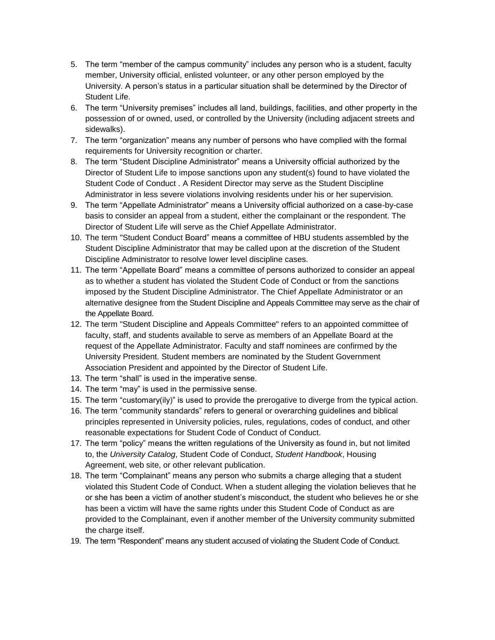- 5. The term "member of the campus community" includes any person who is a student, faculty member, University official, enlisted volunteer, or any other person employed by the University. A person's status in a particular situation shall be determined by the Director of Student Life.
- 6. The term "University premises" includes all land, buildings, facilities, and other property in the possession of or owned, used, or controlled by the University (including adjacent streets and sidewalks).
- 7. The term "organization" means any number of persons who have complied with the formal requirements for University recognition or charter.
- 8. The term "Student Discipline Administrator" means a University official authorized by the Director of Student Life to impose sanctions upon any student(s) found to have violated the Student Code of Conduct . A Resident Director may serve as the Student Discipline Administrator in less severe violations involving residents under his or her supervision.
- 9. The term "Appellate Administrator" means a University official authorized on a case-by-case basis to consider an appeal from a student, either the complainant or the respondent. The Director of Student Life will serve as the Chief Appellate Administrator.
- 10. The term "Student Conduct Board" means a committee of HBU students assembled by the Student Discipline Administrator that may be called upon at the discretion of the Student Discipline Administrator to resolve lower level discipline cases.
- 11. The term "Appellate Board" means a committee of persons authorized to consider an appeal as to whether a student has violated the Student Code of Conduct or from the sanctions imposed by the Student Discipline Administrator. The Chief Appellate Administrator or an alternative designee from the Student Discipline and Appeals Committee may serve as the chair of the Appellate Board.
- 12. The term "Student Discipline and Appeals Committee" refers to an appointed committee of faculty, staff, and students available to serve as members of an Appellate Board at the request of the Appellate Administrator. Faculty and staff nominees are confirmed by the University President. Student members are nominated by the Student Government Association President and appointed by the Director of Student Life.
- 13. The term "shall" is used in the imperative sense.
- 14. The term "may" is used in the permissive sense.
- 15. The term "customary(ily)" is used to provide the prerogative to diverge from the typical action.
- 16. The term "community standards" refers to general or overarching guidelines and biblical principles represented in University policies, rules, regulations, codes of conduct, and other reasonable expectations for Student Code of Conduct of Conduct.
- 17. The term "policy" means the written regulations of the University as found in, but not limited to, the *University Catalog*, Student Code of Conduct, *Student Handbook*, Housing Agreement, web site, or other relevant publication.
- 18. The term "Complainant" means any person who submits a charge alleging that a student violated this Student Code of Conduct. When a student alleging the violation believes that he or she has been a victim of another student's misconduct, the student who believes he or she has been a victim will have the same rights under this Student Code of Conduct as are provided to the Complainant, even if another member of the University community submitted the charge itself.
- 19. The term "Respondent" means any student accused of violating the Student Code of Conduct.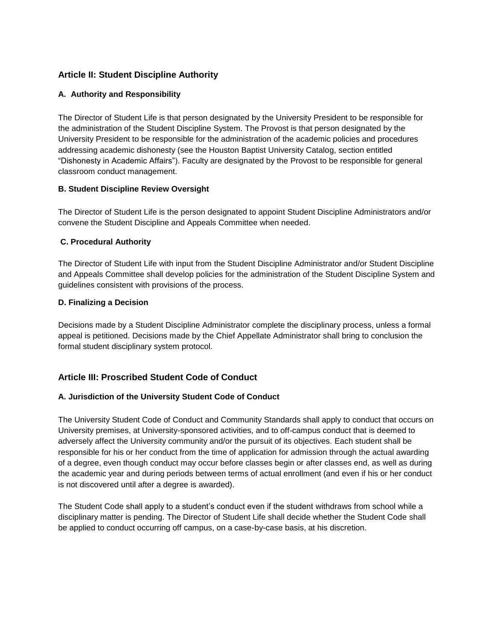## **Article II: Student Discipline Authority**

#### **A. Authority and Responsibility**

The Director of Student Life is that person designated by the University President to be responsible for the administration of the Student Discipline System. The Provost is that person designated by the University President to be responsible for the administration of the academic policies and procedures addressing academic dishonesty (see the Houston Baptist University Catalog, section entitled "Dishonesty in Academic Affairs"). Faculty are designated by the Provost to be responsible for general classroom conduct management.

#### **B. Student Discipline Review Oversight**

The Director of Student Life is the person designated to appoint Student Discipline Administrators and/or convene the Student Discipline and Appeals Committee when needed.

#### **C. Procedural Authority**

The Director of Student Life with input from the Student Discipline Administrator and/or Student Discipline and Appeals Committee shall develop policies for the administration of the Student Discipline System and guidelines consistent with provisions of the process.

#### **D. Finalizing a Decision**

Decisions made by a Student Discipline Administrator complete the disciplinary process, unless a formal appeal is petitioned. Decisions made by the Chief Appellate Administrator shall bring to conclusion the formal student disciplinary system protocol.

## **Article III: Proscribed Student Code of Conduct**

#### **A. Jurisdiction of the University Student Code of Conduct**

The University Student Code of Conduct and Community Standards shall apply to conduct that occurs on University premises, at University-sponsored activities, and to off-campus conduct that is deemed to adversely affect the University community and/or the pursuit of its objectives. Each student shall be responsible for his or her conduct from the time of application for admission through the actual awarding of a degree, even though conduct may occur before classes begin or after classes end, as well as during the academic year and during periods between terms of actual enrollment (and even if his or her conduct is not discovered until after a degree is awarded).

The Student Code shall apply to a student's conduct even if the student withdraws from school while a disciplinary matter is pending. The Director of Student Life shall decide whether the Student Code shall be applied to conduct occurring off campus, on a case-by-case basis, at his discretion.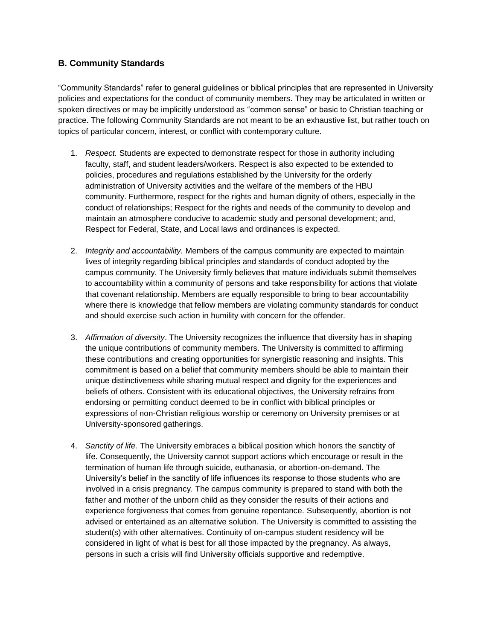## **B. Community Standards**

"Community Standards" refer to general guidelines or biblical principles that are represented in University policies and expectations for the conduct of community members. They may be articulated in written or spoken directives or may be implicitly understood as "common sense" or basic to Christian teaching or practice. The following Community Standards are not meant to be an exhaustive list, but rather touch on topics of particular concern, interest, or conflict with contemporary culture.

- 1. *Respect.* Students are expected to demonstrate respect for those in authority including faculty, staff, and student leaders/workers. Respect is also expected to be extended to policies, procedures and regulations established by the University for the orderly administration of University activities and the welfare of the members of the HBU community. Furthermore, respect for the rights and human dignity of others, especially in the conduct of relationships; Respect for the rights and needs of the community to develop and maintain an atmosphere conducive to academic study and personal development; and, Respect for Federal, State, and Local laws and ordinances is expected.
- 2. *Integrity and accountability.* Members of the campus community are expected to maintain lives of integrity regarding biblical principles and standards of conduct adopted by the campus community. The University firmly believes that mature individuals submit themselves to accountability within a community of persons and take responsibility for actions that violate that covenant relationship. Members are equally responsible to bring to bear accountability where there is knowledge that fellow members are violating community standards for conduct and should exercise such action in humility with concern for the offender.
- 3. *Affirmation of diversity*. The University recognizes the influence that diversity has in shaping the unique contributions of community members. The University is committed to affirming these contributions and creating opportunities for synergistic reasoning and insights. This commitment is based on a belief that community members should be able to maintain their unique distinctiveness while sharing mutual respect and dignity for the experiences and beliefs of others. Consistent with its educational objectives, the University refrains from endorsing or permitting conduct deemed to be in conflict with biblical principles or expressions of non-Christian religious worship or ceremony on University premises or at University-sponsored gatherings.
- 4. *Sanctity of life.* The University embraces a biblical position which honors the sanctity of life. Consequently, the University cannot support actions which encourage or result in the termination of human life through suicide, euthanasia, or abortion-on-demand. The University's belief in the sanctity of life influences its response to those students who are involved in a crisis pregnancy. The campus community is prepared to stand with both the father and mother of the unborn child as they consider the results of their actions and experience forgiveness that comes from genuine repentance. Subsequently, abortion is not advised or entertained as an alternative solution. The University is committed to assisting the student(s) with other alternatives. Continuity of on-campus student residency will be considered in light of what is best for all those impacted by the pregnancy. As always, persons in such a crisis will find University officials supportive and redemptive.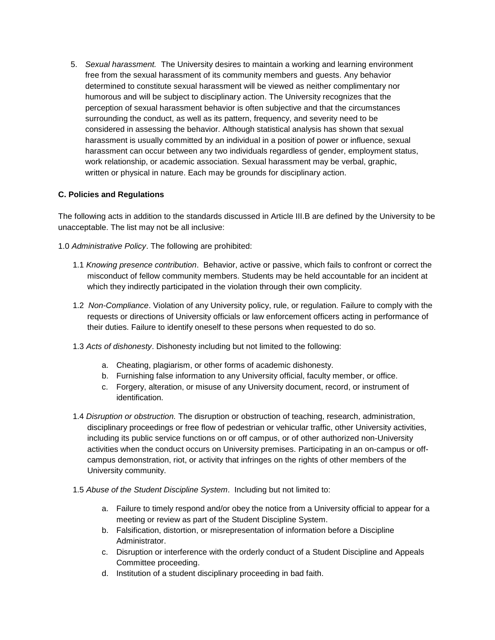5. *Sexual harassment.* The University desires to maintain a working and learning environment free from the sexual harassment of its community members and guests. Any behavior determined to constitute sexual harassment will be viewed as neither complimentary nor humorous and will be subject to disciplinary action. The University recognizes that the perception of sexual harassment behavior is often subjective and that the circumstances surrounding the conduct, as well as its pattern, frequency, and severity need to be considered in assessing the behavior. Although statistical analysis has shown that sexual harassment is usually committed by an individual in a position of power or influence, sexual harassment can occur between any two individuals regardless of gender, employment status, work relationship, or academic association. Sexual harassment may be verbal, graphic, written or physical in nature. Each may be grounds for disciplinary action.

#### **C. Policies and Regulations**

The following acts in addition to the standards discussed in Article III.B are defined by the University to be unacceptable. The list may not be all inclusive:

1.0 *Administrative Policy*. The following are prohibited:

- 1.1 *Knowing presence contribution*. Behavior, active or passive, which fails to confront or correct the misconduct of fellow community members. Students may be held accountable for an incident at which they indirectly participated in the violation through their own complicity.
- 1.2 *Non-Compliance*. Violation of any University policy, rule, or regulation. Failure to comply with the requests or directions of University officials or law enforcement officers acting in performance of their duties. Failure to identify oneself to these persons when requested to do so.
- 1.3 *Acts of dishonesty*. Dishonesty including but not limited to the following:
	- a. Cheating, plagiarism, or other forms of academic dishonesty.
	- b. Furnishing false information to any University official, faculty member, or office.
	- c. Forgery, alteration, or misuse of any University document, record, or instrument of identification.
- 1.4 *Disruption or obstruction.* The disruption or obstruction of teaching, research, administration, disciplinary proceedings or free flow of pedestrian or vehicular traffic, other University activities, including its public service functions on or off campus, or of other authorized non-University activities when the conduct occurs on University premises. Participating in an on-campus or offcampus demonstration, riot, or activity that infringes on the rights of other members of the University community.
- 1.5 *Abuse of the Student Discipline System*. Including but not limited to:
	- a. Failure to timely respond and/or obey the notice from a University official to appear for a meeting or review as part of the Student Discipline System.
	- b. Falsification, distortion, or misrepresentation of information before a Discipline Administrator.
	- c. Disruption or interference with the orderly conduct of a Student Discipline and Appeals Committee proceeding.
	- d. Institution of a student disciplinary proceeding in bad faith.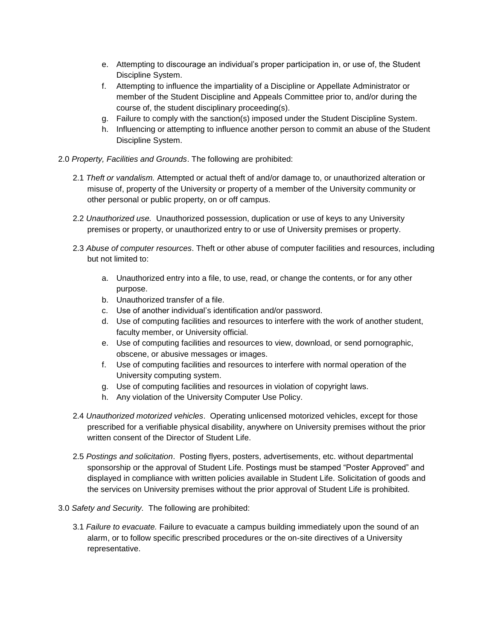- e. Attempting to discourage an individual's proper participation in, or use of, the Student Discipline System.
- f. Attempting to influence the impartiality of a Discipline or Appellate Administrator or member of the Student Discipline and Appeals Committee prior to, and/or during the course of, the student disciplinary proceeding(s).
- g. Failure to comply with the sanction(s) imposed under the Student Discipline System.
- h. Influencing or attempting to influence another person to commit an abuse of the Student Discipline System.
- 2.0 *Property, Facilities and Grounds*. The following are prohibited:
	- 2.1 *Theft or vandalism.* Attempted or actual theft of and/or damage to, or unauthorized alteration or misuse of, property of the University or property of a member of the University community or other personal or public property, on or off campus.
	- 2.2 *Unauthorized use.* Unauthorized possession, duplication or use of keys to any University premises or property, or unauthorized entry to or use of University premises or property.
	- 2.3 *Abuse of computer resources*. Theft or other abuse of computer facilities and resources, including but not limited to:
		- a. Unauthorized entry into a file, to use, read, or change the contents, or for any other purpose.
		- b. Unauthorized transfer of a file.
		- c. Use of another individual's identification and/or password.
		- d. Use of computing facilities and resources to interfere with the work of another student, faculty member, or University official.
		- e. Use of computing facilities and resources to view, download, or send pornographic, obscene, or abusive messages or images.
		- f. Use of computing facilities and resources to interfere with normal operation of the University computing system.
		- g. Use of computing facilities and resources in violation of copyright laws.
		- h. Any violation of the [University Computer Use Policy.](http://www.hbu.edu/About-HBU/General-Information/Consumer-Information/Campus-Policies-and-Security/Copyright-Infringement-Policy.aspx)
	- 2.4 *Unauthorized motorized vehicles*. Operating unlicensed motorized vehicles, except for those prescribed for a verifiable physical disability, anywhere on University premises without the prior written consent of the Director of Student Life.
	- 2.5 *Postings and solicitation*. Posting flyers, posters, advertisements, etc. without departmental sponsorship or the approval of Student Life. Postings must be stamped "Poster Approved" and displayed in compliance with written policies available in Student Life. Solicitation of goods and the services on University premises without the prior approval of Student Life is prohibited.
- 3.0 *Safety and Security.* The following are prohibited:
	- 3.1 *Failure to evacuate.* Failure to evacuate a campus building immediately upon the sound of an alarm, or to follow specific prescribed procedures or the on-site directives of a University representative.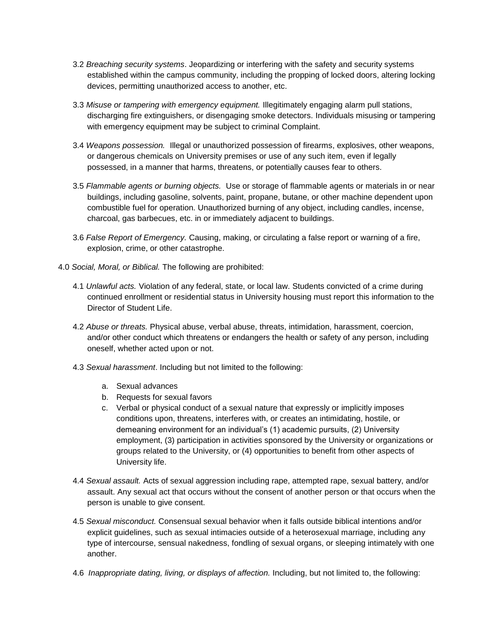- 3.2 *Breaching security systems*. Jeopardizing or interfering with the safety and security systems established within the campus community, including the propping of locked doors, altering locking devices, permitting unauthorized access to another, etc.
- 3.3 *Misuse or tampering with emergency equipment.* Illegitimately engaging alarm pull stations, discharging fire extinguishers, or disengaging smoke detectors. Individuals misusing or tampering with emergency equipment may be subject to criminal Complaint.
- 3.4 *Weapons possession.* Illegal or unauthorized possession of firearms, explosives, other weapons, or dangerous chemicals on University premises or use of any such item, even if legally possessed, in a manner that harms, threatens, or potentially causes fear to others.
- 3.5 *Flammable agents or burning objects.* Use or storage of flammable agents or materials in or near buildings, including gasoline, solvents, paint, propane, butane, or other machine dependent upon combustible fuel for operation. Unauthorized burning of any object, including candles, incense, charcoal, gas barbecues, etc. in or immediately adjacent to buildings.
- 3.6 *False Report of Emergency.* Causing, making, or circulating a false report or warning of a fire, explosion, crime, or other catastrophe.
- 4.0 *Social, Moral, or Biblical.* The following are prohibited:
	- 4.1 *Unlawful acts.* Violation of any federal, state, or local law. Students convicted of a crime during continued enrollment or residential status in University housing must report this information to the Director of Student Life.
	- 4.2 *Abuse or threats.* Physical abuse, verbal abuse, threats, intimidation, harassment, coercion, and/or other conduct which threatens or endangers the health or safety of any person, including oneself, whether acted upon or not.
	- 4.3 *Sexual harassment*. Including but not limited to the following:
		- a. Sexual advances
		- b. Requests for sexual favors
		- c. Verbal or physical conduct of a sexual nature that expressly or implicitly imposes conditions upon, threatens, interferes with, or creates an intimidating, hostile, or demeaning environment for an individual's (1) academic pursuits, (2) University employment, (3) participation in activities sponsored by the University or organizations or groups related to the University, or (4) opportunities to benefit from other aspects of University life.
	- 4.4 *Sexual assault.* Acts of sexual aggression including rape, attempted rape, sexual battery, and/or assault. Any sexual act that occurs without the consent of another person or that occurs when the person is unable to give consent.
	- 4.5 *Sexual misconduct.* Consensual sexual behavior when it falls outside biblical intentions and/or explicit guidelines, such as sexual intimacies outside of a heterosexual marriage, including any type of intercourse, sensual nakedness, fondling of sexual organs, or sleeping intimately with one another.
	- 4.6 *Inappropriate dating, living, or displays of affection.* Including, but not limited to, the following: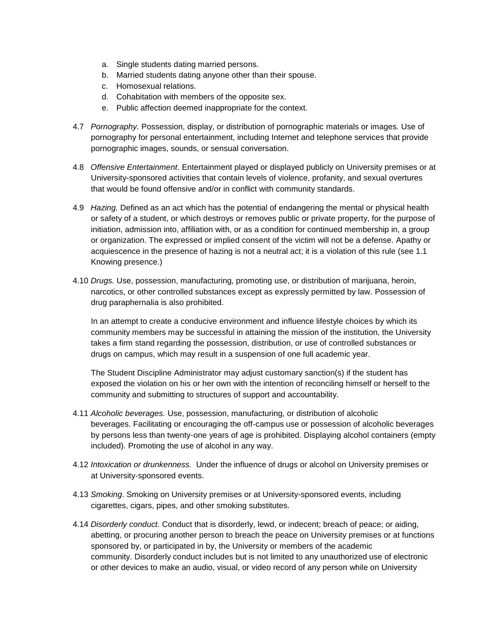- a. Single students dating married persons.
- b. Married students dating anyone other than their spouse.
- c. Homosexual relations.
- d. Cohabitation with members of the opposite sex.
- e. Public affection deemed inappropriate for the context.
- 4.7 *Pornography.* Possession, display, or distribution of pornographic materials or images*.* Use of pornography for personal entertainment, including Internet and telephone services that provide pornographic images, sounds, or sensual conversation.
- 4.8 *Offensive Entertainment*. Entertainment played or displayed publicly on University premises or at University-sponsored activities that contain levels of violence, profanity, and sexual overtures that would be found offensive and/or in conflict with community standards.
- 4.9 *Hazing.* Defined as an act which has the potential of endangering the mental or physical health or safety of a student, or which destroys or removes public or private property, for the purpose of initiation, admission into, affiliation with, or as a condition for continued membership in, a group or organization. The expressed or implied consent of the victim will not be a defense. Apathy or acquiescence in the presence of hazing is not a neutral act; it is a violation of this rule (see 1.1 Knowing presence.)
- 4.10 *Drugs.* Use, possession, manufacturing, promoting use, or distribution of marijuana, heroin, narcotics, or other controlled substances except as expressly permitted by law. Possession of drug paraphernalia is also prohibited.

In an attempt to create a conducive environment and influence lifestyle choices by which its community members may be successful in attaining the mission of the institution, the University takes a firm stand regarding the possession, distribution, or use of controlled substances or drugs on campus, which may result in a suspension of one full academic year.

The Student Discipline Administrator may adjust customary sanction(s) if the student has exposed the violation on his or her own with the intention of reconciling himself or herself to the community and submitting to structures of support and accountability.

- 4.11 *Alcoholic beverages.* Use, possession, manufacturing, or distribution of alcoholic beverages. Facilitating or encouraging the off-campus use or possession of alcoholic beverages by persons less than twenty-one years of age is prohibited. Displaying alcohol containers (empty included). Promoting the use of alcohol in any way.
- 4.12 *Intoxication or drunkenness.* Under the influence of drugs or alcohol on University premises or at University-sponsored events.
- 4.13 *Smoking*. Smoking on University premises or at University-sponsored events, including cigarettes, cigars, pipes, and other smoking substitutes.
- 4.14 *Disorderly conduct.* Conduct that is disorderly, lewd, or indecent; breach of peace; or aiding, abetting, or procuring another person to breach the peace on University premises or at functions sponsored by, or participated in by, the University or members of the academic community. Disorderly conduct includes but is not limited to any unauthorized use of electronic or other devices to make an audio, visual, or video record of any person while on University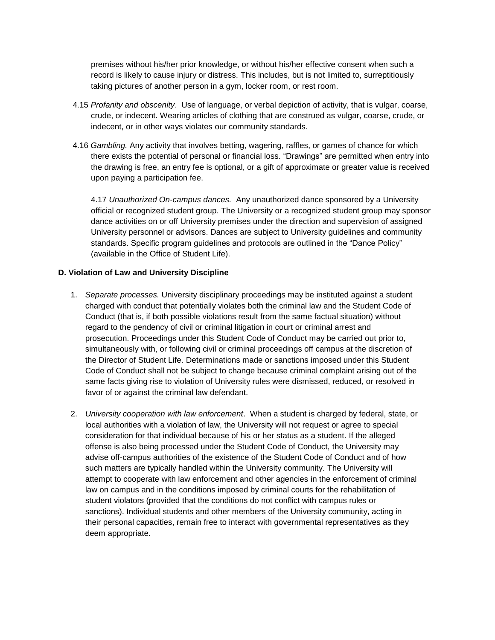premises without his/her prior knowledge, or without his/her effective consent when such a record is likely to cause injury or distress. This includes, but is not limited to, surreptitiously taking pictures of another person in a gym, locker room, or rest room.

- 4.15 *Profanity and obscenity*. Use of language, or verbal depiction of activity, that is vulgar, coarse, crude, or indecent. Wearing articles of clothing that are construed as vulgar, coarse, crude, or indecent, or in other ways violates our community standards.
- 4.16 *Gambling.* Any activity that involves betting, wagering, raffles, or games of chance for which there exists the potential of personal or financial loss. "Drawings" are permitted when entry into the drawing is free, an entry fee is optional, or a gift of approximate or greater value is received upon paying a participation fee.

4.17 *Unauthorized On-campus dances.* Any unauthorized dance sponsored by a University official or recognized student group. The University or a recognized student group may sponsor dance activities on or off University premises under the direction and supervision of assigned University personnel or advisors. Dances are subject to University guidelines and community standards. Specific program guidelines and protocols are outlined in the "Dance Policy" (available in the Office of Student Life).

#### **D. Violation of Law and University Discipline**

- 1. *Separate processes.* University disciplinary proceedings may be instituted against a student charged with conduct that potentially violates both the criminal law and the Student Code of Conduct (that is, if both possible violations result from the same factual situation) without regard to the pendency of civil or criminal litigation in court or criminal arrest and prosecution. Proceedings under this Student Code of Conduct may be carried out prior to, simultaneously with, or following civil or criminal proceedings off campus at the discretion of the Director of Student Life. Determinations made or sanctions imposed under this Student Code of Conduct shall not be subject to change because criminal complaint arising out of the same facts giving rise to violation of University rules were dismissed, reduced, or resolved in favor of or against the criminal law defendant.
- 2. *University cooperation with law enforcement*. When a student is charged by federal, state, or local authorities with a violation of law, the University will not request or agree to special consideration for that individual because of his or her status as a student. If the alleged offense is also being processed under the Student Code of Conduct, the University may advise off-campus authorities of the existence of the Student Code of Conduct and of how such matters are typically handled within the University community. The University will attempt to cooperate with law enforcement and other agencies in the enforcement of criminal law on campus and in the conditions imposed by criminal courts for the rehabilitation of student violators (provided that the conditions do not conflict with campus rules or sanctions). Individual students and other members of the University community, acting in their personal capacities, remain free to interact with governmental representatives as they deem appropriate.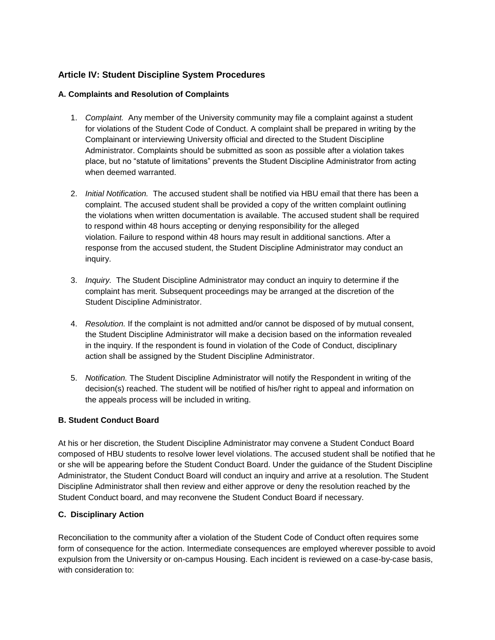## **Article IV: Student Discipline System Procedures**

#### **A. Complaints and Resolution of Complaints**

- 1. *Complaint.* Any member of the University community may file a complaint against a student for violations of the Student Code of Conduct. A complaint shall be prepared in writing by the Complainant or interviewing University official and directed to the Student Discipline Administrator. Complaints should be submitted as soon as possible after a violation takes place, but no "statute of limitations" prevents the Student Discipline Administrator from acting when deemed warranted.
- 2. *Initial Notification.* The accused student shall be notified via HBU email that there has been a complaint. The accused student shall be provided a copy of the written complaint outlining the violations when written documentation is available. The accused student shall be required to respond within 48 hours accepting or denying responsibility for the alleged violation. Failure to respond within 48 hours may result in additional sanctions. After a response from the accused student, the Student Discipline Administrator may conduct an inquiry.
- 3. *Inquiry.* The Student Discipline Administrator may conduct an inquiry to determine if the complaint has merit. Subsequent proceedings may be arranged at the discretion of the Student Discipline Administrator.
- 4. *Resolution.* If the complaint is not admitted and/or cannot be disposed of by mutual consent, the Student Discipline Administrator will make a decision based on the information revealed in the inquiry. If the respondent is found in violation of the Code of Conduct, disciplinary action shall be assigned by the Student Discipline Administrator.
- 5. *Notification.* The Student Discipline Administrator will notify the Respondent in writing of the decision(s) reached. The student will be notified of his/her right to appeal and information on the appeals process will be included in writing.

#### **B. Student Conduct Board**

At his or her discretion, the Student Discipline Administrator may convene a Student Conduct Board composed of HBU students to resolve lower level violations. The accused student shall be notified that he or she will be appearing before the Student Conduct Board. Under the guidance of the Student Discipline Administrator, the Student Conduct Board will conduct an inquiry and arrive at a resolution. The Student Discipline Administrator shall then review and either approve or deny the resolution reached by the Student Conduct board, and may reconvene the Student Conduct Board if necessary.

#### **C. Disciplinary Action**

Reconciliation to the community after a violation of the Student Code of Conduct often requires some form of consequence for the action. Intermediate consequences are employed wherever possible to avoid expulsion from the University or on-campus Housing. Each incident is reviewed on a case-by-case basis, with consideration to: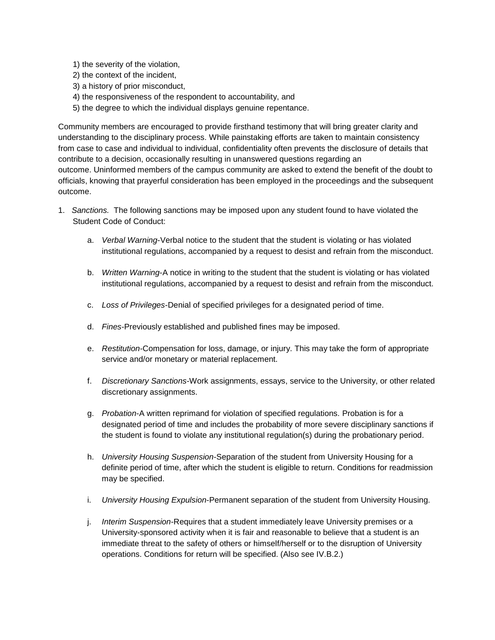- 1) the severity of the violation,
- 2) the context of the incident,
- 3) a history of prior misconduct,
- 4) the responsiveness of the respondent to accountability, and
- 5) the degree to which the individual displays genuine repentance.

Community members are encouraged to provide firsthand testimony that will bring greater clarity and understanding to the disciplinary process. While painstaking efforts are taken to maintain consistency from case to case and individual to individual, confidentiality often prevents the disclosure of details that contribute to a decision, occasionally resulting in unanswered questions regarding an outcome. Uninformed members of the campus community are asked to extend the benefit of the doubt to officials, knowing that prayerful consideration has been employed in the proceedings and the subsequent outcome.

- 1. *Sanctions.* The following sanctions may be imposed upon any student found to have violated the Student Code of Conduct:
	- a. *Verbal Warning*-Verbal notice to the student that the student is violating or has violated institutional regulations, accompanied by a request to desist and refrain from the misconduct.
	- b. *Written Warning*-A notice in writing to the student that the student is violating or has violated institutional regulations, accompanied by a request to desist and refrain from the misconduct.
	- c. *Loss of Privileges*-Denial of specified privileges for a designated period of time.
	- d. *Fines*-Previously established and published fines may be imposed.
	- e. *Restitution*-Compensation for loss, damage, or injury. This may take the form of appropriate service and/or monetary or material replacement.
	- f. *Discretionary Sanctions*-Work assignments, essays, service to the University, or other related discretionary assignments.
	- g. *Probation*-A written reprimand for violation of specified regulations. Probation is for a designated period of time and includes the probability of more severe disciplinary sanctions if the student is found to violate any institutional regulation(s) during the probationary period.
	- h. *University Housing Suspension*-Separation of the student from University Housing for a definite period of time, after which the student is eligible to return. Conditions for readmission may be specified.
	- i. *University Housing Expulsion*-Permanent separation of the student from University Housing.
	- j. *Interim Suspension*-Requires that a student immediately leave University premises or a University-sponsored activity when it is fair and reasonable to believe that a student is an immediate threat to the safety of others or himself/herself or to the disruption of University operations. Conditions for return will be specified. (Also see IV.B.2.)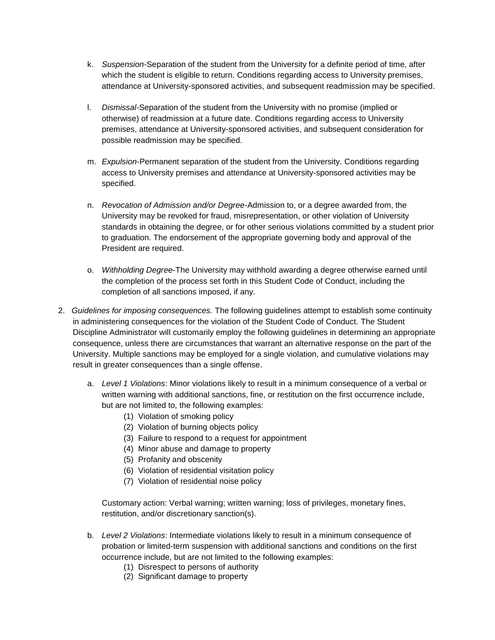- k. *Suspension*-Separation of the student from the University for a definite period of time, after which the student is eligible to return. Conditions regarding access to University premises, attendance at University-sponsored activities, and subsequent readmission may be specified.
- l. *Dismissal-*Separation of the student from the University with no promise (implied or otherwise) of readmission at a future date. Conditions regarding access to University premises, attendance at University-sponsored activities, and subsequent consideration for possible readmission may be specified.
- m. *Expulsion*-Permanent separation of the student from the University. Conditions regarding access to University premises and attendance at University-sponsored activities may be specified.
- n. *Revocation of Admission and/or Degree-*Admission to, or a degree awarded from, the University may be revoked for fraud, misrepresentation, or other violation of University standards in obtaining the degree, or for other serious violations committed by a student prior to graduation. The endorsement of the appropriate governing body and approval of the President are required.
- o. *Withholding Degree*-The University may withhold awarding a degree otherwise earned until the completion of the process set forth in this Student Code of Conduct, including the completion of all sanctions imposed, if any.
- 2. *Guidelines for imposing consequences.* The following guidelines attempt to establish some continuity in administering consequences for the violation of the Student Code of Conduct. The Student Discipline Administrator will customarily employ the following guidelines in determining an appropriate consequence, unless there are circumstances that warrant an alternative response on the part of the University. Multiple sanctions may be employed for a single violation, and cumulative violations may result in greater consequences than a single offense.
	- a. *Level 1 Violations*: Minor violations likely to result in a minimum consequence of a verbal or written warning with additional sanctions, fine, or restitution on the first occurrence include, but are not limited to, the following examples:
		- (1) Violation of smoking policy
		- (2) Violation of burning objects policy
		- (3) Failure to respond to a request for appointment
		- (4) Minor abuse and damage to property
		- (5) Profanity and obscenity
		- (6) Violation of residential visitation policy
		- (7) Violation of residential noise policy

Customary action: Verbal warning; written warning; loss of privileges, monetary fines, restitution, and/or discretionary sanction(s).

- b. *Level 2 Violations*: Intermediate violations likely to result in a minimum consequence of probation or limited-term suspension with additional sanctions and conditions on the first occurrence include, but are not limited to the following examples:
	- (1) Disrespect to persons of authority
	- (2) Significant damage to property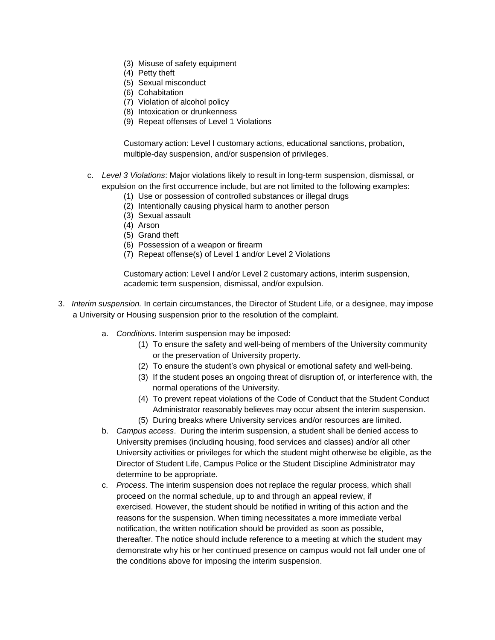- (3) Misuse of safety equipment
- (4) Petty theft
- (5) Sexual misconduct
- (6) Cohabitation
- (7) Violation of alcohol policy
- (8) Intoxication or drunkenness
- (9) Repeat offenses of Level 1 Violations

Customary action: Level I customary actions, educational sanctions, probation, multiple-day suspension, and/or suspension of privileges.

- c. *Level 3 Violations*: Major violations likely to result in long-term suspension, dismissal, or expulsion on the first occurrence include, but are not limited to the following examples:
	- (1) Use or possession of controlled substances or illegal drugs
	- (2) Intentionally causing physical harm to another person
	- (3) Sexual assault
	- (4) Arson
	- (5) Grand theft
	- (6) Possession of a weapon or firearm
	- (7) Repeat offense(s) of Level 1 and/or Level 2 Violations

Customary action: Level I and/or Level 2 customary actions, interim suspension, academic term suspension, dismissal, and/or expulsion.

- 3. *Interim suspension.* In certain circumstances, the Director of Student Life, or a designee, may impose a University or Housing suspension prior to the resolution of the complaint.
	- a. *Conditions*. Interim suspension may be imposed:
		- (1) To ensure the safety and well-being of members of the University community or the preservation of University property.
		- (2) To ensure the student's own physical or emotional safety and well-being.
		- (3) If the student poses an ongoing threat of disruption of, or interference with, the normal operations of the University.
		- (4) To prevent repeat violations of the Code of Conduct that the Student Conduct Administrator reasonably believes may occur absent the interim suspension.
		- (5) During breaks where University services and/or resources are limited.
	- b. *Campus access*. During the interim suspension, a student shall be denied access to University premises (including housing, food services and classes) and/or all other University activities or privileges for which the student might otherwise be eligible, as the Director of Student Life, Campus Police or the Student Discipline Administrator may determine to be appropriate.
	- c. *Process*. The interim suspension does not replace the regular process, which shall proceed on the normal schedule, up to and through an appeal review, if exercised. However, the student should be notified in writing of this action and the reasons for the suspension. When timing necessitates a more immediate verbal notification, the written notification should be provided as soon as possible, thereafter. The notice should include reference to a meeting at which the student may demonstrate why his or her continued presence on campus would not fall under one of the conditions above for imposing the interim suspension.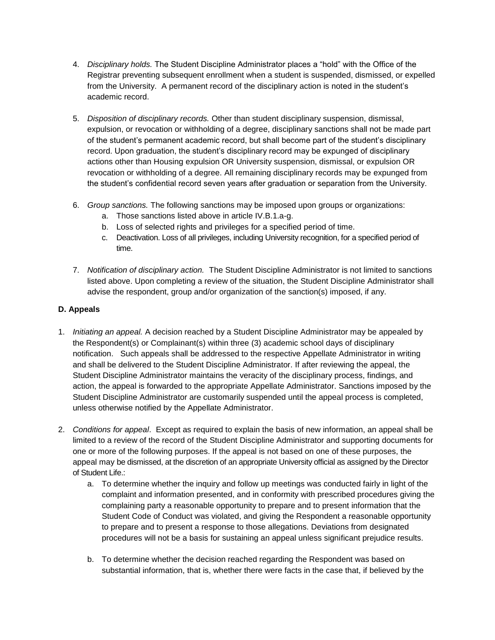- 4. *Disciplinary holds.* The Student Discipline Administrator places a "hold" with the Office of the Registrar preventing subsequent enrollment when a student is suspended, dismissed, or expelled from the University. A permanent record of the disciplinary action is noted in the student's academic record.
- 5. *Disposition of disciplinary records.* Other than student disciplinary suspension, dismissal, expulsion, or revocation or withholding of a degree, disciplinary sanctions shall not be made part of the student's permanent academic record, but shall become part of the student's disciplinary record. Upon graduation, the student's disciplinary record may be expunged of disciplinary actions other than Housing expulsion OR University suspension, dismissal, or expulsion OR revocation or withholding of a degree. All remaining disciplinary records may be expunged from the student's confidential record seven years after graduation or separation from the University.
- 6. *Group sanctions.* The following sanctions may be imposed upon groups or organizations:
	- a. Those sanctions listed above in article IV.B.1.a-g.
	- b. Loss of selected rights and privileges for a specified period of time.
	- c. Deactivation. Loss of all privileges, including University recognition, for a specified period of time.
- 7. *Notification of disciplinary action.* The Student Discipline Administrator is not limited to sanctions listed above. Upon completing a review of the situation, the Student Discipline Administrator shall advise the respondent, group and/or organization of the sanction(s) imposed, if any.

## **D. Appeals**

- 1. *Initiating an appeal.* A decision reached by a Student Discipline Administrator may be appealed by the Respondent(s) or Complainant(s) within three (3) academic school days of disciplinary notification. Such appeals shall be addressed to the respective Appellate Administrator in writing and shall be delivered to the Student Discipline Administrator. If after reviewing the appeal, the Student Discipline Administrator maintains the veracity of the disciplinary process, findings, and action, the appeal is forwarded to the appropriate Appellate Administrator. Sanctions imposed by the Student Discipline Administrator are customarily suspended until the appeal process is completed, unless otherwise notified by the Appellate Administrator.
- 2. *Conditions for appeal*. Except as required to explain the basis of new information, an appeal shall be limited to a review of the record of the Student Discipline Administrator and supporting documents for one or more of the following purposes. If the appeal is not based on one of these purposes, the appeal may be dismissed, at the discretion of an appropriate University official as assigned by the Director of Student Life.:
	- a. To determine whether the inquiry and follow up meetings was conducted fairly in light of the complaint and information presented, and in conformity with prescribed procedures giving the complaining party a reasonable opportunity to prepare and to present information that the Student Code of Conduct was violated, and giving the Respondent a reasonable opportunity to prepare and to present a response to those allegations. Deviations from designated procedures will not be a basis for sustaining an appeal unless significant prejudice results.
	- b. To determine whether the decision reached regarding the Respondent was based on substantial information, that is, whether there were facts in the case that, if believed by the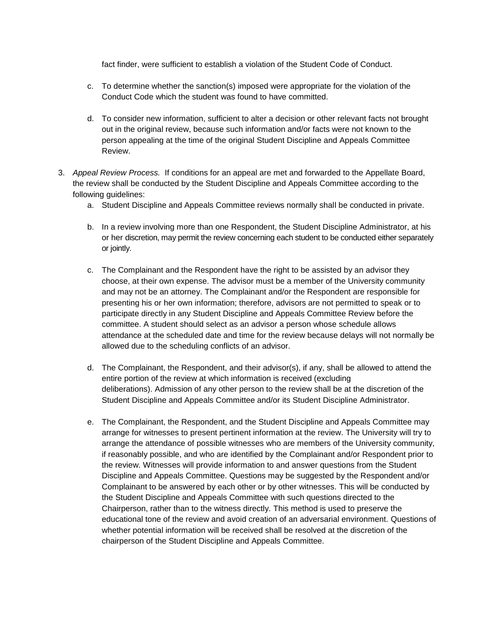fact finder, were sufficient to establish a violation of the Student Code of Conduct.

- c. To determine whether the sanction(s) imposed were appropriate for the violation of the Conduct Code which the student was found to have committed.
- d. To consider new information, sufficient to alter a decision or other relevant facts not brought out in the original review, because such information and/or facts were not known to the person appealing at the time of the original Student Discipline and Appeals Committee Review.
- 3. *Appeal Review Process.* If conditions for an appeal are met and forwarded to the Appellate Board, the review shall be conducted by the Student Discipline and Appeals Committee according to the following guidelines:
	- a. Student Discipline and Appeals Committee reviews normally shall be conducted in private.
	- b. In a review involving more than one Respondent, the Student Discipline Administrator, at his or her discretion, may permit the review concerning each student to be conducted either separately or jointly.
	- c. The Complainant and the Respondent have the right to be assisted by an advisor they choose, at their own expense. The advisor must be a member of the University community and may not be an attorney. The Complainant and/or the Respondent are responsible for presenting his or her own information; therefore, advisors are not permitted to speak or to participate directly in any Student Discipline and Appeals Committee Review before the committee. A student should select as an advisor a person whose schedule allows attendance at the scheduled date and time for the review because delays will not normally be allowed due to the scheduling conflicts of an advisor.
	- d. The Complainant, the Respondent, and their advisor(s), if any, shall be allowed to attend the entire portion of the review at which information is received (excluding deliberations). Admission of any other person to the review shall be at the discretion of the Student Discipline and Appeals Committee and/or its Student Discipline Administrator.
	- e. The Complainant, the Respondent, and the Student Discipline and Appeals Committee may arrange for witnesses to present pertinent information at the review. The University will try to arrange the attendance of possible witnesses who are members of the University community, if reasonably possible, and who are identified by the Complainant and/or Respondent prior to the review. Witnesses will provide information to and answer questions from the Student Discipline and Appeals Committee. Questions may be suggested by the Respondent and/or Complainant to be answered by each other or by other witnesses. This will be conducted by the Student Discipline and Appeals Committee with such questions directed to the Chairperson, rather than to the witness directly. This method is used to preserve the educational tone of the review and avoid creation of an adversarial environment. Questions of whether potential information will be received shall be resolved at the discretion of the chairperson of the Student Discipline and Appeals Committee.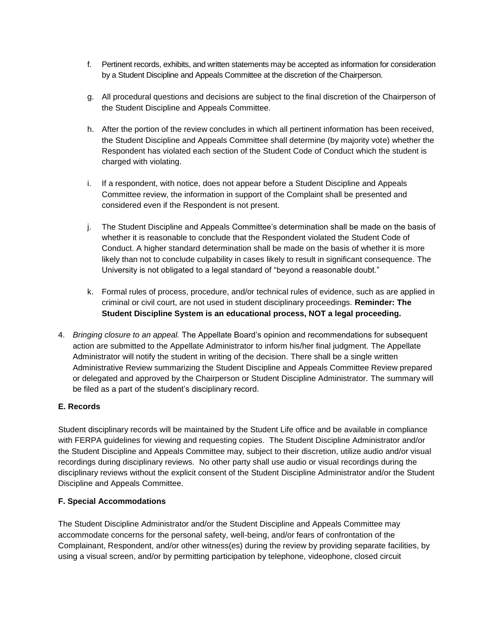- f. Pertinent records, exhibits, and written statements may be accepted as information for consideration by a Student Discipline and Appeals Committee at the discretion of the Chairperson.
- g. All procedural questions and decisions are subject to the final discretion of the Chairperson of the Student Discipline and Appeals Committee.
- h. After the portion of the review concludes in which all pertinent information has been received, the Student Discipline and Appeals Committee shall determine (by majority vote) whether the Respondent has violated each section of the Student Code of Conduct which the student is charged with violating.
- i. If a respondent, with notice, does not appear before a Student Discipline and Appeals Committee review, the information in support of the Complaint shall be presented and considered even if the Respondent is not present.
- j. The Student Discipline and Appeals Committee's determination shall be made on the basis of whether it is reasonable to conclude that the Respondent violated the Student Code of Conduct. A higher standard determination shall be made on the basis of whether it is more likely than not to conclude culpability in cases likely to result in significant consequence. The University is not obligated to a legal standard of "beyond a reasonable doubt."
- k. Formal rules of process, procedure, and/or technical rules of evidence, such as are applied in criminal or civil court, are not used in student disciplinary proceedings. **Reminder: The Student Discipline System is an educational process, NOT a legal proceeding.**
- 4. *Bringing closure to an appeal.* The Appellate Board's opinion and recommendations for subsequent action are submitted to the Appellate Administrator to inform his/her final judgment. The Appellate Administrator will notify the student in writing of the decision. There shall be a single written Administrative Review summarizing the Student Discipline and Appeals Committee Review prepared or delegated and approved by the Chairperson or Student Discipline Administrator. The summary will be filed as a part of the student's disciplinary record.

#### **E. Records**

Student disciplinary records will be maintained by the Student Life office and be available in compliance with FERPA guidelines for viewing and requesting copies. The Student Discipline Administrator and/or the Student Discipline and Appeals Committee may, subject to their discretion, utilize audio and/or visual recordings during disciplinary reviews. No other party shall use audio or visual recordings during the disciplinary reviews without the explicit consent of the Student Discipline Administrator and/or the Student Discipline and Appeals Committee.

#### **F. Special Accommodations**

The Student Discipline Administrator and/or the Student Discipline and Appeals Committee may accommodate concerns for the personal safety, well-being, and/or fears of confrontation of the Complainant, Respondent, and/or other witness(es) during the review by providing separate facilities, by using a visual screen, and/or by permitting participation by telephone, videophone, closed circuit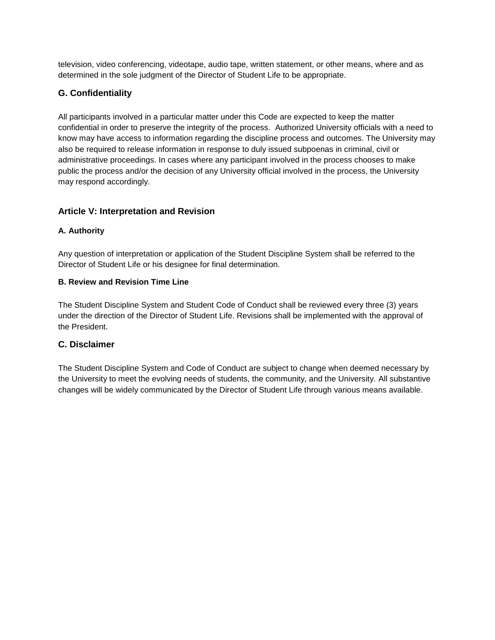television, video conferencing, videotape, audio tape, written statement, or other means, where and as determined in the sole judgment of the Director of Student Life to be appropriate.

## **G. Confidentiality**

All participants involved in a particular matter under this Code are expected to keep the matter confidential in order to preserve the integrity of the process. Authorized University officials with a need to know may have access to information regarding the discipline process and outcomes. The University may also be required to release information in response to duly issued subpoenas in criminal, civil or administrative proceedings. In cases where any participant involved in the process chooses to make public the process and/or the decision of any University official involved in the process, the University may respond accordingly.

## **Article V: Interpretation and Revision**

## **A. Authority**

Any question of interpretation or application of the Student Discipline System shall be referred to the Director of Student Life or his designee for final determination.

#### **B. Review and Revision Time Line**

The Student Discipline System and Student Code of Conduct shall be reviewed every three (3) years under the direction of the Director of Student Life. Revisions shall be implemented with the approval of the President.

## **C. Disclaimer**

The Student Discipline System and Code of Conduct are subject to change when deemed necessary by the University to meet the evolving needs of students, the community, and the University. All substantive changes will be widely communicated by the Director of Student Life through various means available.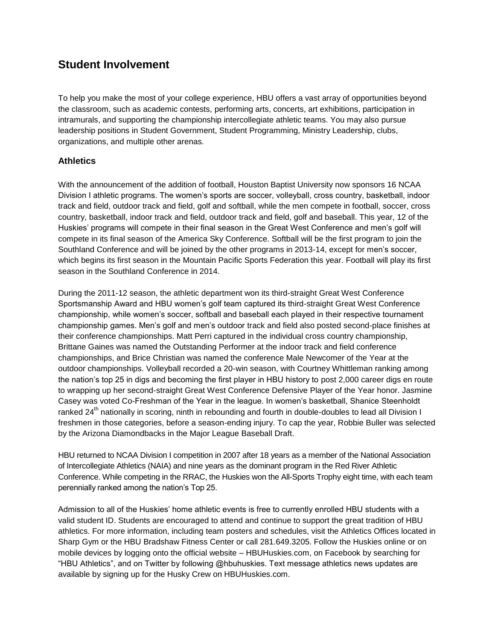# **Student Involvement**

To help you make the most of your college experience, HBU offers a vast array of opportunities beyond the classroom, such as academic contests, performing arts, concerts, art exhibitions, participation in intramurals, and supporting the championship intercollegiate athletic teams. You may also pursue leadership positions in Student Government, Student Programming, Ministry Leadership, clubs, organizations, and multiple other arenas.

## **Athletics**

With the announcement of the addition of football, Houston Baptist University now sponsors 16 NCAA Division I athletic programs. The women's sports are soccer, volleyball, cross country, basketball, indoor track and field, outdoor track and field, golf and softball, while the men compete in football, soccer, cross country, basketball, indoor track and field, outdoor track and field, golf and baseball. This year, 12 of the Huskies' programs will compete in their final season in the Great West Conference and men's golf will compete in its final season of the America Sky Conference. Softball will be the first program to join the Southland Conference and will be joined by the other programs in 2013-14, except for men's soccer, which begins its first season in the Mountain Pacific Sports Federation this year. Football will play its first season in the Southland Conference in 2014.

During the 2011-12 season, the athletic department won its third-straight Great West Conference Sportsmanship Award and HBU women's golf team captured its third-straight Great West Conference championship, while women's soccer, softball and baseball each played in their respective tournament championship games. Men's golf and men's outdoor track and field also posted second-place finishes at their conference championships. Matt Perri captured in the individual cross country championship, Brittane Gaines was named the Outstanding Performer at the indoor track and field conference championships, and Brice Christian was named the conference Male Newcomer of the Year at the outdoor championships. Volleyball recorded a 20-win season, with Courtney Whittleman ranking among the nation's top 25 in digs and becoming the first player in HBU history to post 2,000 career digs en route to wrapping up her second-straight Great West Conference Defensive Player of the Year honor. Jasmine Casey was voted Co-Freshman of the Year in the league. In women's basketball, Shanice Steenholdt ranked 24<sup>th</sup> nationally in scoring, ninth in rebounding and fourth in double-doubles to lead all Division I freshmen in those categories, before a season-ending injury. To cap the year, Robbie Buller was selected by the Arizona Diamondbacks in the Major League Baseball Draft.

HBU returned to NCAA Division I competition in 2007 after 18 years as a member of the National Association of Intercollegiate Athletics (NAIA) and nine years as the dominant program in the Red River Athletic Conference. While competing in the RRAC, the Huskies won the All-Sports Trophy eight time, with each team perennially ranked among the nation's Top 25.

Admission to all of the Huskies' home athletic events is free to currently enrolled HBU students with a valid student ID. Students are encouraged to attend and continue to support the great tradition of HBU athletics. For more information, including team posters and schedules, visit the Athletics Offices located in Sharp Gym or the HBU Bradshaw Fitness Center or call 281.649.3205. Follow the Huskies online or on mobile devices by logging onto the official website – HBUHuskies.com, on Facebook by searching for "HBU Athletics", and on Twitter by following @hbuhuskies. Text message athletics news updates are available by signing up for the Husky Crew on HBUHuskies.com.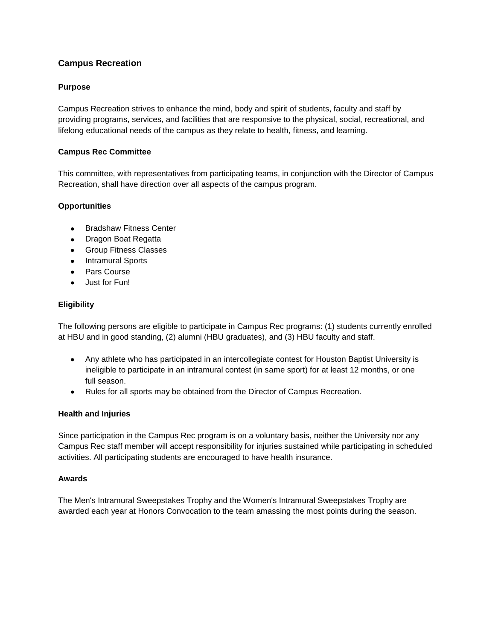## **Campus Recreation**

#### **Purpose**

Campus Recreation strives to enhance the mind, body and spirit of students, faculty and staff by providing programs, services, and facilities that are responsive to the physical, social, recreational, and lifelong educational needs of the campus as they relate to health, fitness, and learning.

#### **Campus Rec Committee**

This committee, with representatives from participating teams, in conjunction with the Director of Campus Recreation, shall have direction over all aspects of the campus program.

#### **Opportunities**

- Bradshaw Fitness Center
- Dragon Boat Regatta
- **•** Group Fitness Classes
- Intramural Sports
- Pars Course
- Just for Fun!

#### **Eligibility**

The following persons are eligible to participate in Campus Rec programs: (1) students currently enrolled at HBU and in good standing, (2) alumni (HBU graduates), and (3) HBU faculty and staff.

- Any athlete who has participated in an intercollegiate contest for Houston Baptist University is ineligible to participate in an intramural contest (in same sport) for at least 12 months, or one full season.
- Rules for all sports may be obtained from the [Director of Campus Recreation.](https://hbu.edu/Students-Alumni/Student-Information/Student-Life/Campus-Recreation/Contact.aspx)

#### **Health and Injuries**

Since participation in the Campus Rec program is on a voluntary basis, neither the University nor any Campus Rec staff member will accept responsibility for injuries sustained while participating in scheduled activities. All participating students are encouraged to have health insurance.

#### **Awards**

The Men's Intramural Sweepstakes Trophy and the Women's Intramural Sweepstakes Trophy are awarded each year at Honors Convocation to the team amassing the most points during the season.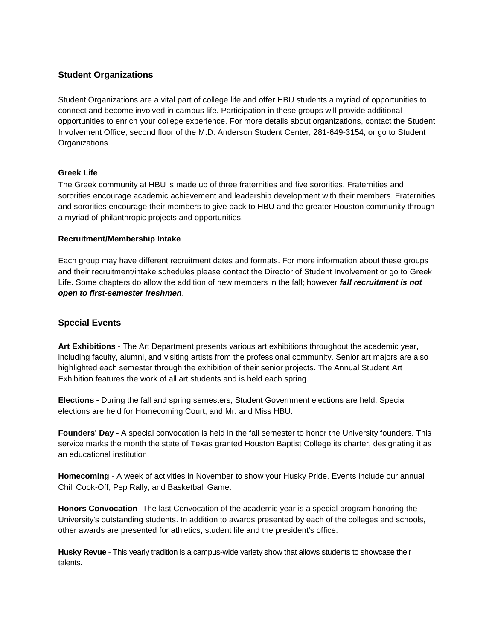# **Student Organizations**

Student Organizations are a vital part of college life and offer HBU students a myriad of opportunities to connect and become involved in campus life. Participation in these groups will provide additional opportunities to enrich your college experience. For more details about organizations, contact the [Student](https://hbu.edu/Students-Alumni/Student-Information/Student-Life/Student-Involvement.aspx)  [Involvement Office,](https://hbu.edu/Students-Alumni/Student-Information/Student-Life/Student-Involvement.aspx) second floor of the M.D. Anderson Student Center, 281-649-3154, or go to [Student](https://hbu.edu/Students-Alumni/Student-Information/Student-Organizations.aspx)  [Organizations.](https://hbu.edu/Students-Alumni/Student-Information/Student-Organizations.aspx)

#### **Greek Life**

The Greek community at HBU is made up of three fraternities and five sororities. Fraternities and sororities encourage academic achievement and leadership development with their members. Fraternities and sororities encourage their members to give back to HBU and the greater Houston community through a myriad of philanthropic projects and opportunities.

#### **Recruitment/Membership Intake**

Each group may have different recruitment dates and formats. For more information about these groups and their recruitment/intake schedules please contact the Director of Student Involvement or go to [Greek](https://hbu.edu/Students-Alumni/Student-Information/Student-Organizations/Greek.aspx)  [Life.](https://hbu.edu/Students-Alumni/Student-Information/Student-Organizations/Greek.aspx) Some chapters do allow the addition of new members in the fall; however *fall recruitment is not open to first-semester freshmen*.

# **Special Events**

**Art Exhibitions** - The Art Department presents various art exhibitions throughout the academic year, including faculty, alumni, and visiting artists from the professional community. Senior art majors are also highlighted each semester through the exhibition of their senior projects. The Annual Student Art Exhibition features the work of all art students and is held each spring.

**Elections -** During the fall and spring semesters, Student Government elections are held. Special elections are held for Homecoming Court, and Mr. and Miss HBU.

**Founders' Day -** A special convocation is held in the fall semester to honor the University founders. This service marks the month the state of Texas granted Houston Baptist College its charter, designating it as an educational institution.

**Homecoming** - A week of activities in November to show your Husky Pride. Events include our annual Chili Cook-Off, Pep Rally, and Basketball Game.

**Honors Convocation** -The last Convocation of the academic year is a special program honoring the University's outstanding students. In addition to awards presented by each of the colleges and schools, other awards are presented for athletics, student life and the president's office.

**Husky Revue** - This yearly tradition is a campus-wide variety show that allows students to showcase their talents.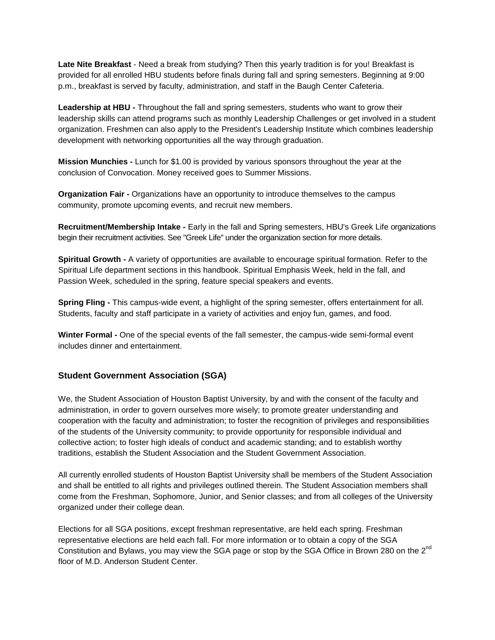**Late Nite Breakfast** - Need a break from studying? Then this yearly tradition is for you! Breakfast is provided for all enrolled HBU students before finals during fall and spring semesters. Beginning at 9:00 p.m., breakfast is served by faculty, administration, and staff in the Baugh Center Cafeteria.

**Leadership at HBU -** Throughout the fall and spring semesters, students who want to grow their leadership skills can attend programs such as monthly Leadership Challenges or get involved in a student organization. Freshmen can also apply to the President's Leadership Institute which combines leadership development with networking opportunities all the way through graduation.

**Mission Munchies -** Lunch for \$1.00 is provided by various sponsors throughout the year at the conclusion of Convocation. Money received goes to Summer Missions.

**Organization Fair -** Organizations have an opportunity to introduce themselves to the campus community, promote upcoming events, and recruit new members.

**Recruitment/Membership Intake -** Early in the fall and Spring semesters, HBU's Greek Life organizations begin their recruitment activities. See "Greek Life" under the organization section for more details.

**Spiritual Growth -** A variety of opportunities are available to encourage spiritual formation. Refer to the Spiritual Life department sections in this handbook. Spiritual Emphasis Week, held in the fall, and Passion Week, scheduled in the spring, feature special speakers and events.

**Spring Fling -** This campus-wide event, a highlight of the spring semester, offers entertainment for all. Students, faculty and staff participate in a variety of activities and enjoy fun, games, and food.

**Winter Formal -** One of the special events of the fall semester, the campus-wide semi-formal event includes dinner and entertainment.

#### **Student Government Association (SGA)**

We, the Student Association of Houston Baptist University, by and with the consent of the faculty and administration, in order to govern ourselves more wisely; to promote greater understanding and cooperation with the faculty and administration; to foster the recognition of privileges and responsibilities of the students of the University community; to provide opportunity for responsible individual and collective action; to foster high ideals of conduct and academic standing; and to establish worthy traditions, establish the Student Association and the Student Government Association.

All currently enrolled students of Houston Baptist University shall be members of the Student Association and shall be entitled to all rights and privileges outlined therein. The Student Association members shall come from the Freshman, Sophomore, Junior, and Senior classes; and from all colleges of the University organized under their college dean.

Elections for all [SGA positions,](https://hbu.edu/Students-Alumni/Student-Information/Student-Organizations/Leadership-Governing.aspx) except freshman representative, are held each spring. Freshman representative elections are held each fall. For more information or to obtain a copy of the SGA Constitution and Bylaws, you may view the [SGA page](https://hbu.edu/Students-Alumni/Student-Information/Student-Organizations/Leadership-Governing.aspx) or stop by the SGA Office in Brown 280 on the 2<sup>nd</sup> floor of M.D. Anderson Student Center.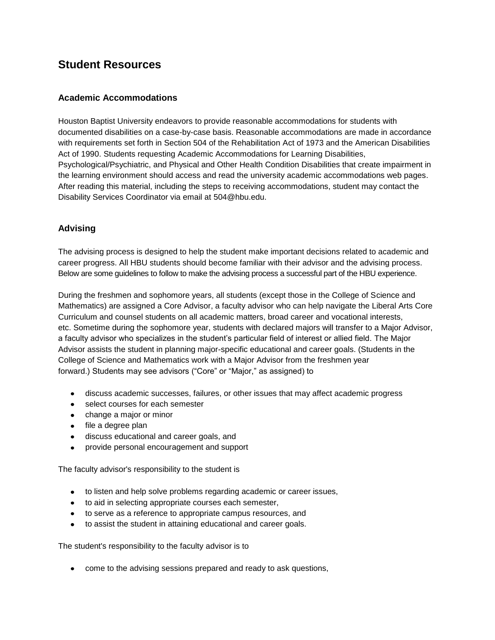# **Student Resources**

# **Academic Accommodations**

Houston Baptist University endeavors to provide reasonable accommodations for students with documented disabilities on a case-by-case basis. Reasonable accommodations are made in accordance with requirements set forth in Section 504 of the Rehabilitation Act of 1973 and the American Disabilities Act of 1990. Students requesting Academic Accommodations for Learning Disabilities, Psychological/Psychiatric, and Physical and Other Health Condition Disabilities that create impairment in the learning environment should access and read the [university academic accommodations web pages.](https://hbu.edu/Choosing-HBU/Academics/Resources/Academic-Accommodations.aspx) After reading this material, including the steps to receiving accommodations, student may contact the Disability Services Coordinator via email at [504@hbu.edu.](mailto:504@hbu.edu)

# **Advising**

The advising process is designed to help the student make important decisions related to academic and career progress. All HBU students should become familiar with their advisor and the advising process. Below are some guidelines to follow to make the advising process a successful part of the HBU experience.

During the freshmen and sophomore years, all students (except those in the College of Science and Mathematics) are assigned a Core Advisor, a faculty advisor who can help navigate the Liberal Arts Core Curriculum and counsel students on all academic matters, broad career and vocational interests, etc. Sometime during the sophomore year, students with declared majors will transfer to a Major Advisor, a faculty advisor who specializes in the student's particular field of interest or allied field. The Major Advisor assists the student in planning major-specific educational and career goals. (Students in the College of Science and Mathematics work with a Major Advisor from the freshmen year forward.) Students may see advisors ("Core" or "Major," as assigned) to

- discuss academic successes, failures, or other issues that may affect academic progress
- select courses for each semester
- change a major or minor
- file a degree plan
- discuss educational and career goals, and
- provide personal encouragement and support

The faculty advisor's responsibility to the student is

- to listen and help solve problems regarding academic or career issues,
- to aid in selecting appropriate courses each semester,
- to serve as a reference to appropriate campus resources, and
- to assist the student in attaining educational and career goals.

The student's responsibility to the faculty advisor is to

come to the advising sessions prepared and ready to ask questions,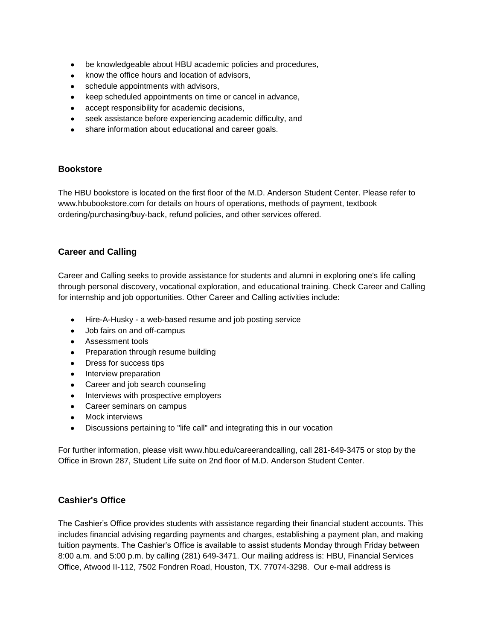- be knowledgeable about HBU academic policies and procedures,
- know the office hours and location of advisors,
- schedule appointments with advisors,
- keep scheduled appointments on time or cancel in advance,
- accept responsibility for academic decisions,  $\bullet$
- seek assistance before experiencing academic difficulty, and
- share information about educational and career goals.

### **Bookstore**

The HBU bookstore is located on the first floor of the M.D. Anderson Student Center. Please refer to [www.hbubookstore.com](http://www.hbubookstore.com/) for details on hours of operations, methods of payment, textbook ordering/purchasing/buy-back, refund policies, and other services offered.

### **Career and Calling**

Career and Calling seeks to provide assistance for students and alumni in exploring one's life calling through personal discovery, vocational exploration, and educational training. Check [Career and Calling](http://www.hbu.edu/careerandcalling) for internship and job opportunities. Other Career and Calling activities include:

- [Hire-A-Husky](http://www.hbu.edu/careerandcalling) a web-based resume and job posting service
- Job fairs on and off-campus
- **Assessment tools**
- Preparation through resume building
- Dress for success tips
- Interview preparation
- Career and job search counseling  $\bullet$
- Interviews with prospective employers
- $\blacksquare$ Career seminars on campus
- Mock interviews
- Discussions pertaining to "life call" and integrating this in our vocation  $\bullet$

For further information, please visit [www.hbu.edu/careerandcalling,](http://www.hbu.edu/careerandcalling) call 281-649-3475 or stop by the Office in Brown 287, Student Life suite on 2nd floor of M.D. Anderson Student Center.

### **Cashier's Office**

The Cashier's Office provides students with assistance regarding their financial student accounts. This includes financial advising regarding payments and charges, establishing a payment plan, and making tuition payments. The Cashier's Office is available to assist students Monday through Friday between 8:00 a.m. and 5:00 p.m. by calling (281) 649-3471. Our mailing address is: HBU, Financial Services Office, Atwood II-112, 7502 Fondren Road, Houston, TX. 77074-3298. Our e-mail address is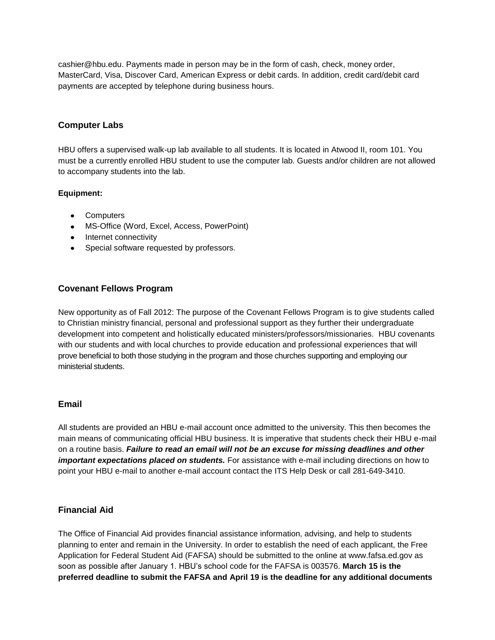[cashier@hbu.edu.](mailto:cashier@hbu.edu) Payments made in person may be in the form of cash, check, money order, MasterCard, Visa, Discover Card, American Express or debit cards. In addition, credit card/debit card payments are accepted by telephone during business hours.

### **Computer Labs**

HBU offers a supervised walk-up lab available to all students. It is located in Atwood II, room 101. You must be a currently enrolled HBU student to use the computer lab. Guests and/or children are not allowed to accompany students into the lab.

#### **Equipment:**

- Computers
- MS-Office (Word, Excel, Access, PowerPoint)
- Internet connectivity
- Special software requested by professors.

# **Covenant Fellows Program**

New opportunity as of Fall 2012: The purpose of the [Covenant Fellows Program](http://www.hbu.edu/Students-Alumni/Student-Information/Spiritual-Life/Covenant-Fellows-Program.aspx) is to give students called to Christian ministry financial, personal and professional support as they further their undergraduate development into competent and holistically educated ministers/professors/missionaries. HBU covenants with our students and with local churches to provide education and professional experiences that will prove beneficial to both those studying in the program and those churches supporting and employing our ministerial students.

### **Email**

All students are provided an HBU e-mail account once admitted to the university. This then becomes the main means of communicating official HBU business. It is imperative that students check their HBU e-mail on a routine basis. *Failure to read an email will not be an excuse for missing deadlines and other important expectations placed on students.* For assistance with e-mail including directions on how to point your HBU e-mail to another e-mail account contact the [ITS Help Desk](https://hbu.edu/Students-Alumni/Student-Resources/Information-Technology-Services-(ITS).aspx) or call 281-649-3410.

### **Financial Aid**

The Office of Financial Aid provides financial assistance information, advising, and help to students planning to enter and remain in the University. In order to establish the need of each applicant, the Free Application for Federal Student Aid (FAFSA) should be submitted to the online at www.fafsa.ed.gov as soon as possible after January 1. HBU's school code for the FAFSA is 003576. **March 15 is the preferred deadline to submit the FAFSA and April 19 is the deadline for any additional documents**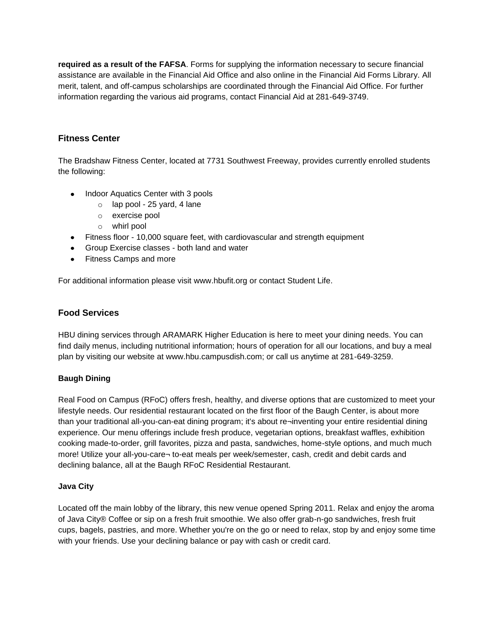**required as a result of the FAFSA**. Forms for supplying the information necessary to secure financial assistance are available in the Financial Aid Office and also online in the [Financial Aid Forms Library.](https://hbu.edu/Choosing-HBU/Admissions/Financing-Your-Education/Forms.aspx) All merit, talent, and off-campus scholarships are coordinated through the Financial Aid Office. For further information regarding the various aid programs, contact Financial Aid at 281-649-3749.

# **Fitness Center**

The Bradshaw Fitness Center, located at 7731 Southwest Freeway, provides currently enrolled students the following:

- Indoor Aquatics Center with 3 pools
	- o lap pool 25 yard, 4 lane
	- o exercise pool
	- o whirl pool
- Fitness floor 10,000 square feet, with cardiovascular and strength equipment
- **Group Exercise classes both land and water**
- Fitness Camps and more

For additional information please visit [www.hbufit.org](http://www.hbufit.org/) or contact [Student Life.](mailto:studentlife@hbu.edu)

# **Food Services**

HBU dining services through ARAMARK Higher Education is here to meet your dining needs. You can find daily menus, including nutritional information; hours of operation for all our locations, and buy a meal plan by visiting our website at www.hbu.campusdish.com; or call us anytime at 281-649-3259.

### **Baugh Dining**

Real Food on Campus (RFoC) offers fresh, healthy, and diverse options that are customized to meet your lifestyle needs. Our residential restaurant located on the first floor of the Baugh Center, is about more than your traditional all-you-can-eat dining program; it's about re¬inventing your entire residential dining experience. Our menu offerings include fresh produce, vegetarian options, breakfast waffles, exhibition cooking made-to-order, grill favorites, pizza and pasta, sandwiches, home-style options, and much much more! Utilize your all-you-care¬ to-eat meals per week/semester, cash, credit and debit cards and declining balance, all at the Baugh RFoC Residential Restaurant.

### **Java City**

Located off the main lobby of the library, this new venue opened Spring 2011. Relax and enjoy the aroma of Java City® Coffee or sip on a fresh fruit smoothie. We also offer grab-n-go sandwiches, fresh fruit cups, bagels, pastries, and more. Whether you're on the go or need to relax, stop by and enjoy some time with your friends. Use your declining balance or pay with cash or credit card.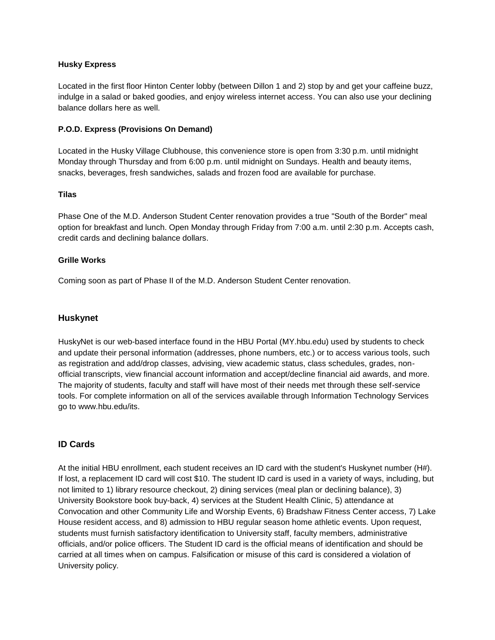### **Husky Express**

Located in the first floor Hinton Center lobby (between Dillon 1 and 2) stop by and get your caffeine buzz, indulge in a salad or baked goodies, and enjoy wireless internet access. You can also use your declining balance dollars here as well.

#### **P.O.D. Express (Provisions On Demand)**

Located in the Husky Village Clubhouse, this convenience store is open from 3:30 p.m. until midnight Monday through Thursday and from 6:00 p.m. until midnight on Sundays. Health and beauty items, snacks, beverages, fresh sandwiches, salads and frozen food are available for purchase.

#### **Tilas**

Phase One of the M.D. Anderson Student Center renovation provides a true "South of the Border" meal option for breakfast and lunch. Open Monday through Friday from 7:00 a.m. until 2:30 p.m. Accepts cash, credit cards and declining balance dollars.

#### **Grille Works**

Coming soon as part of Phase II of the M.D. Anderson Student Center renovation.

### **Huskynet**

HuskyNet is our web-based interface found in the HBU Portal [\(MY.hbu.edu\)](http://my.hbu.edu/) used by students to check and update their personal information (addresses, phone numbers, etc.) or to access various tools, such as registration and add/drop classes, advising, view academic status, class schedules, grades, nonofficial transcripts, view financial account information and accept/decline financial aid awards, and more. The majority of students, faculty and staff will have most of their needs met through these self-service tools. For complete information on all of the services available through Information Technology Services go to [www.hbu.edu/its.](https://hbu.edu/Students-Alumni/Student-Resources/Information-Technology-Services-(ITS).aspx)

### **ID Cards**

At the initial HBU enrollment, each student receives an ID card with the student's Huskynet number (H#). If lost, a replacement ID card will cost \$10. The student ID card is used in a variety of ways, including, but not limited to 1) library resource checkout, 2) dining services (meal plan or declining balance), 3) University Bookstore book buy-back, 4) services at the Student Health Clinic, 5) attendance at Convocation and other Community Life and Worship Events, 6) Bradshaw Fitness Center access, 7) Lake House resident access, and 8) admission to HBU regular season home athletic events. Upon request, students must furnish satisfactory identification to University staff, faculty members, administrative officials, and/or police officers. The Student ID card is the official means of identification and should be carried at all times when on campus. Falsification or misuse of this card is considered a violation of University policy.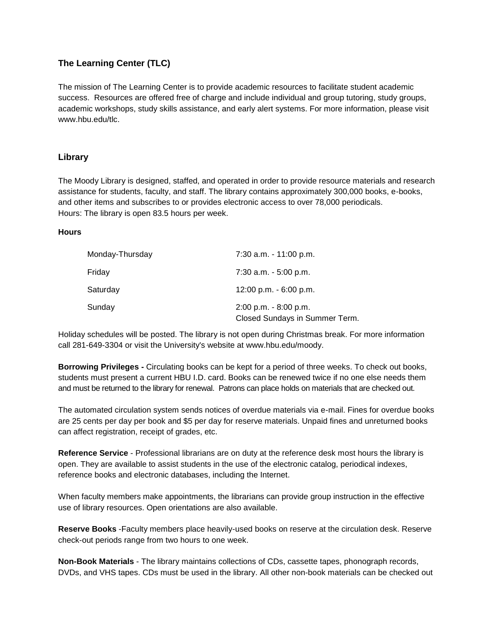# **The Learning Center (TLC)**

The mission of The Learning Center is to provide academic resources to facilitate student academic success. Resources are offered free of charge and include individual and group tutoring, study groups, academic workshops, study skills assistance, and early alert systems. For more information, please visit [www.hbu.edu/tlc.](https://www.hbu.edu/tlc)

### **Library**

The Moody Library is designed, staffed, and operated in order to provide resource materials and research assistance for students, faculty, and staff. The library contains approximately 300,000 books, e-books, and other items and subscribes to or provides electronic access to over 78,000 periodicals. Hours: The library is open 83.5 hours per week.

#### **Hours**

| Monday-Thursday | 7:30 a.m. - 11:00 p.m.                                     |
|-----------------|------------------------------------------------------------|
| Friday          | $7:30$ a.m. $-5:00$ p.m.                                   |
| Saturday        | 12:00 p.m. - 6:00 p.m.                                     |
| Sunday          | $2:00$ p.m. $-8:00$ p.m.<br>Closed Sundays in Summer Term. |

Holiday schedules will be posted. The library is not open during Christmas break. For more information call 281-649-3304 or visit the University's website at [www.hbu.edu/moody.](http://www.hbu.edu/moodylibrary)

**Borrowing Privileges -** Circulating books can be kept for a period of three weeks. To check out books, students must present a current HBU I.D. card. Books can be renewed twice if no one else needs them and must be returned to the library for renewal. Patrons can place holds on materials that are checked out.

The automated circulation system sends notices of overdue materials via e-mail. Fines for overdue books are 25 cents per day per book and \$5 per day for reserve materials. Unpaid fines and unreturned books can affect registration, receipt of grades, etc.

**Reference Service** - Professional librarians are on duty at the reference desk most hours the library is open. They are available to assist students in the use of the electronic catalog, periodical indexes, reference books and electronic databases, including the Internet.

When faculty members make appointments, the librarians can provide group instruction in the effective use of library resources. Open orientations are also available.

**Reserve Books** -Faculty members place heavily-used books on reserve at the circulation desk. Reserve check-out periods range from two hours to one week.

**Non-Book Materials** - The library maintains collections of CDs, cassette tapes, phonograph records, DVDs, and VHS tapes. CDs must be used in the library. All other non-book materials can be checked out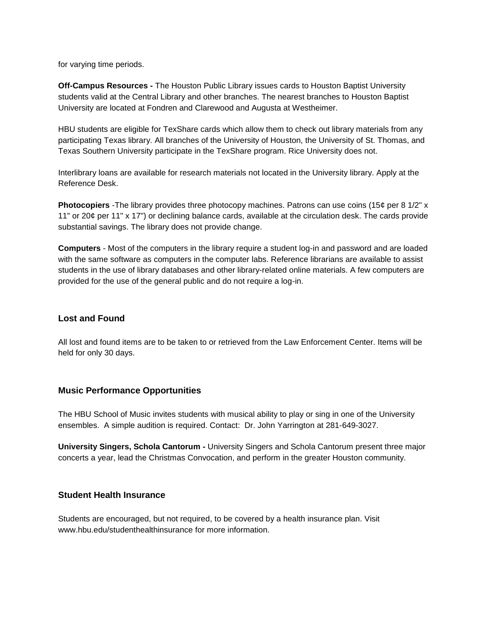for varying time periods.

**Off-Campus Resources -** The Houston Public Library issues cards to Houston Baptist University students valid at the Central Library and other branches. The nearest branches to Houston Baptist University are located at Fondren and Clarewood and Augusta at Westheimer.

HBU students are eligible for TexShare cards which allow them to check out library materials from any participating Texas library. All branches of the University of Houston, the University of St. Thomas, and Texas Southern University participate in the TexShare program. Rice University does not.

Interlibrary loans are available for research materials not located in the University library. Apply at the Reference Desk.

**Photocopiers** -The library provides three photocopy machines. Patrons can use coins (15¢ per 8 1/2" x 11" or 20¢ per 11" x 17") or declining balance cards, available at the circulation desk. The cards provide substantial savings. The library does not provide change.

**Computers** - Most of the computers in the library require a student log-in and password and are loaded with the same software as computers in the computer labs. Reference librarians are available to assist students in the use of library databases and other library-related online materials. A few computers are provided for the use of the general public and do not require a log-in.

### **Lost and Found**

All lost and found items are to be taken to or retrieved from the Law Enforcement Center. Items will be held for only 30 days.

### **Music Performance Opportunities**

The HBU School of Music invites students with musical ability to play or sing in one of the University ensembles. A simple audition is required. Contact: Dr. John Yarrington at 281-649-3027.

**University Singers, Schola Cantorum -** University Singers and Schola Cantorum present three major concerts a year, lead the Christmas Convocation, and perform in the greater Houston community.

#### **Student Health Insurance**

Students are encouraged, but not required, to be covered by a health insurance plan. Visit [www.hbu.edu/studenthealthinsurance](http://www.hbu.edu/studenthealthinsurance) for more information.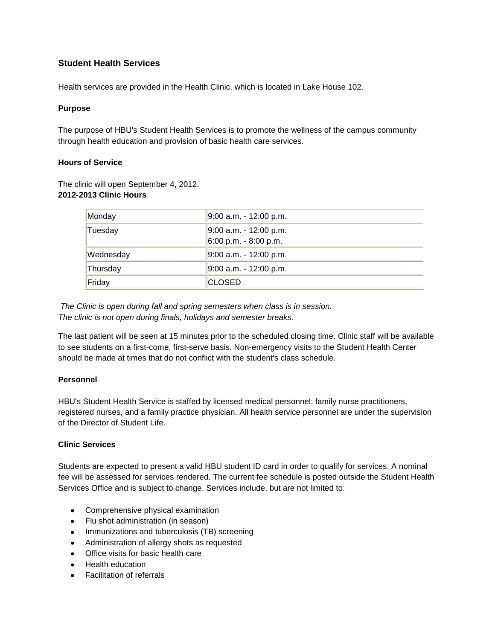# **Student Health Services**

Health services are provided in the Health Clinic, which is located in Lake House 102.

### **Purpose**

The purpose of HBU's [Student Health Services](http://www.hbu.edu/studenthealth) is to promote the wellness of the campus community through health education and provision of basic health care services.

#### **Hours of Service**

The clinic will open September 4, 2012. **2012-2013 Clinic Hours**

| Monday    | 9:00 a.m. - 12:00 p.m.                            |
|-----------|---------------------------------------------------|
| Tuesday   | 9:00 a.m. - 12:00 p.m.<br>$6:00$ p.m. - 8:00 p.m. |
| Wednesday | 9:00 a.m. - 12:00 p.m.                            |
| Thursday  | 9:00 a.m. - 12:00 p.m.                            |
| Friday    | <b>CLOSED</b>                                     |

*The Clinic is open during fall and spring semesters when class is in session. The clinic is not open during finals, holidays and semester breaks.*

The last patient will be seen at 15 minutes prior to the scheduled closing time. Clinic staff will be available to see students on a first-come, first-serve basis. Non-emergency visits to the Student Health Center should be made at times that do not conflict with the student's class schedule.

### **Personnel**

HBU's Student Health Service is staffed by licensed medical personnel: family nurse practitioners, registered nurses, and a family practice physician. All health service personnel are under the supervision of the Director of Student Life.

### **Clinic Services**

Students are expected to present a valid HBU student ID card in order to qualify for services. A nominal fee will be assessed for services rendered. The current fee schedule is posted outside the Student Health Services Office and is subject to change. Services include, but are not limited to:

- Comprehensive physical examination
- Flu shot administration (in season)
- Immunizations and tuberculosis (TB) screening
- Administration of allergy shots as requested
- Office visits for basic health care
- Health education
- Facilitation of referrals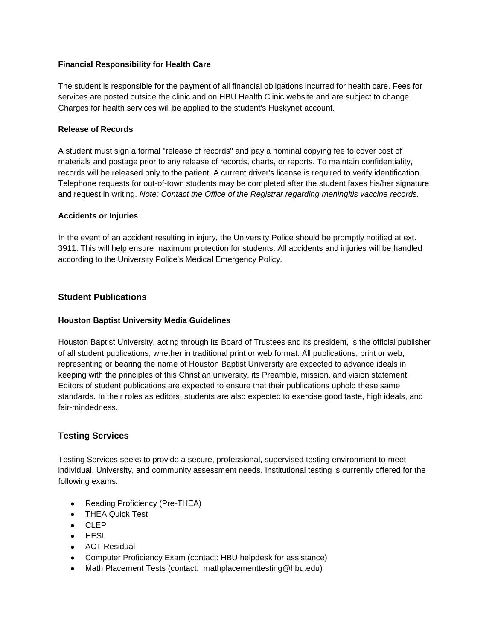### **Financial Responsibility for Health Care**

The student is responsible for the payment of all financial obligations incurred for health care. Fees for services are posted outside the clinic and on [HBU Health Clinic website](http://www.hbu.edu/Students-Alumni/Student-Resources/Health-Services/Health-Clinic.aspx) and are subject to change. Charges for health services will be applied to the student's Huskynet account.

#### **Release of Records**

A student must sign a formal "release of records" and pay a nominal copying fee to cover cost of materials and postage prior to any release of records, charts, or reports. To maintain confidentiality, records will be released only to the patient. A current driver's license is required to verify identification. Telephone requests for out-of-town students may be completed after the student faxes his/her signature and request in writing. *Note: Contact the Office of the Registrar regarding meningitis vaccine records.*

#### **Accidents or Injuries**

In the event of an accident resulting in injury, the University Police should be promptly notified at ext. 3911. This will help ensure maximum protection for students. All accidents and injuries will be handled according to the University Police's Medical Emergency Policy.

### **Student Publications**

### **Houston Baptist University Media Guidelines**

Houston Baptist University, acting through its Board of Trustees and its president, is the official publisher of all student publications, whether in traditional print or web format. All publications, print or web, representing or bearing the name of Houston Baptist University are expected to advance ideals in keeping with the principles of this Christian university, its Preamble, mission, and vision statement. Editors of student publications are expected to ensure that their publications uphold these same standards. In their roles as editors, students are also expected to exercise good taste, high ideals, and fair-mindedness.

### **Testing Services**

Testing Services seeks to provide a secure, professional, supervised testing environment to meet individual, University, and community assessment needs. Institutional testing is currently offered for the following exams:

- Reading Proficiency (Pre-THEA)
- THEA Quick Test
- CLEP
- $\bullet$  HESI
- ACT Residual
- Computer Proficiency Exam (contact: HBU helpdesk for assistance)
- Math Placement Tests (contact: [mathplacementtesting@hbu.edu\)](mailto:mathplacementtesting@hbu.edu) $\bullet$